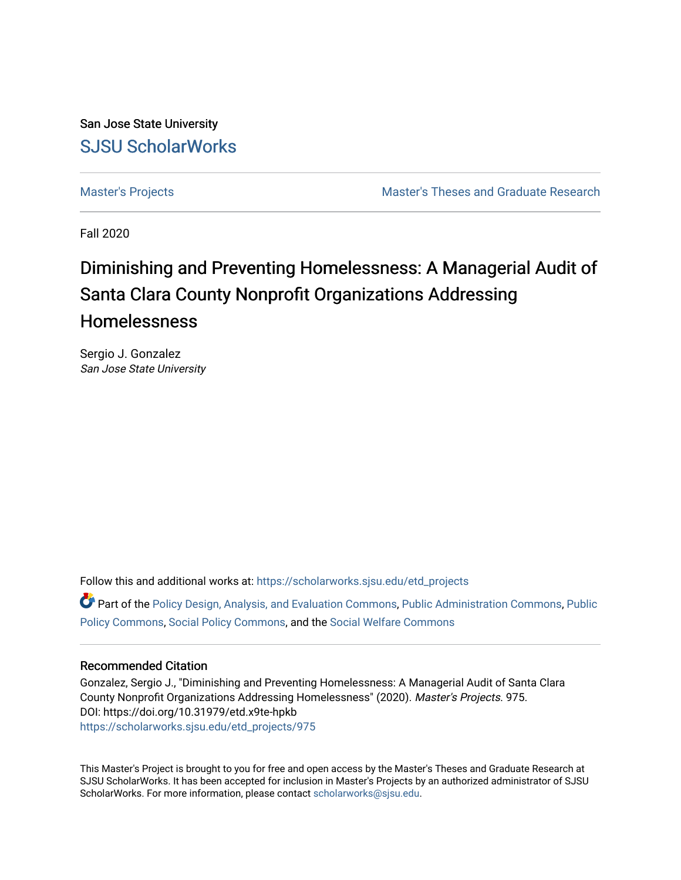San Jose State University [SJSU ScholarWorks](https://scholarworks.sjsu.edu/) 

[Master's Projects](https://scholarworks.sjsu.edu/etd_projects) [Master's Theses and Graduate Research](https://scholarworks.sjsu.edu/etd) 

Fall 2020

# Diminishing and Preventing Homelessness: A Managerial Audit of Santa Clara County Nonprofit Organizations Addressing Homelessness

Sergio J. Gonzalez San Jose State University

Follow this and additional works at: [https://scholarworks.sjsu.edu/etd\\_projects](https://scholarworks.sjsu.edu/etd_projects?utm_source=scholarworks.sjsu.edu%2Fetd_projects%2F975&utm_medium=PDF&utm_campaign=PDFCoverPages) 

Part of the [Policy Design, Analysis, and Evaluation Commons](http://network.bepress.com/hgg/discipline/1032?utm_source=scholarworks.sjsu.edu%2Fetd_projects%2F975&utm_medium=PDF&utm_campaign=PDFCoverPages), [Public Administration Commons](http://network.bepress.com/hgg/discipline/398?utm_source=scholarworks.sjsu.edu%2Fetd_projects%2F975&utm_medium=PDF&utm_campaign=PDFCoverPages), [Public](http://network.bepress.com/hgg/discipline/400?utm_source=scholarworks.sjsu.edu%2Fetd_projects%2F975&utm_medium=PDF&utm_campaign=PDFCoverPages) [Policy Commons](http://network.bepress.com/hgg/discipline/400?utm_source=scholarworks.sjsu.edu%2Fetd_projects%2F975&utm_medium=PDF&utm_campaign=PDFCoverPages), [Social Policy Commons,](http://network.bepress.com/hgg/discipline/1030?utm_source=scholarworks.sjsu.edu%2Fetd_projects%2F975&utm_medium=PDF&utm_campaign=PDFCoverPages) and the [Social Welfare Commons](http://network.bepress.com/hgg/discipline/401?utm_source=scholarworks.sjsu.edu%2Fetd_projects%2F975&utm_medium=PDF&utm_campaign=PDFCoverPages) 

#### Recommended Citation

Gonzalez, Sergio J., "Diminishing and Preventing Homelessness: A Managerial Audit of Santa Clara County Nonprofit Organizations Addressing Homelessness" (2020). Master's Projects. 975. DOI: https://doi.org/10.31979/etd.x9te-hpkb [https://scholarworks.sjsu.edu/etd\\_projects/975](https://scholarworks.sjsu.edu/etd_projects/975?utm_source=scholarworks.sjsu.edu%2Fetd_projects%2F975&utm_medium=PDF&utm_campaign=PDFCoverPages) 

This Master's Project is brought to you for free and open access by the Master's Theses and Graduate Research at SJSU ScholarWorks. It has been accepted for inclusion in Master's Projects by an authorized administrator of SJSU ScholarWorks. For more information, please contact [scholarworks@sjsu.edu](mailto:scholarworks@sjsu.edu).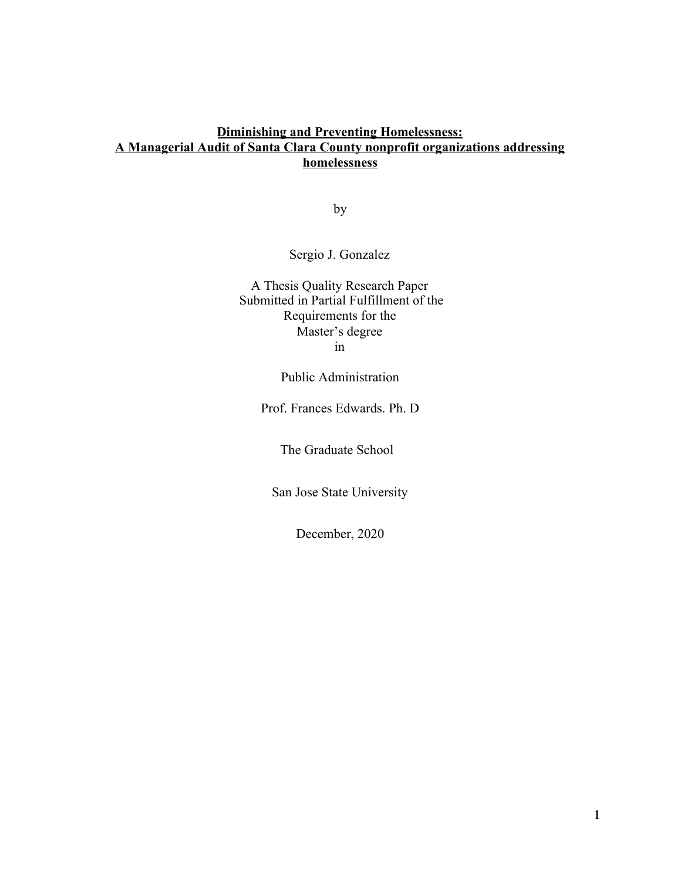### **Diminishing and Preventing Homelessness: A Managerial Audit of Santa Clara County nonprofit organizations addressing homelessness**

by

Sergio J. Gonzalez

A Thesis Quality Research Paper Submitted in Partial Fulfillment of the Requirements for the Master's degree in

Public Administration

Prof. Frances Edwards. Ph. D

The Graduate School

San Jose State University

December, 2020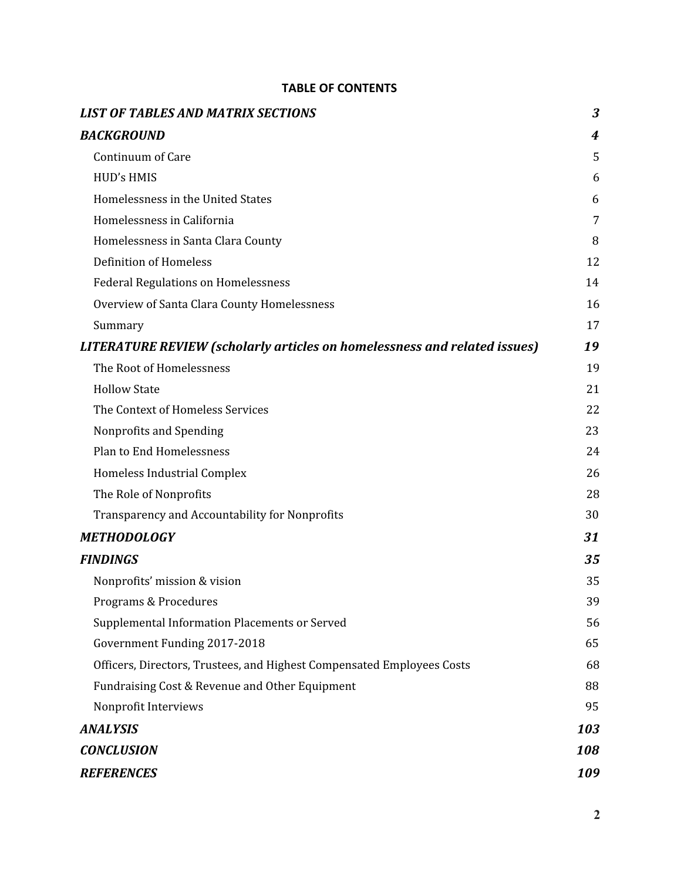### **TABLE OF CONTENTS**

| <b>LIST OF TABLES AND MATRIX SECTIONS</b>                                        | 3   |
|----------------------------------------------------------------------------------|-----|
| <b>BACKGROUND</b>                                                                | 4   |
| Continuum of Care                                                                | 5   |
| <b>HUD's HMIS</b>                                                                | 6   |
| Homelessness in the United States                                                | 6   |
| Homelessness in California                                                       | 7   |
| Homelessness in Santa Clara County                                               | 8   |
| <b>Definition of Homeless</b>                                                    | 12  |
| <b>Federal Regulations on Homelessness</b>                                       | 14  |
| Overview of Santa Clara County Homelessness                                      | 16  |
| Summary                                                                          | 17  |
| <b>LITERATURE REVIEW (scholarly articles on homelessness and related issues)</b> | 19  |
| The Root of Homelessness                                                         | 19  |
| <b>Hollow State</b>                                                              | 21  |
| The Context of Homeless Services                                                 | 22  |
| Nonprofits and Spending                                                          | 23  |
| <b>Plan to End Homelessness</b>                                                  | 24  |
| Homeless Industrial Complex                                                      | 26  |
| The Role of Nonprofits                                                           | 28  |
| Transparency and Accountability for Nonprofits                                   | 30  |
| <b>METHODOLOGY</b>                                                               | 31  |
| <b>FINDINGS</b>                                                                  | 35  |
| Nonprofits' mission & vision                                                     | 35  |
| Programs & Procedures                                                            | 39  |
| Supplemental Information Placements or Served                                    | 56  |
| Government Funding 2017-2018                                                     | 65  |
| Officers, Directors, Trustees, and Highest Compensated Employees Costs           | 68  |
| Fundraising Cost & Revenue and Other Equipment                                   | 88  |
| Nonprofit Interviews                                                             | 95  |
| <b>ANALYSIS</b>                                                                  | 103 |
| <b>CONCLUSION</b>                                                                | 108 |
| <b>REFERENCES</b>                                                                | 109 |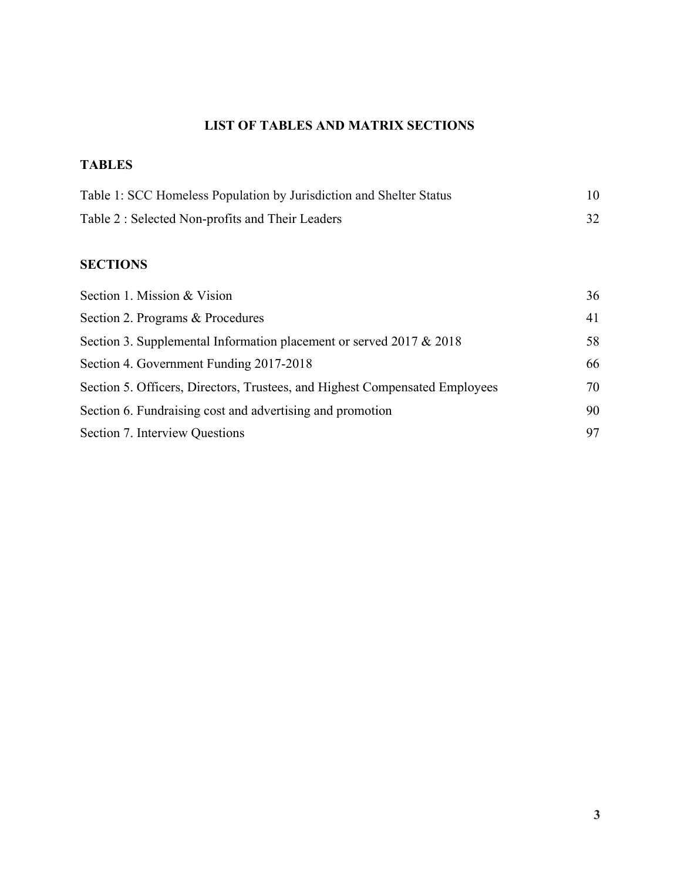### **LIST OF TABLES AND MATRIX SECTIONS**

### <span id="page-3-0"></span>**TABLES**

| Table 1: SCC Homeless Population by Jurisdiction and Shelter Status |  |
|---------------------------------------------------------------------|--|
| Table 2: Selected Non-profits and Their Leaders                     |  |

### **SECTIONS**

| Section 1. Mission & Vision                                                 | 36 |
|-----------------------------------------------------------------------------|----|
| Section 2. Programs & Procedures                                            | 41 |
| Section 3. Supplemental Information placement or served 2017 $& 2018$       | 58 |
| Section 4. Government Funding 2017-2018                                     | 66 |
| Section 5. Officers, Directors, Trustees, and Highest Compensated Employees | 70 |
| Section 6. Fundraising cost and advertising and promotion                   | 90 |
| Section 7. Interview Questions                                              | 97 |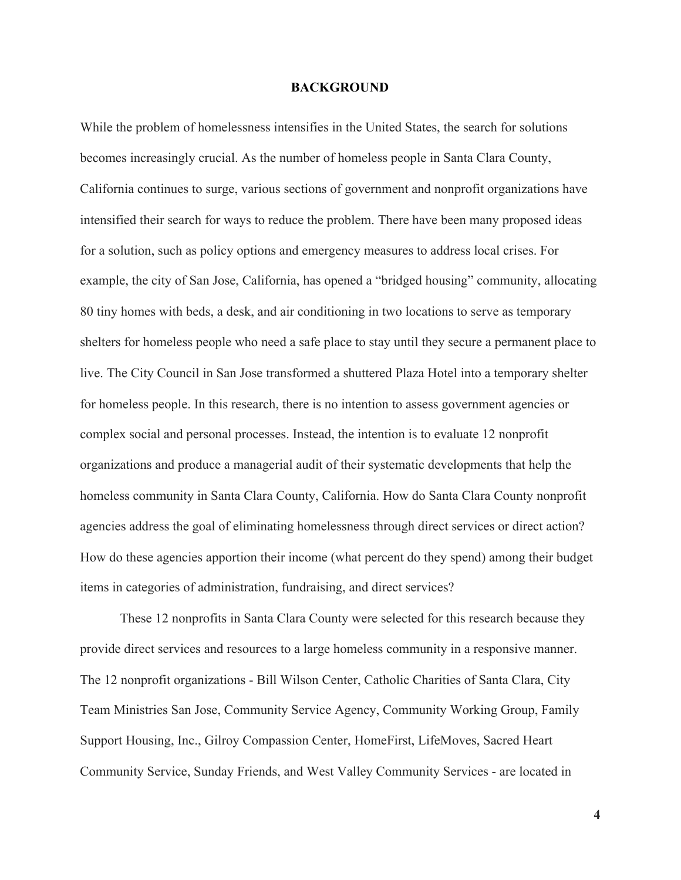#### **BACKGROUND**

<span id="page-4-0"></span>While the problem of homelessness intensifies in the United States, the search for solutions becomes increasingly crucial. As the number of homeless people in Santa Clara County, California continues to surge, various sections of government and nonprofit organizations have intensified their search for ways to reduce the problem. There have been many proposed ideas for a solution, such as policy options and emergency measures to address local crises. For example, the city of San Jose, California, has opened a "bridged housing" community, allocating 80 tiny homes with beds, a desk, and air conditioning in two locations to serve as temporary shelters for homeless people who need a safe place to stay until they secure a permanent place to live. The City Council in San Jose transformed a shuttered Plaza Hotel into a temporary shelter for homeless people. In this research, there is no intention to assess government agencies or complex social and personal processes. Instead, the intention is to evaluate 12 nonprofit organizations and produce a managerial audit of their systematic developments that help the homeless community in Santa Clara County, California. How do Santa Clara County nonprofit agencies address the goal of eliminating homelessness through direct services or direct action? How do these agencies apportion their income (what percent do they spend) among their budget items in categories of administration, fundraising, and direct services?

These 12 nonprofits in Santa Clara County were selected for this research because they provide direct services and resources to a large homeless community in a responsive manner. The 12 nonprofit organizations - Bill Wilson Center, Catholic Charities of Santa Clara, City Team Ministries San Jose, Community Service Agency, Community Working Group, Family Support Housing, Inc., Gilroy Compassion Center, HomeFirst, LifeMoves, Sacred Heart Community Service, Sunday Friends, and West Valley Community Services - are located in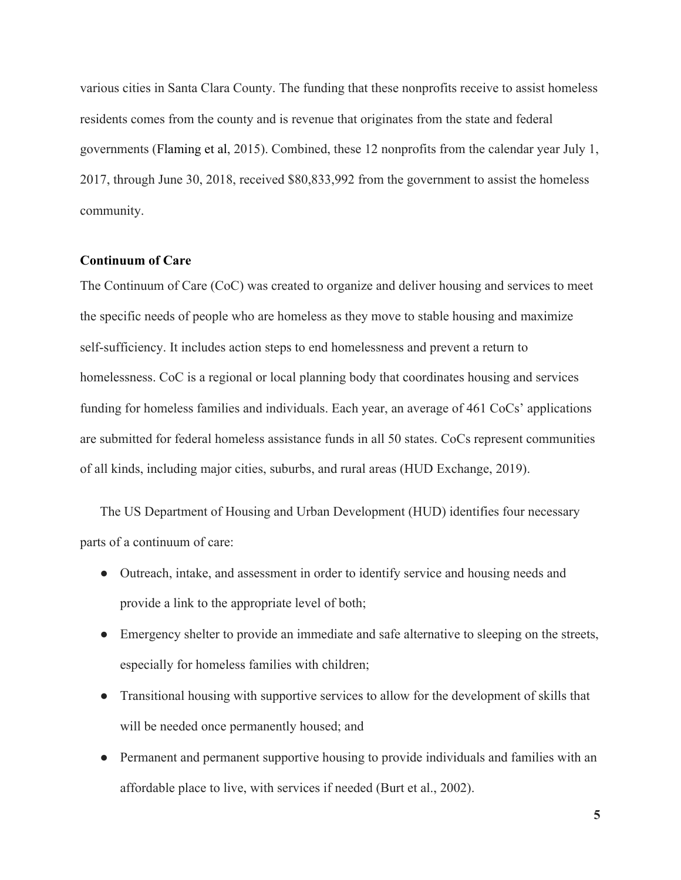various cities in Santa Clara County. The funding that these nonprofits receive to assist homeless residents comes from the county and is revenue that originates from the state and federal governments (Flaming et al, 2015). Combined, these 12 nonprofits from the calendar year July 1, 2017, through June 30, 2018, received \$80,833,992 from the government to assist the homeless community.

### <span id="page-5-0"></span>**Continuum of Care**

The Continuum of Care (CoC) was created to organize and deliver housing and services to meet the specific needs of people who are homeless as they move to stable housing and maximize self-sufficiency. It includes action steps to end homelessness and prevent a return to homelessness. CoC is a regional or local planning body that coordinates housing and services funding for homeless families and individuals. Each year, an average of 461 CoCs' applications are submitted for federal homeless assistance funds in all 50 states. CoCs represent communities of all kinds, including major cities, suburbs, and rural areas (HUD Exchange, 2019).

The US Department of Housing and Urban Development (HUD) identifies four necessary parts of a continuum of care:

- Outreach, intake, and assessment in order to identify service and housing needs and provide a link to the appropriate level of both;
- Emergency shelter to provide an immediate and safe alternative to sleeping on the streets, especially for homeless families with children;
- Transitional housing with supportive services to allow for the development of skills that will be needed once permanently housed; and
- Permanent and permanent supportive housing to provide individuals and families with an affordable place to live, with services if needed (Burt et al., 2002).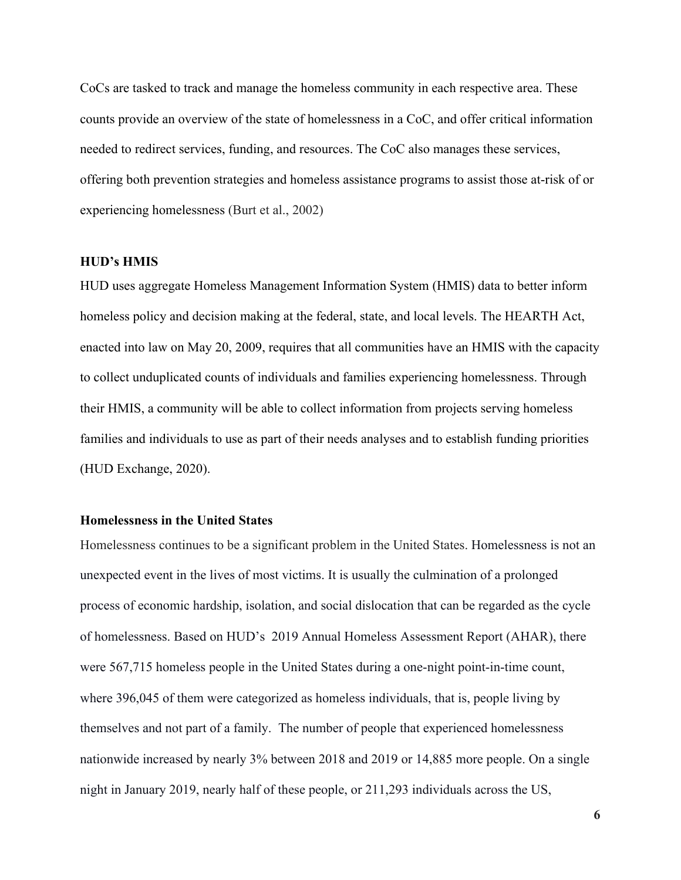CoCs are tasked to track and manage the homeless community in each respective area. These counts provide an overview of the state of homelessness in a CoC, and offer critical information needed to redirect services, funding, and resources. The CoC also manages these services, offering both prevention strategies and homeless assistance programs to assist those at-risk of or experiencing homelessness (Burt et al., 2002)

#### <span id="page-6-0"></span>**HUD's HMIS**

HUD uses aggregate Homeless Management Information System (HMIS) data to better inform homeless policy and decision making at the federal, state, and local levels. The HEARTH Act, enacted into law on May 20, 2009, requires that all communities have an HMIS with the capacity to collect unduplicated counts of individuals and families experiencing homelessness. Through their HMIS, a community will be able to collect information from projects serving homeless families and individuals to use as part of their needs analyses and to establish funding priorities (HUD Exchange, 2020).

#### <span id="page-6-1"></span>**Homelessness in the United States**

Homelessness continues to be a significant problem in the United States. Homelessness is not an unexpected event in the lives of most victims. It is usually the culmination of a prolonged process of economic hardship, isolation, and social dislocation that can be regarded as the cycle of homelessness. Based on HUD's 2019 Annual Homeless Assessment Report (AHAR), there were 567,715 homeless people in the United States during a one-night point-in-time count, where 396,045 of them were categorized as homeless individuals, that is, people living by themselves and not part of a family. The number of people that experienced homelessness nationwide increased by nearly 3% between 2018 and 2019 or 14,885 more people. On a single night in January 2019, nearly half of these people, or 211,293 individuals across the US,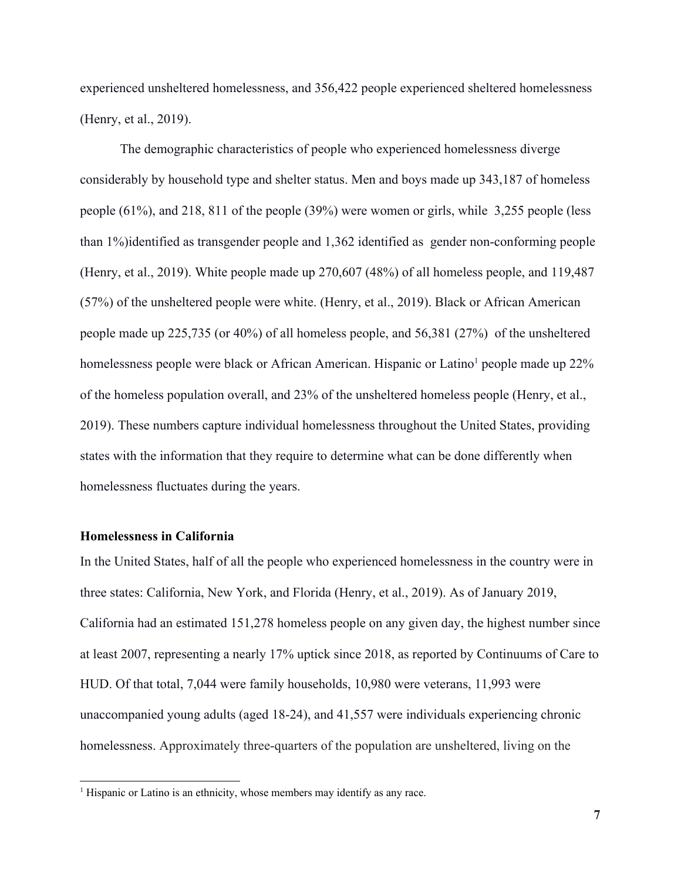experienced unsheltered homelessness, and 356,422 people experienced sheltered homelessness (Henry, et al., 2019).

The demographic characteristics of people who experienced homelessness diverge considerably by household type and shelter status. Men and boys made up 343,187 of homeless people (61%), and 218, 811 of the people (39%) were women or girls, while 3,255 people (less than 1%)identified as transgender people and 1,362 identified as gender non-conforming people (Henry, et al., 2019). White people made up 270,607 (48%) of all homeless people, and 119,487 (57%) of the unsheltered people were white. (Henry, et al., 2019). Black or African American people made up 225,735 (or 40%) of all homeless people, and 56,381 (27%) of the unsheltered homelessness people were black or African American. Hispanic or Latino<sup>1</sup> people made up 22% of the homeless population overall, and 23% of the unsheltered homeless people (Henry, et al., 2019). These numbers capture individual homelessness throughout the United States, providing states with the information that they require to determine what can be done differently when homelessness fluctuates during the years.

#### <span id="page-7-0"></span>**Homelessness in California**

In the United States, half of all the people who experienced homelessness in the country were in three states: California, New York, and Florida (Henry, et al., 2019). As of January 2019, California had an estimated 151,278 homeless people on any given day, the highest number since at least 2007, representing a nearly 17% uptick since 2018, as reported by Continuums of Care to HUD. Of that total, 7,044 were family households, 10,980 were veterans, 11,993 were unaccompanied young adults (aged 18-24), and 41,557 were individuals experiencing chronic homelessness. Approximately three-quarters of the population are unsheltered, living on the

<sup>&</sup>lt;sup>1</sup> Hispanic or Latino is an ethnicity, whose members may identify as any race.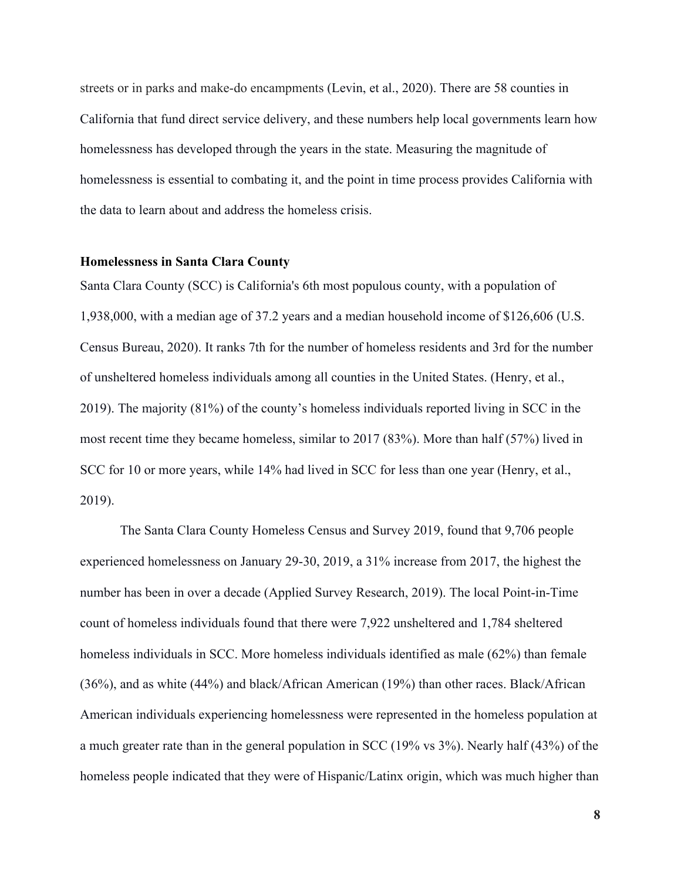streets or in parks and make-do encampments (Levin, et al., 2020). There are 58 counties in California that fund direct service delivery, and these numbers help local governments learn how homelessness has developed through the years in the state. Measuring the magnitude of homelessness is essential to combating it, and the point in time process provides California with the data to learn about and address the homeless crisis.

#### <span id="page-8-0"></span>**Homelessness in Santa Clara County**

Santa Clara County (SCC) is California's 6th most populous county, with a population of 1,938,000, with a median age of 37.2 years and a median household income of \$126,606 (U.S. Census Bureau, 2020). It ranks 7th for the number of homeless residents and 3rd for the number of unsheltered homeless individuals among all counties in the United States. (Henry, et al., 2019). The majority (81%) of the county's homeless individuals reported living in SCC in the most recent time they became homeless, similar to 2017 (83%). More than half (57%) lived in SCC for 10 or more years, while 14% had lived in SCC for less than one year (Henry, et al., 2019).

The Santa Clara County Homeless Census and Survey 2019, found that 9,706 people experienced homelessness on January 29-30, 2019, a 31% increase from 2017, the highest the number has been in over a decade (Applied Survey Research, 2019). The local Point-in-Time count of homeless individuals found that there were 7,922 unsheltered and 1,784 sheltered homeless individuals in SCC. More homeless individuals identified as male (62%) than female (36%), and as white (44%) and black/African American (19%) than other races. Black/African American individuals experiencing homelessness were represented in the homeless population at a much greater rate than in the general population in SCC (19% vs 3%). Nearly half (43%) of the homeless people indicated that they were of Hispanic/Latinx origin, which was much higher than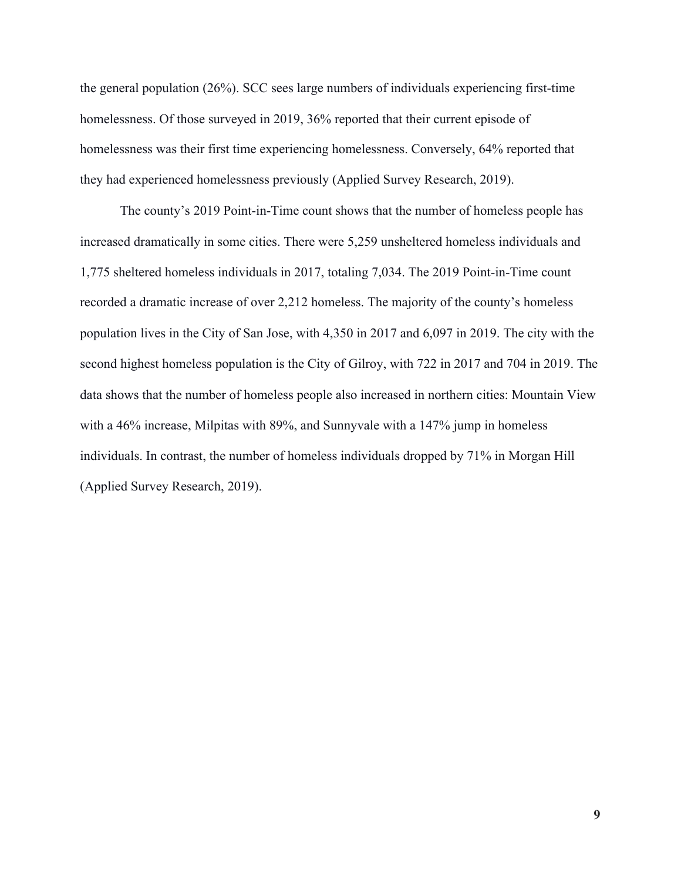the general population (26%). SCC sees large numbers of individuals experiencing first-time homelessness. Of those surveyed in 2019, 36% reported that their current episode of homelessness was their first time experiencing homelessness. Conversely, 64% reported that they had experienced homelessness previously (Applied Survey Research, 2019).

The county's 2019 Point-in-Time count shows that the number of homeless people has increased dramatically in some cities. There were 5,259 unsheltered homeless individuals and 1,775 sheltered homeless individuals in 2017, totaling 7,034. The 2019 Point-in-Time count recorded a dramatic increase of over 2,212 homeless. The majority of the county's homeless population lives in the City of San Jose, with 4,350 in 2017 and 6,097 in 2019. The city with the second highest homeless population is the City of Gilroy, with 722 in 2017 and 704 in 2019. The data shows that the number of homeless people also increased in northern cities: Mountain View with a 46% increase, Milpitas with 89%, and Sunnyvale with a 147% jump in homeless individuals. In contrast, the number of homeless individuals dropped by 71% in Morgan Hill (Applied Survey Research, 2019).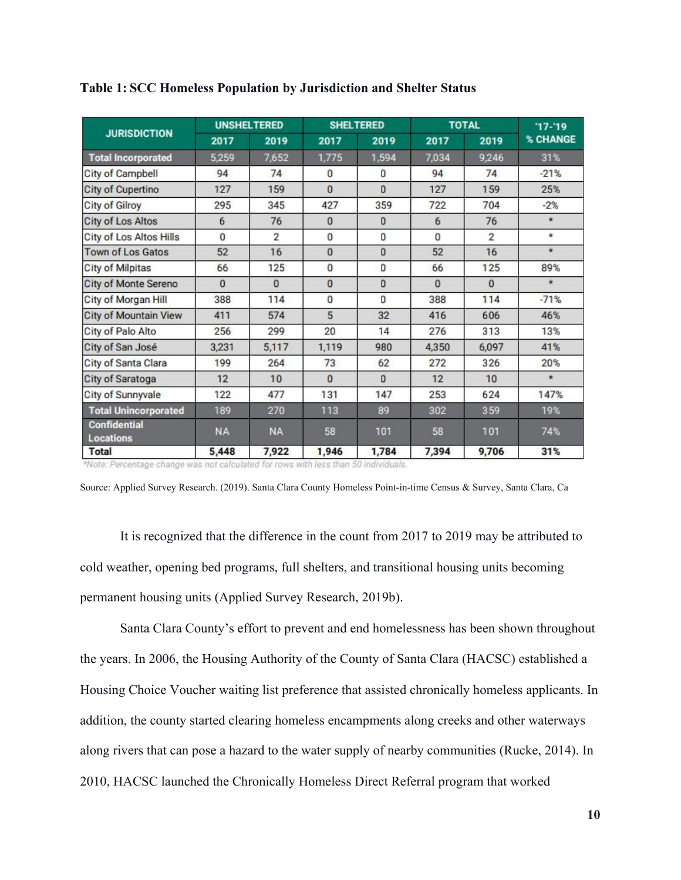|                                  | <b>UNSHELTERED</b> |                | <b>SHELTERED</b> |              | <b>TOTAL</b>   |                         | $17 - 19$ |
|----------------------------------|--------------------|----------------|------------------|--------------|----------------|-------------------------|-----------|
| <b>JURISDICTION</b>              | 2017               | 2019           | 2017             | 2019         | 2017           | 2019                    | % CHANGE  |
| <b>Total Incorporated</b>        | 5,259              | 7,652          | 1,775            | 1,594        | 7,034          | 9,246                   | 31%       |
| <b>City of Campbell</b>          | 94                 | 74             | 0                | 0            | 94             | 74                      | $-21%$    |
| <b>City of Cupertino</b>         | 127                | 159            | $\mathbf{0}$     | $\theta$     | 127            | 159                     | 25%       |
| <b>City of Gilroy</b>            | 295                | 345            | 427              | 359          | 722            | 704                     | $-2%$     |
| <b>City of Los Altos</b>         | 6                  | 76             | $\mathbf{0}$     | $\Omega$     | 6              | 76                      | $\star$   |
| <b>City of Los Altos Hills</b>   | $\overline{0}$     | $\mathfrak{p}$ | $\mathbf{0}$     | 0            | $\overline{0}$ | $\overline{\mathbf{c}}$ | $\star$   |
| <b>Town of Los Gatos</b>         | 52                 | 16             | $\overline{0}$   | $\mathbf{0}$ | 52             | 16                      | $\star$   |
| <b>City of Milpitas</b>          | 66                 | 125            | $\bf{0}$         | 0            | 66             | 125                     | 89%       |
| <b>City of Monte Sereno</b>      | $\mathbf{0}$       | $\mathbf{0}$   | 0                | 0            | $\Omega$       | 0                       | $\star$   |
| City of Morgan Hill              | 388                | 114            | $\overline{0}$   | 0            | 388            | 114                     | $-71%$    |
| <b>City of Mountain View</b>     | 411                | 574            | 5                | 32           | 416            | 606                     | 46%       |
| City of Palo Alto                | 256                | 299            | 20               | 14           | 276            | 313                     | 13%       |
| City of San José                 | 3,231              | 5,117          | 1,119            | 980          | 4,350          | 6,097                   | 41%       |
| City of Santa Clara              | 199                | 264            | 73               | 62           | 272            | 326                     | 20%       |
| City of Saratoga                 | 12                 | 10             | $\overline{0}$   | $\Omega$     | 12             | 10                      | $\star$   |
| City of Sunnyvale                | 122                | 477            | 131              | 147          | 253            | 624                     | 147%      |
| <b>Total Unincorporated</b>      | 189                | 270            | 113              | 89           | 302            | 359                     | 19%       |
| <b>Confidential</b><br>Locations | <b>NA</b>          | <b>NA</b>      | 58               | 101          | 58             | 101                     | 74%       |
| <b>Total</b>                     | 5,448              | 7,922          | 1,946            | 1,784        | 7,394          | 9,706                   | 31%       |

<span id="page-10-0"></span>**Table 1: SCC Homeless Population by Jurisdiction and Shelter Status**

\*Note: Percentage change was not calculated for rows with less than 50 individuals.

Source: Applied Survey Research. (2019). Santa Clara County Homeless Point-in-time Census & Survey, Santa Clara, Ca

It is recognized that the difference in the count from 2017 to 2019 may be attributed to cold weather, opening bed programs, full shelters, and transitional housing units becoming permanent housing units (Applied Survey Research, 2019b).

Santa Clara County's effort to prevent and end homelessness has been shown throughout the years. In 2006, the Housing Authority of the County of Santa Clara (HACSC) established a Housing Choice Voucher waiting list preference that assisted chronically homeless applicants. In addition, the county started clearing homeless encampments along creeks and other waterways along rivers that can pose a hazard to the water supply of nearby communities (Rucke, 2014). In 2010, HACSC launched the Chronically Homeless Direct Referral program that worked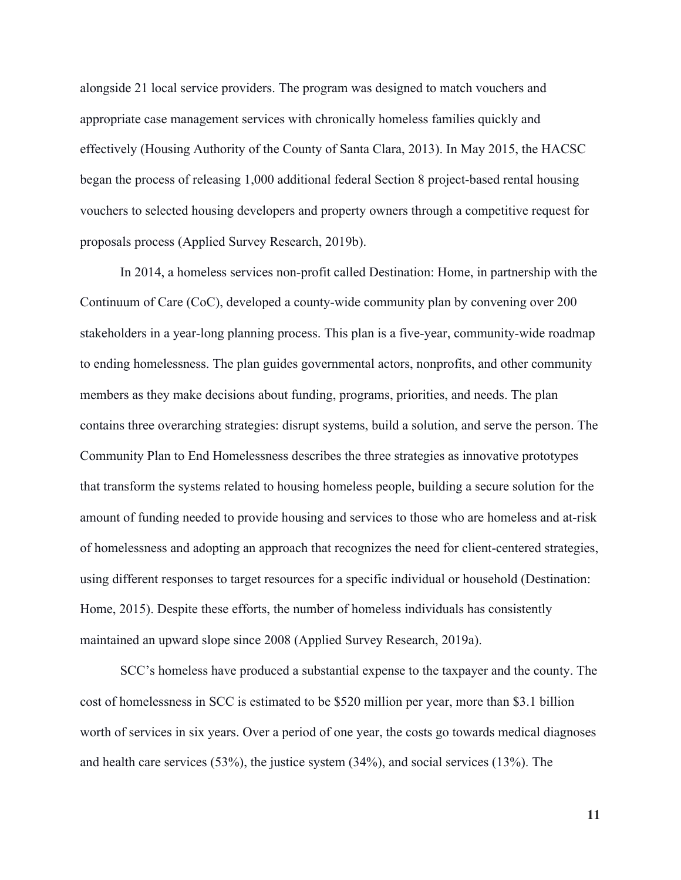alongside 21 local service providers. The program was designed to match vouchers and appropriate case management services with chronically homeless families quickly and effectively (Housing Authority of the County of Santa Clara, 2013). In May 2015, the HACSC began the process of releasing 1,000 additional federal Section 8 project-based rental housing vouchers to selected housing developers and property owners through a competitive request for proposals process (Applied Survey Research, 2019b).

In 2014, a homeless services non-profit called Destination: Home, in partnership with the Continuum of Care (CoC), developed a county-wide community plan by convening over 200 stakeholders in a year-long planning process. This plan is a five-year, community-wide roadmap to ending homelessness. The plan guides governmental actors, nonprofits, and other community members as they make decisions about funding, programs, priorities, and needs. The plan contains three overarching strategies: disrupt systems, build a solution, and serve the person. The Community Plan to End Homelessness describes the three strategies as innovative prototypes that transform the systems related to housing homeless people, building a secure solution for the amount of funding needed to provide housing and services to those who are homeless and at-risk of homelessness and adopting an approach that recognizes the need for client-centered strategies, using different responses to target resources for a specific individual or household (Destination: Home, 2015). Despite these efforts, the number of homeless individuals has consistently maintained an upward slope since 2008 (Applied Survey Research, 2019a).

SCC's homeless have produced a substantial expense to the taxpayer and the county. The cost of homelessness in SCC is estimated to be \$520 million per year, more than \$3.1 billion worth of services in six years. Over a period of one year, the costs go towards medical diagnoses and health care services (53%), the justice system (34%), and social services (13%). The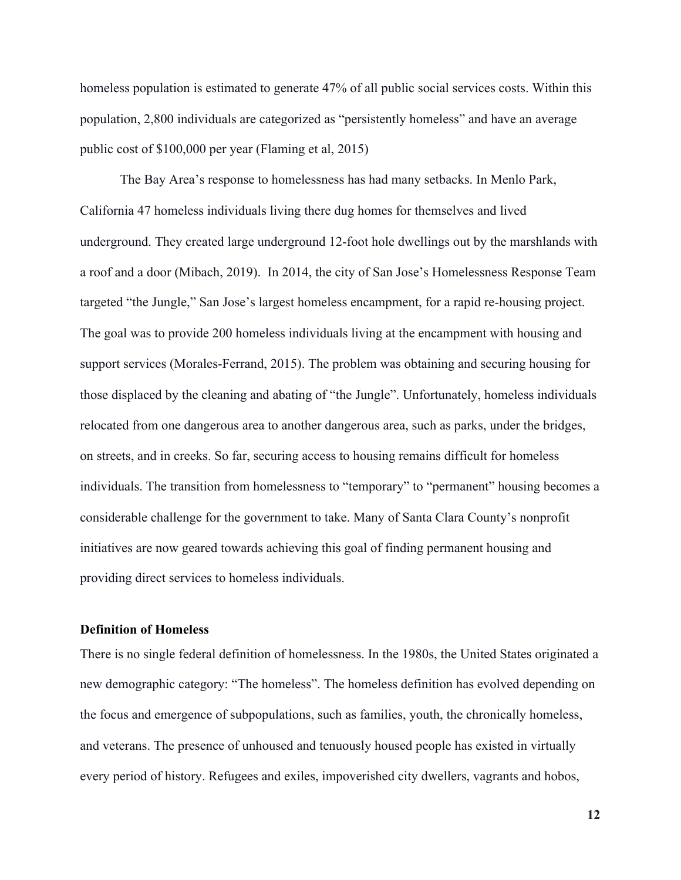homeless population is estimated to generate 47% of all public social services costs. Within this population, 2,800 individuals are categorized as "persistently homeless" and have an average public cost of \$100,000 per year (Flaming et al, 2015)

The Bay Area's response to homelessness has had many setbacks. In Menlo Park, California 47 homeless individuals living there dug homes for themselves and lived underground. They created large underground 12-foot hole dwellings out by the marshlands with a roof and a door (Mibach, 2019). In 2014, the city of San Jose's Homelessness Response Team targeted "the Jungle," San Jose's largest homeless encampment, for a rapid re-housing project. The goal was to provide 200 homeless individuals living at the encampment with housing and support services (Morales-Ferrand, 2015). The problem was obtaining and securing housing for those displaced by the cleaning and abating of "the Jungle". Unfortunately, homeless individuals relocated from one dangerous area to another dangerous area, such as parks, under the bridges, on streets, and in creeks. So far, securing access to housing remains difficult for homeless individuals. The transition from homelessness to "temporary" to "permanent" housing becomes a considerable challenge for the government to take. Many of Santa Clara County's nonprofit initiatives are now geared towards achieving this goal of finding permanent housing and providing direct services to homeless individuals.

#### <span id="page-12-0"></span>**Definition of Homeless**

There is no single federal definition of homelessness. In the 1980s, the United States originated a new demographic category: "The homeless". The homeless definition has evolved depending on the focus and emergence of subpopulations, such as families, youth, the chronically homeless, and veterans. The presence of unhoused and tenuously housed people has existed in virtually every period of history. Refugees and exiles, impoverished city dwellers, vagrants and hobos,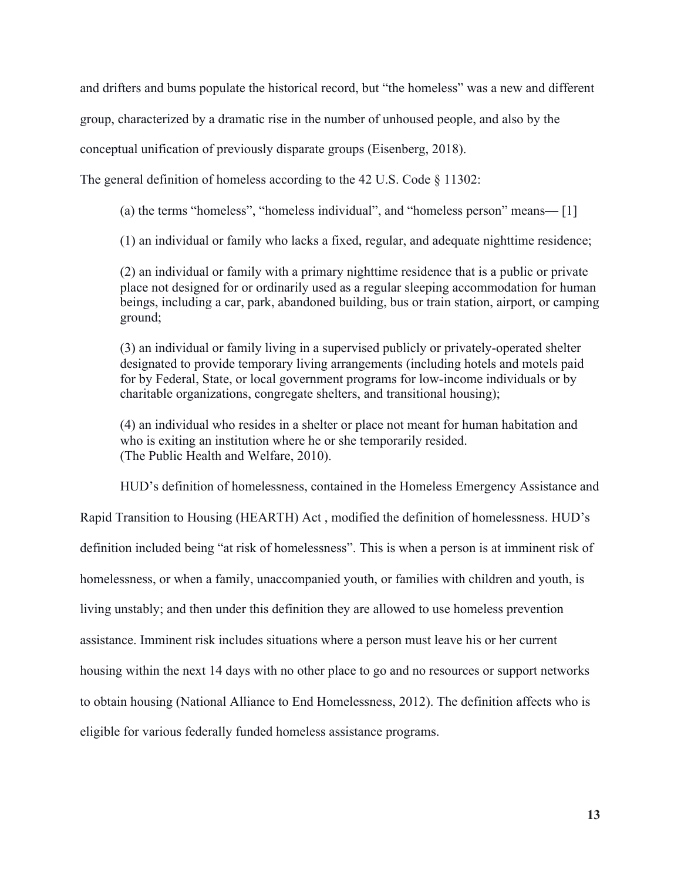and drifters and bums populate the historical record, but "the homeless" was a new and different

group, characterized by a dramatic rise in the number of unhoused people, and also by the

conceptual unification of previously disparate groups (Eisenberg, 2018).

The general definition of homeless according to the 42 U.S. Code § 11302:

(a) the terms "homeless", "homeless individual", and "homeless person" means— [1]

(1) an individual or family who lacks a fixed, regular, and adequate nighttime residence;

(2) an individual or family with a primary nighttime residence that is a public or private place not designed for or ordinarily used as a regular sleeping accommodation for human beings, including a car, park, abandoned building, bus or train station, airport, or camping ground;

(3) an individual or family living in a supervised publicly or privately-operated shelter designated to provide temporary living arrangements (including hotels and motels paid for by Federal, State, or local government programs for low-income individuals or by charitable organizations, congregate shelters, and transitional housing);

(4) an individual who resides in a shelter or place not meant for human habitation and who is exiting an institution where he or she temporarily resided. (The Public Health and Welfare, 2010).

HUD's definition of homelessness, contained in the Homeless Emergency Assistance and

Rapid Transition to Housing (HEARTH) Act , modified the definition of homelessness. HUD's

definition included being "at risk of homelessness". This is when a person is at imminent risk of

homelessness, or when a family, unaccompanied youth, or families with children and youth, is

living unstably; and then under this definition they are allowed to use homeless prevention

assistance. Imminent risk includes situations where a person must leave his or her current

housing within the next 14 days with no other place to go and no resources or support networks

to obtain housing (National Alliance to End Homelessness, 2012). The definition affects who is

eligible for various federally funded homeless assistance programs.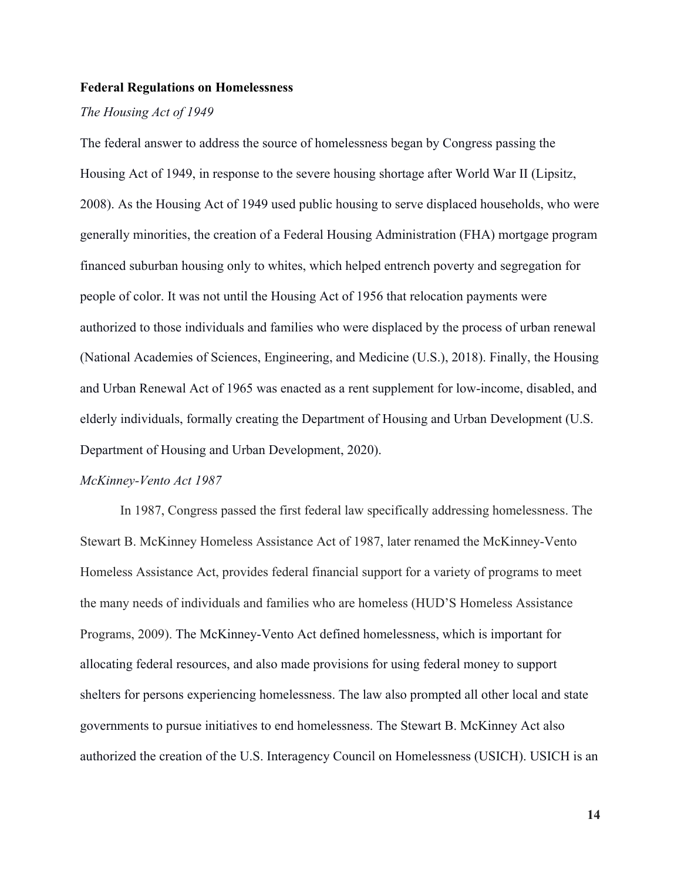#### <span id="page-14-0"></span>**Federal Regulations on Homelessness**

#### *The Housing Act of 1949*

The federal answer to address the source of homelessness began by Congress passing the Housing Act of 1949, in response to the severe housing shortage after World War II (Lipsitz, 2008). As the Housing Act of 1949 used public housing to serve displaced households, who were generally minorities, the creation of a Federal Housing Administration (FHA) mortgage program financed suburban housing only to whites, which helped entrench poverty and segregation for people of color. It was not until the Housing Act of 1956 that relocation payments were authorized to those individuals and families who were displaced by the process of urban renewal (National Academies of Sciences, Engineering, and Medicine (U.S.), 2018). Finally, the Housing and Urban Renewal Act of 1965 was enacted as a rent supplement for low-income, disabled, and elderly individuals, formally creating the Department of Housing and Urban Development (U.S. Department of Housing and Urban Development, 2020).

#### *McKinney-Vento Act 1987*

In 1987, Congress passed the first federal law specifically addressing homelessness. The Stewart B. McKinney Homeless Assistance Act of 1987, later renamed the McKinney-Vento Homeless Assistance Act, provides federal financial support for a variety of programs to meet the many needs of individuals and families who are homeless (HUD'S Homeless Assistance Programs, 2009). The McKinney-Vento Act defined homelessness, which is important for allocating federal resources, and also made provisions for using federal money to support shelters for persons experiencing homelessness. The law also prompted all other local and state governments to pursue initiatives to end homelessness. The Stewart B. McKinney Act also authorized the creation of the U.S. Interagency Council on Homelessness (USICH). USICH is an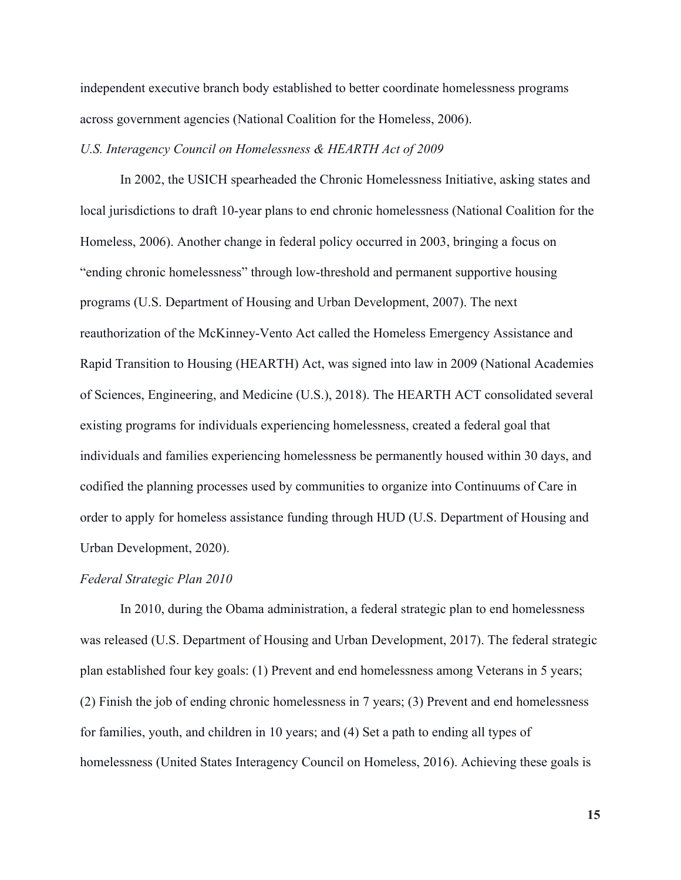independent executive branch body established to better coordinate homelessness programs across government agencies (National Coalition for the Homeless, 2006).

#### *U.S. Interagency Council on Homelessness & HEARTH Act of 2009*

In 2002, the USICH spearheaded the Chronic Homelessness Initiative, asking states and local jurisdictions to draft 10-year plans to end chronic homelessness (National Coalition for the Homeless, 2006). Another change in federal policy occurred in 2003, bringing a focus on "ending chronic homelessness" through low-threshold and permanent supportive housing programs (U.S. Department of Housing and Urban Development, 2007). The next reauthorization of the McKinney-Vento Act called the Homeless Emergency Assistance and Rapid Transition to Housing (HEARTH) Act, was signed into law in 2009 (National Academies of Sciences, Engineering, and Medicine (U.S.), 2018). The HEARTH ACT consolidated several existing programs for individuals experiencing homelessness, created a federal goal that individuals and families experiencing homelessness be permanently housed within 30 days, and codified the planning processes used by communities to organize into Continuums of Care in order to apply for homeless assistance funding through HUD (U.S. Department of Housing and Urban Development, 2020).

#### *Federal Strategic Plan 2010*

In 2010, during the Obama administration, a federal strategic plan to end homelessness was released (U.S. Department of Housing and Urban Development, 2017). The federal strategic plan established four key goals: (1) Prevent and end homelessness among Veterans in 5 years; (2) Finish the job of ending chronic homelessness in 7 years; (3) Prevent and end homelessness for families, youth, and children in 10 years; and (4) Set a path to ending all types of homelessness (United States Interagency Council on Homeless, 2016). Achieving these goals is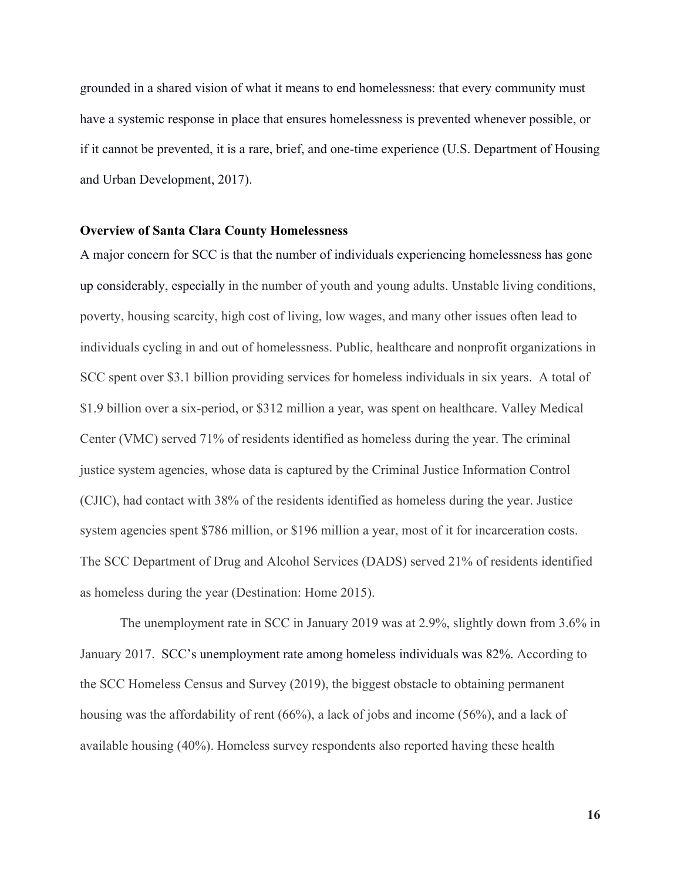grounded in a shared vision of what it means to end homelessness: that every community must have a systemic response in place that ensures homelessness is prevented whenever possible, or if it cannot be prevented, it is a rare, brief, and one-time experience (U.S. Department of Housing and Urban Development, 2017).

#### <span id="page-16-0"></span>**Overview of Santa Clara County Homelessness**

A major concern for SCC is that the number of individuals experiencing homelessness has gone up considerably, especially in the number of [youth and young adults](https://www.svvoice.com/bill-wilson-center-refutes-rumors-of-compassion-fatigue-for-the-homeless/). Unstable living conditions, poverty, housing scarcity, high cost of living, low wages, and many other issues often lead to individuals cycling in and out of homelessness. Public, healthcare and nonprofit organizations in SCC spent over \$3.1 billion providing services for homeless individuals in six years. A total of \$1.9 billion over a six-period, or \$312 million a year, was spent on healthcare. Valley Medical Center (VMC) served 71% of residents identified as homeless during the year. The criminal justice system agencies, whose data is captured by the Criminal Justice Information Control (CJIC), had contact with 38% of the residents identified as homeless during the year. Justice system agencies spent \$786 million, or \$196 million a year, most of it for incarceration costs. The SCC Department of Drug and Alcohol Services (DADS) served 21% of residents identified as homeless during the year (Destination: Home 2015).

The unemployment rate in SCC in January 2019 was at 2.9%, slightly down from 3.6% in January 2017. SCC's unemployment rate among homeless individuals was 82%. According to the SCC Homeless Census and Survey (2019), the biggest obstacle to obtaining permanent housing was the affordability of rent (66%), a lack of jobs and income (56%), and a lack of available housing (40%). Homeless survey respondents also reported having these health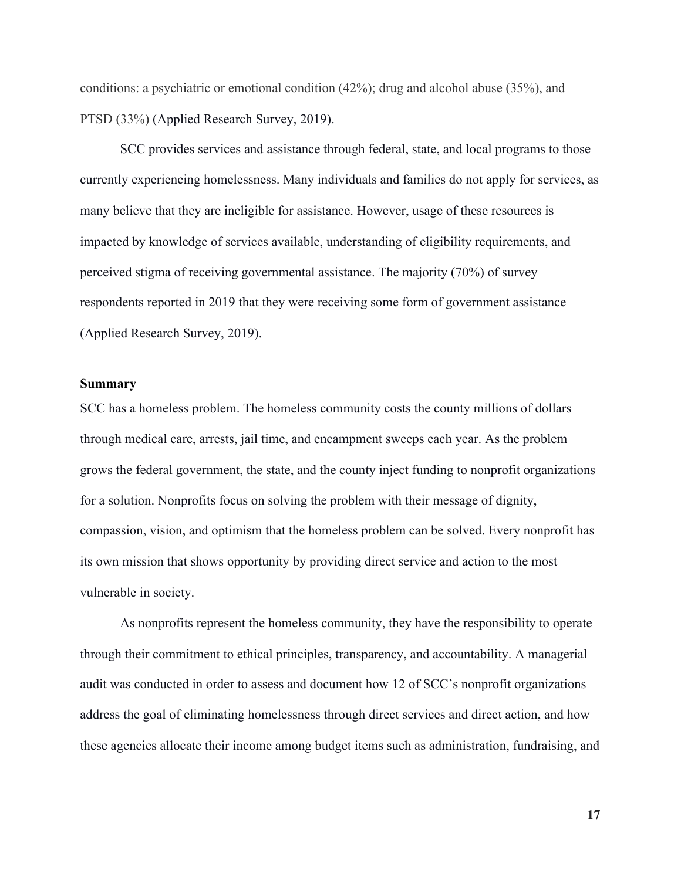conditions: a psychiatric or emotional condition (42%); drug and alcohol abuse (35%), and PTSD (33%) (Applied Research Survey, 2019).

SCC provides services and assistance through federal, state, and local programs to those currently experiencing homelessness. Many individuals and families do not apply for services, as many believe that they are ineligible for assistance. However, usage of these resources is impacted by knowledge of services available, understanding of eligibility requirements, and perceived stigma of receiving governmental assistance. The majority (70%) of survey respondents reported in 2019 that they were receiving some form of government assistance (Applied Research Survey, 2019).

#### <span id="page-17-0"></span>**Summary**

SCC has a homeless problem. The homeless community costs the county millions of dollars through medical care, arrests, jail time, and encampment sweeps each year. As the problem grows the federal government, the state, and the county inject funding to nonprofit organizations for a solution. Nonprofits focus on solving the problem with their message of dignity, compassion, vision, and optimism that the homeless problem can be solved. Every nonprofit has its own mission that shows opportunity by providing direct service and action to the most vulnerable in society.

As nonprofits represent the homeless community, they have the responsibility to operate through their commitment to ethical principles, transparency, and accountability. A managerial audit was conducted in order to assess and document how 12 of SCC's nonprofit organizations address the goal of eliminating homelessness through direct services and direct action, and how these agencies allocate their income among budget items such as administration, fundraising, and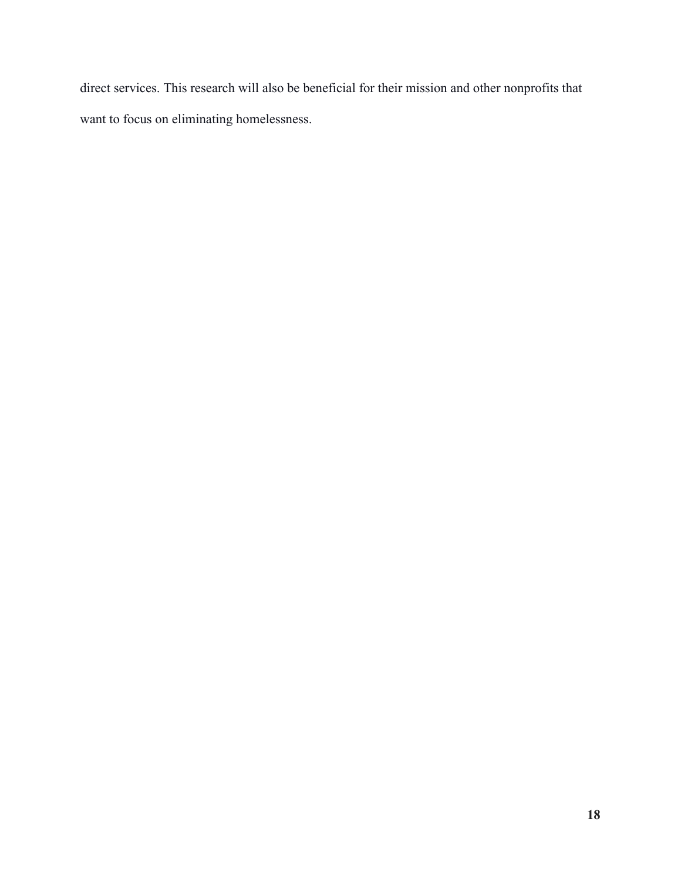direct services. This research will also be beneficial for their mission and other nonprofits that want to focus on eliminating homelessness.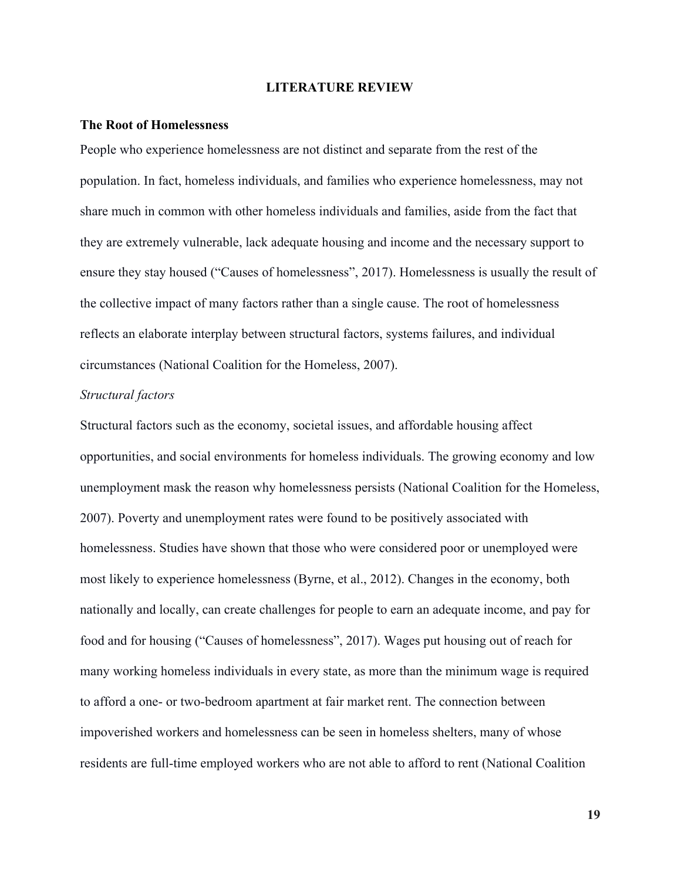#### **LITERATURE REVIEW**

#### <span id="page-19-1"></span><span id="page-19-0"></span>**The Root of Homelessness**

People who experience homelessness are not distinct and separate from the rest of the population. In fact, homeless individuals, and families who experience homelessness, may not share much in common with other homeless individuals and families, aside from the fact that they are extremely vulnerable, lack adequate housing and income and the necessary support to ensure they stay housed ("Causes of homelessness", 2017). Homelessness is usually the result of the collective impact of many factors rather than a single cause. The root of homelessness reflects an elaborate interplay between structural factors, systems failures, and individual circumstances (National Coalition for the Homeless, 2007).

#### *Structural factors*

Structural factors such as the economy, societal issues, and affordable housing affect opportunities, and social environments for homeless individuals. The growing economy and low unemployment mask the reason why homelessness persists (National Coalition for the Homeless, 2007). Poverty and unemployment rates were found to be positively associated with homelessness. Studies have shown that those who were considered poor or unemployed were most likely to experience homelessness (Byrne, et al., 2012). Changes in the economy, both nationally and locally, can create challenges for people to earn an adequate income, and pay for food and for housing ("Causes of homelessness", 2017). Wages put housing out of reach for many working homeless individuals in every state, as more than the minimum wage is required to afford a one- or two-bedroom apartment at fair market rent. The connection between impoverished workers and homelessness can be seen in homeless shelters, many of whose residents are full-time employed workers who are not able to afford to rent (National Coalition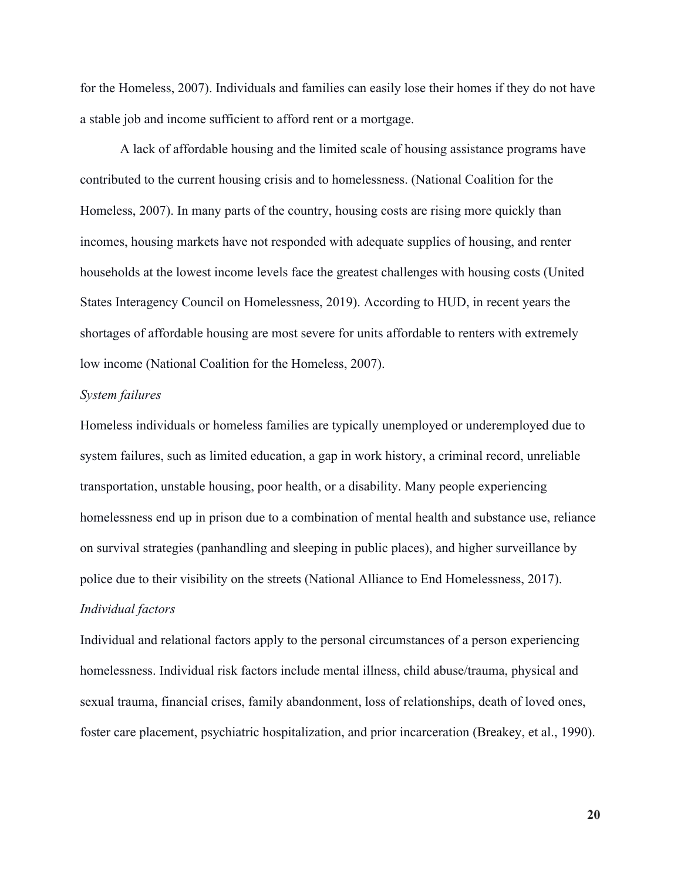for the Homeless, 2007). Individuals and families can easily lose their homes if they do not have a stable job and income sufficient to afford rent or a mortgage.

A lack of affordable housing and the limited scale of housing assistance programs have contributed to the current housing crisis and to homelessness. (National Coalition for the Homeless, 2007). In many parts of the country, housing costs are rising more quickly than incomes, housing markets have not responded with adequate supplies of housing, and renter households at the lowest income levels face the greatest challenges with housing costs (United States Interagency Council on Homelessness, 2019). According to HUD, in recent years the shortages of affordable housing are most severe for units affordable to renters with extremely low income (National Coalition for the Homeless, 2007).

#### *System failures*

Homeless individuals or homeless families are typically unemployed or underemployed due to system failures, such as limited education, a gap in work history, a criminal record, unreliable transportation, unstable housing, poor health, or a disability. Many people experiencing homelessness end up in prison due to a combination of mental health and substance use, reliance on survival strategies (panhandling and sleeping in public places), and higher surveillance by police due to their visibility on the streets (National Alliance to End Homelessness, 2017). *Individual factors*

Individual and relational factors apply to the personal circumstances of a person experiencing homelessness. Individual risk factors include mental illness, child abuse/trauma, physical and sexual trauma, financial crises, family abandonment, loss of relationships, death of loved ones, foster care placement, psychiatric hospitalization, and prior incarceration (Breakey, et al., 1990).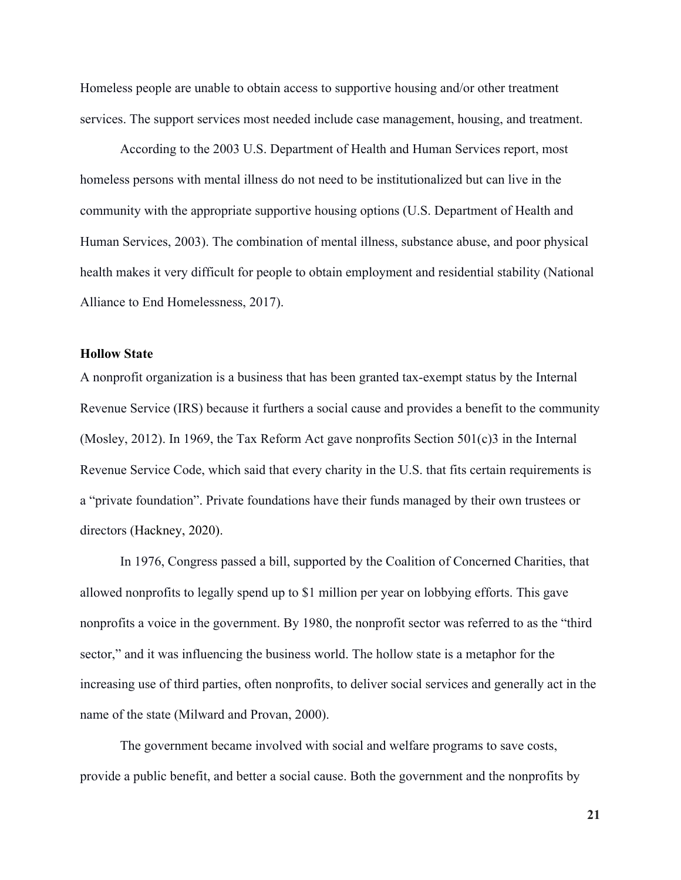Homeless people are unable to obtain access to supportive housing and/or other treatment services. The support services most needed include case management, housing, and treatment.

According to the 2003 U.S. Department of Health and Human Services report, most homeless persons with mental illness do not need to be institutionalized but can live in the community with the appropriate supportive housing options (U.S. Department of Health and Human Services, 2003). The combination of mental illness, substance abuse, and poor physical health makes it very difficult for people to obtain employment and residential stability (National Alliance to End Homelessness, 2017).

#### <span id="page-21-0"></span>**Hollow State**

A nonprofit organization is a business that has been granted tax-exempt status by the Internal Revenue Service (IRS) because it furthers a social cause and provides a benefit to the community (Mosley, 2012). In 1969, the Tax Reform Act gave nonprofits Section 501(c)3 in the Internal Revenue Service Code, which said that every charity in the U.S. that fits certain requirements is a "private foundation". Private foundations have their funds managed by their own trustees or directors (Hackney, 2020).

In 1976, Congress passed a bill, supported by the Coalition of Concerned Charities, that allowed nonprofits to legally spend up to \$1 million per year on lobbying efforts. This gave nonprofits a voice in the government. By 1980, the nonprofit sector was referred to as the "third sector," and it was influencing the business world. The hollow state is a metaphor for the increasing use of third parties, often nonprofits, to deliver social services and generally act in the name of the state (Milward and Provan, 2000).

The government became involved with social and welfare programs to save costs, provide a public benefit, and better a social cause. Both the government and the nonprofits by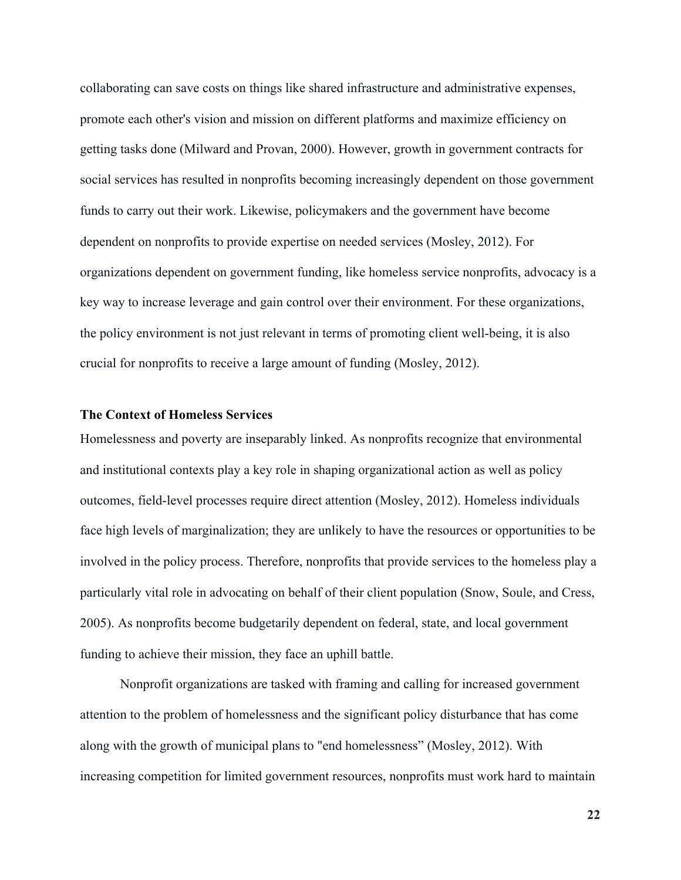collaborating can save costs on things like shared infrastructure and administrative expenses, promote each other's vision and mission on different platforms and maximize efficiency on getting tasks done (Milward and Provan, 2000). However, growth in government contracts for social services has resulted in nonprofits becoming increasingly dependent on those government funds to carry out their work. Likewise, policymakers and the government have become dependent on nonprofits to provide expertise on needed services (Mosley, 2012). For organizations dependent on government funding, like homeless service nonprofits, advocacy is a key way to increase leverage and gain control over their environment. For these organizations, the policy environment is not just relevant in terms of promoting client well-being, it is also crucial for nonprofits to receive a large amount of funding (Mosley, 2012).

#### <span id="page-22-0"></span>**The Context of Homeless Services**

Homelessness and poverty are inseparably linked. As nonprofits recognize that environmental and institutional contexts play a key role in shaping organizational action as well as policy outcomes, field-level processes require direct attention (Mosley, 2012). Homeless individuals face high levels of marginalization; they are unlikely to have the resources or opportunities to be involved in the policy process. Therefore, nonprofits that provide services to the homeless play a particularly vital role in advocating on behalf of their client population (Snow, Soule, and Cress, 2005). As nonprofits become budgetarily dependent on federal, state, and local government funding to achieve their mission, they face an uphill battle.

Nonprofit organizations are tasked with framing and calling for increased government attention to the problem of homelessness and the significant policy disturbance that has come along with the growth of municipal plans to "end homelessness" (Mosley, 2012). With increasing competition for limited government resources, nonprofits must work hard to maintain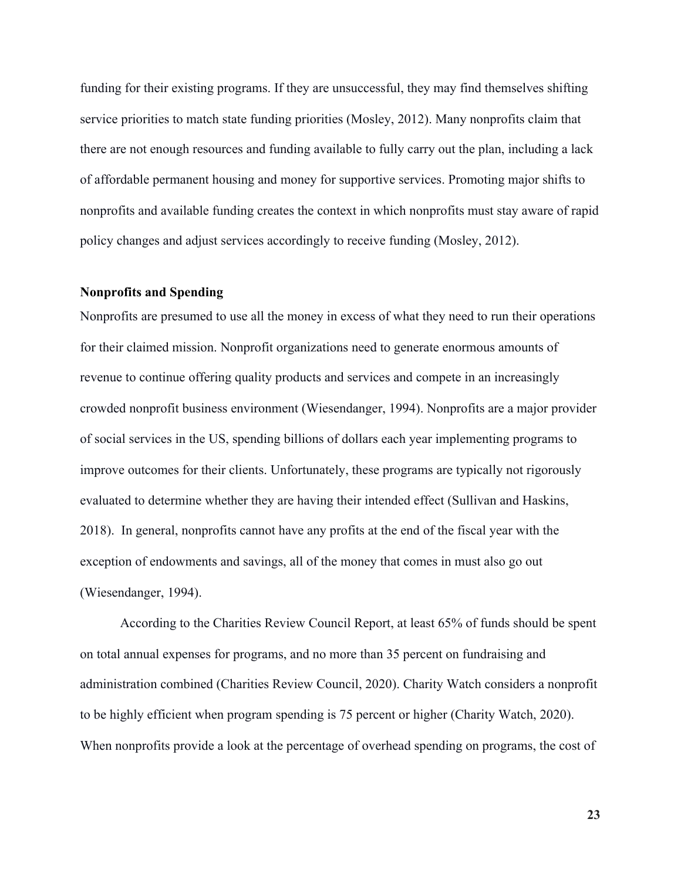funding for their existing programs. If they are unsuccessful, they may find themselves shifting service priorities to match state funding priorities (Mosley, 2012). Many nonprofits claim that there are not enough resources and funding available to fully carry out the plan, including a lack of affordable permanent housing and money for supportive services. Promoting major shifts to nonprofits and available funding creates the context in which nonprofits must stay aware of rapid policy changes and adjust services accordingly to receive funding (Mosley, 2012).

#### <span id="page-23-0"></span>**Nonprofits and Spending**

Nonprofits are presumed to use all the money in excess of what they need to run their operations for their claimed mission. Nonprofit organizations need to generate enormous amounts of revenue to continue offering quality products and services and compete in an increasingly crowded nonprofit business environment (Wiesendanger, 1994). Nonprofits are a major provider of social services in the US, spending billions of dollars each year implementing programs to improve outcomes for their clients. Unfortunately, these programs are typically not rigorously evaluated to determine whether they are having their intended effect (Sullivan and Haskins, 2018). In general, nonprofits cannot have any profits at the end of the fiscal year with the exception of endowments and savings, all of the money that comes in must also go out (Wiesendanger, 1994).

According to the Charities Review Council Report, at least 65% of funds should be spent on total annual expenses for programs, and no more than 35 percent on fundraising and administration combined (Charities Review Council, 2020). Charity Watch considers a nonprofit to be highly efficient when program spending is 75 percent or higher (Charity Watch, 2020). When nonprofits provide a look at the percentage of overhead spending on programs, the cost of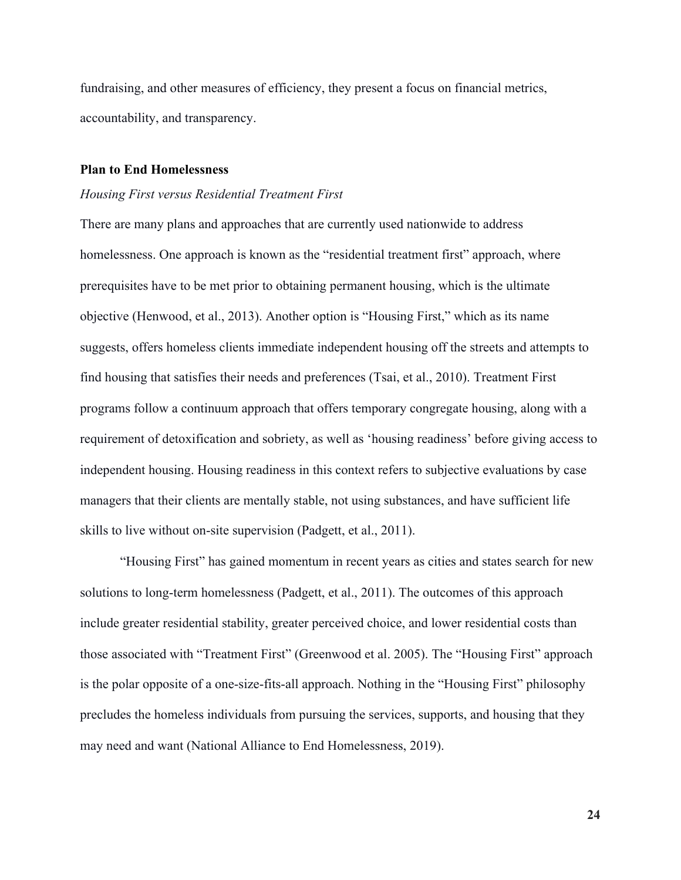fundraising, and other measures of efficiency, they present a focus on financial metrics, accountability, and transparency.

#### <span id="page-24-0"></span>**Plan to End Homelessness**

#### *Housing First versus Residential Treatment First*

There are many plans and approaches that are currently used nationwide to address homelessness. One approach is known as the "residential treatment first" approach, where prerequisites have to be met prior to obtaining permanent housing, which is the ultimate objective (Henwood, et al., 2013). Another option is "Housing First," which as its name suggests, offers homeless clients immediate independent housing off the streets and attempts to find housing that satisfies their needs and preferences (Tsai, et al., 2010). Treatment First programs follow a continuum approach that offers temporary congregate housing, along with a requirement of detoxification and sobriety, as well as 'housing readiness' before giving access to independent housing. Housing readiness in this context refers to subjective evaluations by case managers that their clients are mentally stable, not using substances, and have sufficient life skills to live without on-site supervision (Padgett, et al., 2011).

"Housing First" has gained momentum in recent years as cities and states search for new solutions to long-term homelessness (Padgett, et al., 2011). The outcomes of this approach include greater residential stability, greater perceived choice, and lower residential costs than those associated with "Treatment First" (Greenwood et al. 2005). The "Housing First" approach is the polar opposite of a one-size-fits-all approach. Nothing in the "Housing First" philosophy precludes the homeless individuals from pursuing the services, supports, and housing that they may need and want (National Alliance to End Homelessness, 2019).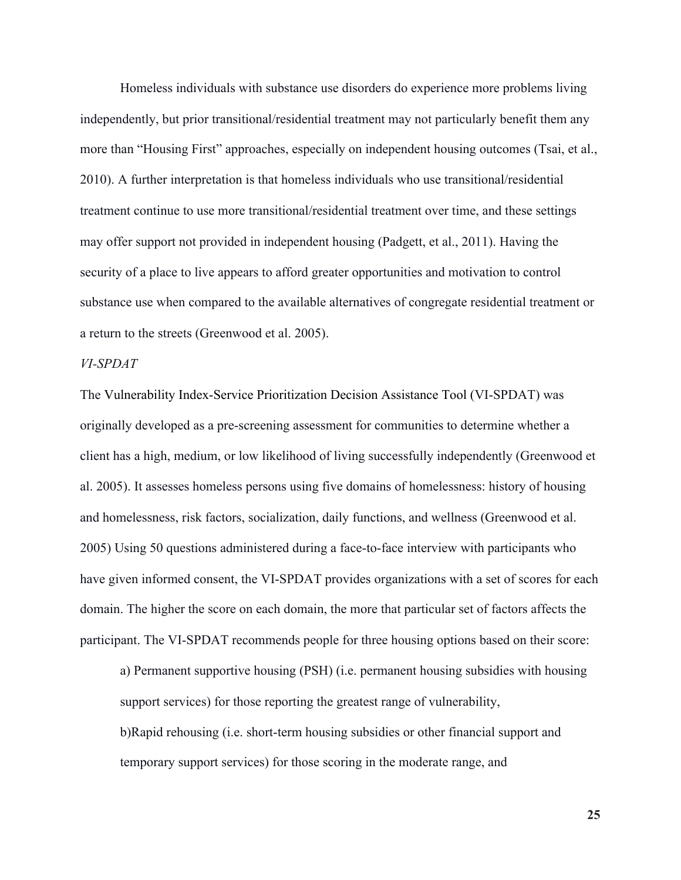Homeless individuals with substance use disorders do experience more problems living independently, but prior transitional/residential treatment may not particularly benefit them any more than "Housing First" approaches, especially on independent housing outcomes (Tsai, et al., 2010). A further interpretation is that homeless individuals who use transitional/residential treatment continue to use more transitional/residential treatment over time, and these settings may offer support not provided in independent housing (Padgett, et al., 2011). Having the security of a place to live appears to afford greater opportunities and motivation to control substance use when compared to the available alternatives of congregate residential treatment or a return to the streets (Greenwood et al. 2005).

#### *VI-SPDAT*

The Vulnerability Index-Service Prioritization Decision Assistance Tool (VI-SPDAT) was originally developed as a pre-screening assessment for communities to determine whether a client has a high, medium, or low likelihood of living successfully independently (Greenwood et al. 2005). It assesses homeless persons using five domains of homelessness: history of housing and homelessness, risk factors, socialization, daily functions, and wellness (Greenwood et al. 2005) Using 50 questions administered during a face-to-face interview with participants who have given informed consent, the VI-SPDAT provides organizations with a set of scores for each domain. The higher the score on each domain, the more that particular set of factors affects the participant. The VI-SPDAT recommends people for three housing options based on their score:

a) Permanent supportive housing (PSH) (i.e. permanent housing subsidies with housing support services) for those reporting the greatest range of vulnerability, b)Rapid rehousing (i.e. short-term housing subsidies or other financial support and

temporary support services) for those scoring in the moderate range, and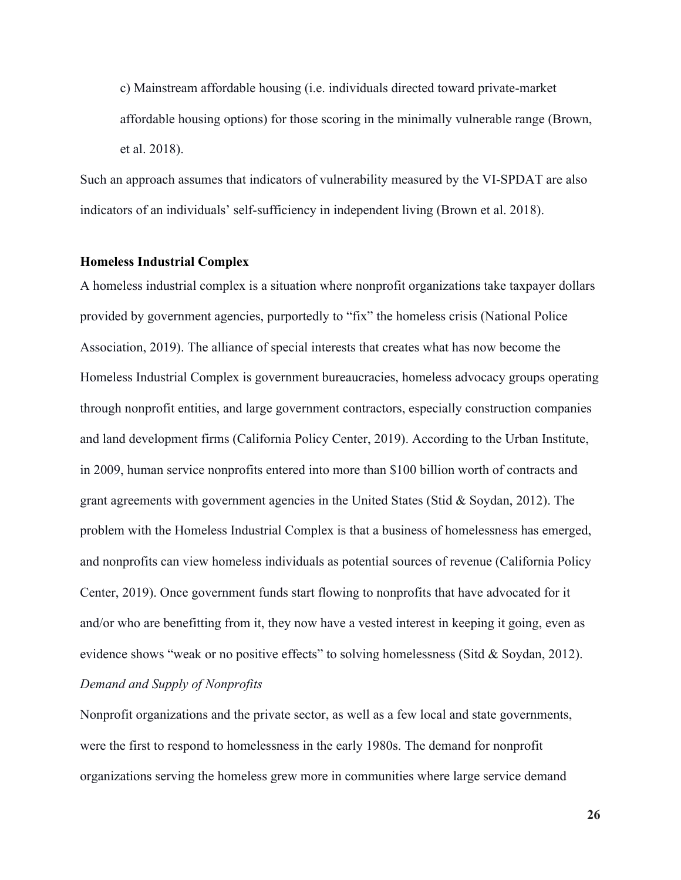c) Mainstream affordable housing (i.e. individuals directed toward private-market affordable housing options) for those scoring in the minimally vulnerable range (Brown, et al. 2018).

Such an approach assumes that indicators of vulnerability measured by the VI-SPDAT are also indicators of an individuals' self-sufficiency in independent living (Brown et al. 2018).

#### <span id="page-26-0"></span>**Homeless Industrial Complex**

A homeless industrial complex is a situation where nonprofit organizations take taxpayer dollars provided by government agencies, purportedly to "fix" the homeless crisis (National Police Association, 2019). The alliance of special interests that creates what has now become the Homeless Industrial Complex is government bureaucracies, homeless advocacy groups operating through nonprofit entities, and large government contractors, especially construction companies and land development firms (California Policy Center, 2019). According to the Urban Institute, in 2009, human service nonprofits entered into more than \$100 billion worth of contracts and grant agreements with government agencies in the United States (Stid & Soydan, 2012). The problem with the Homeless Industrial Complex is that a business of homelessness has emerged, and nonprofits can view homeless individuals as potential sources of revenue (California Policy Center, 2019). Once government funds start flowing to nonprofits that have advocated for it and/or who are benefitting from it, they now have a vested interest in keeping it going, even as evidence shows "weak or no positive effects" to solving homelessness (Sitd & Soydan, 2012). *Demand and Supply of Nonprofits*

Nonprofit organizations and the private sector, as well as a few local and state governments, were the first to respond to homelessness in the early 1980s. The demand for nonprofit organizations serving the homeless grew more in communities where large service demand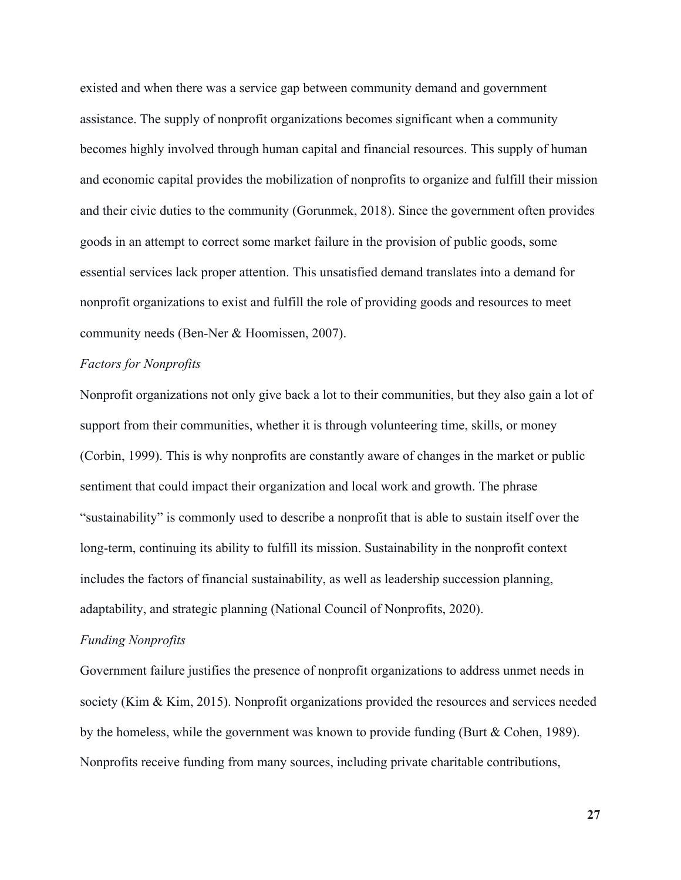existed and when there was a service gap between community demand and government assistance. The supply of nonprofit organizations becomes significant when a community becomes highly involved through human capital and financial resources. This supply of human and economic capital provides the mobilization of nonprofits to organize and fulfill their mission and their civic duties to the community (Gorunmek, 2018). Since the government often provides goods in an attempt to correct some market failure in the provision of public goods, some essential services lack proper attention. This unsatisfied demand translates into a demand for nonprofit organizations to exist and fulfill the role of providing goods and resources to meet community needs (Ben-Ner & Hoomissen, 2007).

#### *Factors for Nonprofits*

Nonprofit organizations not only give back a lot to their communities, but they also gain a lot of support from their communities, whether it is through volunteering time, skills, or money (Corbin, 1999). This is why nonprofits are constantly aware of changes in the market or public sentiment that could impact their organization and local work and growth. The phrase "sustainability" is commonly used to describe a nonprofit that is able to sustain itself over the long-term, continuing its ability to fulfill its mission. Sustainability in the nonprofit context includes the factors of financial sustainability, as well as leadership succession planning, adaptability, and strategic planning (National Council of Nonprofits, 2020).

#### *Funding Nonprofits*

Government failure justifies the presence of nonprofit organizations to address unmet needs in society (Kim & Kim, 2015). Nonprofit organizations provided the resources and services needed by the homeless, while the government was known to provide funding (Burt & Cohen, 1989). Nonprofits receive funding from many sources, including private charitable contributions,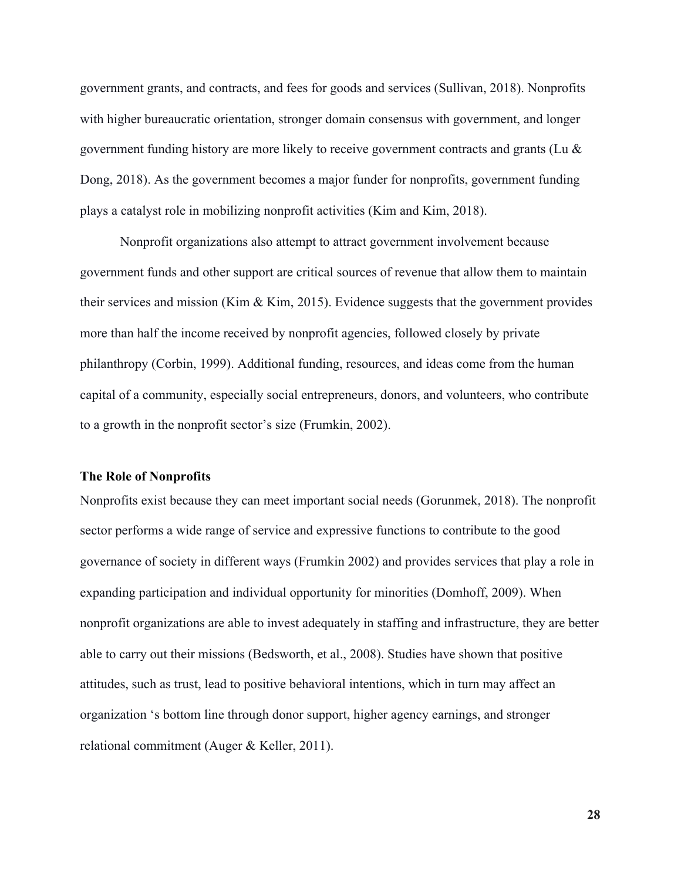government grants, and contracts, and fees for goods and services (Sullivan, 2018). Nonprofits with higher bureaucratic orientation, stronger domain consensus with government, and longer government funding history are more likely to receive government contracts and grants (Lu & Dong, 2018). As the government becomes a major funder for nonprofits, government funding plays a catalyst role in mobilizing nonprofit activities (Kim and Kim, 2018).

Nonprofit organizations also attempt to attract government involvement because government funds and other support are critical sources of revenue that allow them to maintain their services and mission (Kim & Kim, 2015). Evidence suggests that the government provides more than half the income received by nonprofit agencies, followed closely by private philanthropy (Corbin, 1999). Additional funding, resources, and ideas come from the human capital of a community, especially social entrepreneurs, donors, and volunteers, who contribute to a growth in the nonprofit sector's size (Frumkin, 2002).

#### <span id="page-28-0"></span>**The Role of Nonprofits**

Nonprofits exist because they can meet important social needs (Gorunmek, 2018). The nonprofit sector performs a wide range of service and expressive functions to contribute to the good governance of society in different ways (Frumkin 2002) and provides services that play a role in expanding participation and individual opportunity for minorities (Domhoff, 2009). When nonprofit organizations are able to invest adequately in staffing and infrastructure, they are better able to carry out their missions (Bedsworth, et al., 2008). Studies have shown that positive attitudes, such as trust, lead to positive behavioral intentions, which in turn may affect an organization 's bottom line through donor support, higher agency earnings, and stronger relational commitment (Auger & Keller, 2011).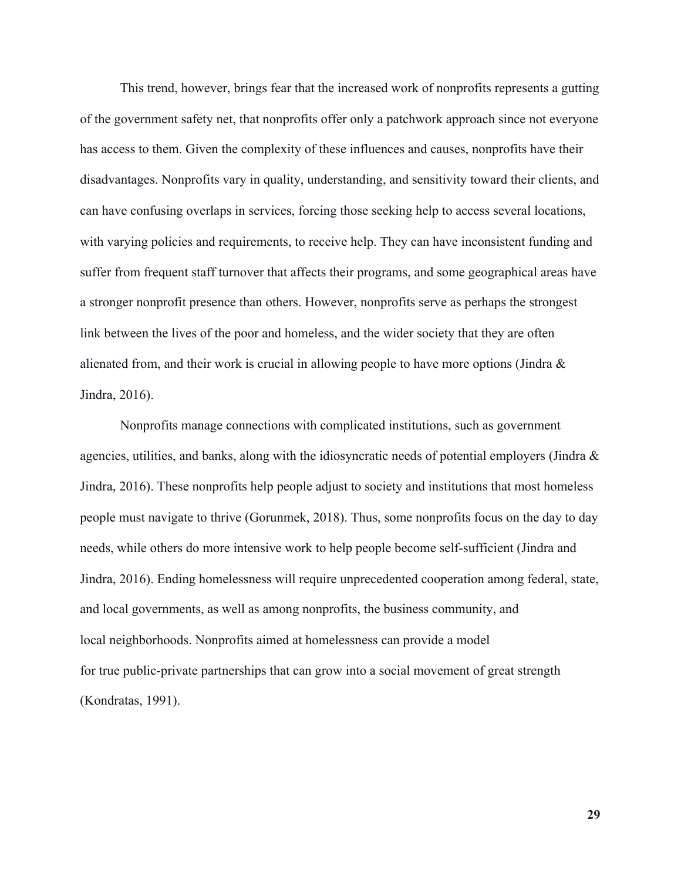This trend, however, brings fear that the increased work of nonprofits represents a gutting of the government safety net, that nonprofits offer only a patchwork approach since not everyone has access to them. Given the complexity of these influences and causes, nonprofits have their disadvantages. Nonprofits vary in quality, understanding, and sensitivity toward their clients, and can have confusing overlaps in services, forcing those seeking help to access several locations, with varying policies and requirements, to receive help. They can have inconsistent funding and suffer from frequent staff turnover that affects their programs, and some geographical areas have a stronger nonprofit presence than others. However, nonprofits serve as perhaps the strongest link between the lives of the poor and homeless, and the wider society that they are often alienated from, and their work is crucial in allowing people to have more options (Jindra  $\&$ Jindra, 2016).

Nonprofits manage connections with complicated institutions, such as government agencies, utilities, and banks, along with the idiosyncratic needs of potential employers (Jindra & Jindra, 2016). These nonprofits help people adjust to society and institutions that most homeless people must navigate to thrive (Gorunmek, 2018). Thus, some nonprofits focus on the day to day needs, while others do more intensive work to help people become self-sufficient (Jindra and Jindra, 2016). Ending homelessness will require unprecedented cooperation among federal, state, and local governments, as well as among nonprofits, the business community, and local neighborhoods. Nonprofits aimed at homelessness can provide a model for true public-private partnerships that can grow into a social movement of great strength (Kondratas, 1991).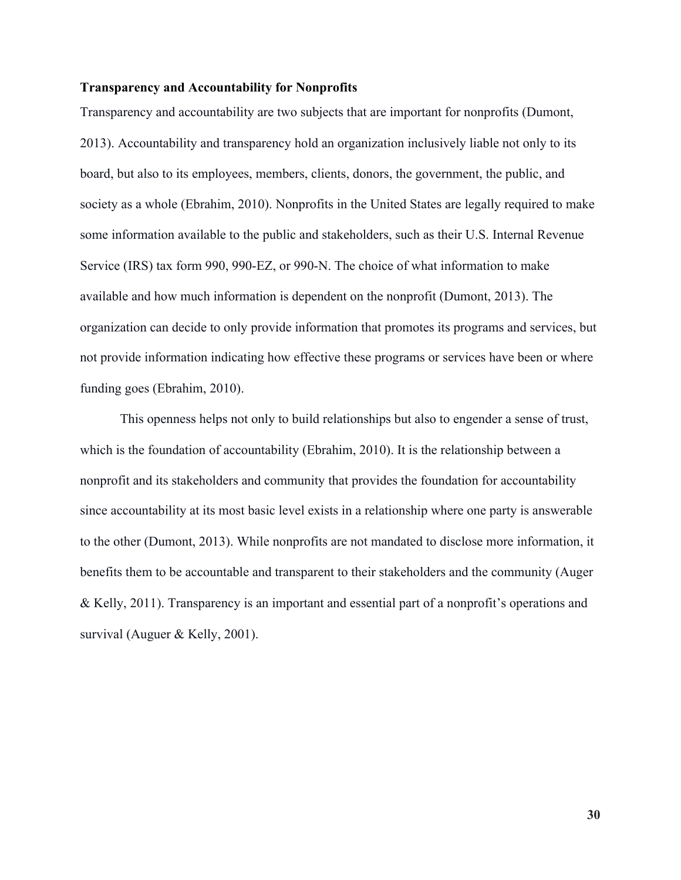#### <span id="page-30-0"></span>**Transparency and Accountability for Nonprofits**

Transparency and accountability are two subjects that are important for nonprofits (Dumont, 2013). Accountability and transparency hold an organization inclusively liable not only to its board, but also to its employees, members, clients, donors, the government, the public, and society as a whole (Ebrahim, 2010). Nonprofits in the United States are legally required to make some information available to the public and stakeholders, such as their U.S. Internal Revenue Service (IRS) tax form 990, 990-EZ, or 990-N. The choice of what information to make available and how much information is dependent on the nonprofit (Dumont, 2013). The organization can decide to only provide information that promotes its programs and services, but not provide information indicating how effective these programs or services have been or where funding goes (Ebrahim, 2010).

This openness helps not only to build relationships but also to engender a sense of trust, which is the foundation of accountability (Ebrahim, 2010). It is the relationship between a nonprofit and its stakeholders and community that provides the foundation for accountability since accountability at its most basic level exists in a relationship where one party is answerable to the other (Dumont, 2013). While nonprofits are not mandated to disclose more information, it benefits them to be accountable and transparent to their stakeholders and the community (Auger & Kelly, 2011). Transparency is an important and essential part of a nonprofit's operations and survival (Auguer & Kelly, 2001).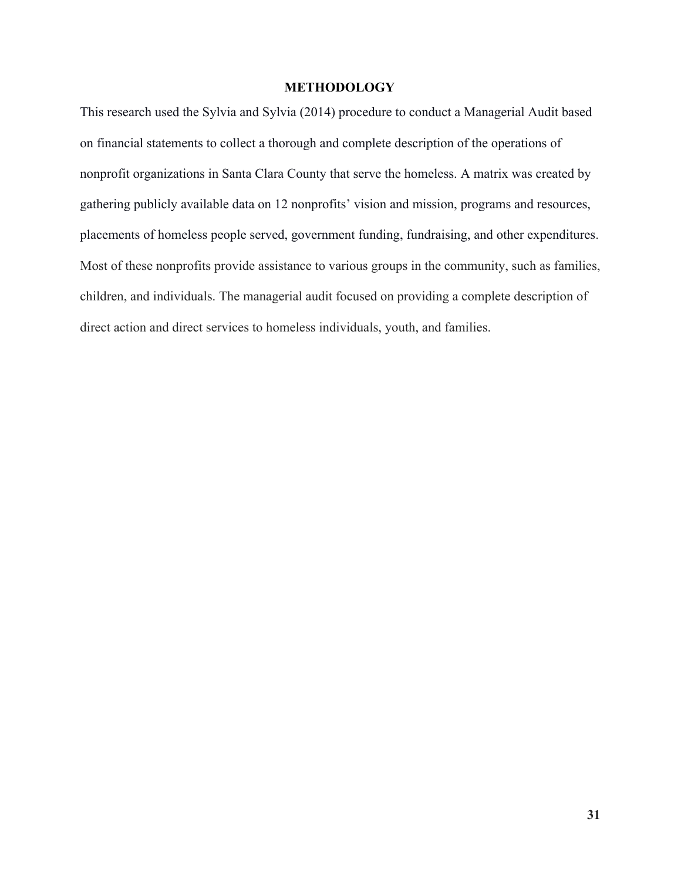#### **METHODOLOGY**

<span id="page-31-0"></span>This research used the Sylvia and Sylvia (2014) procedure to conduct a Managerial Audit based on financial statements to collect a thorough and complete description of the operations of nonprofit organizations in Santa Clara County that serve the homeless. A matrix was created by gathering publicly available data on 12 nonprofits' vision and mission, programs and resources, placements of homeless people served, government funding, fundraising, and other expenditures. Most of these nonprofits provide assistance to various groups in the community, such as families, children, and individuals. The managerial audit focused on providing a complete description of direct action and direct services to homeless individuals, youth, and families.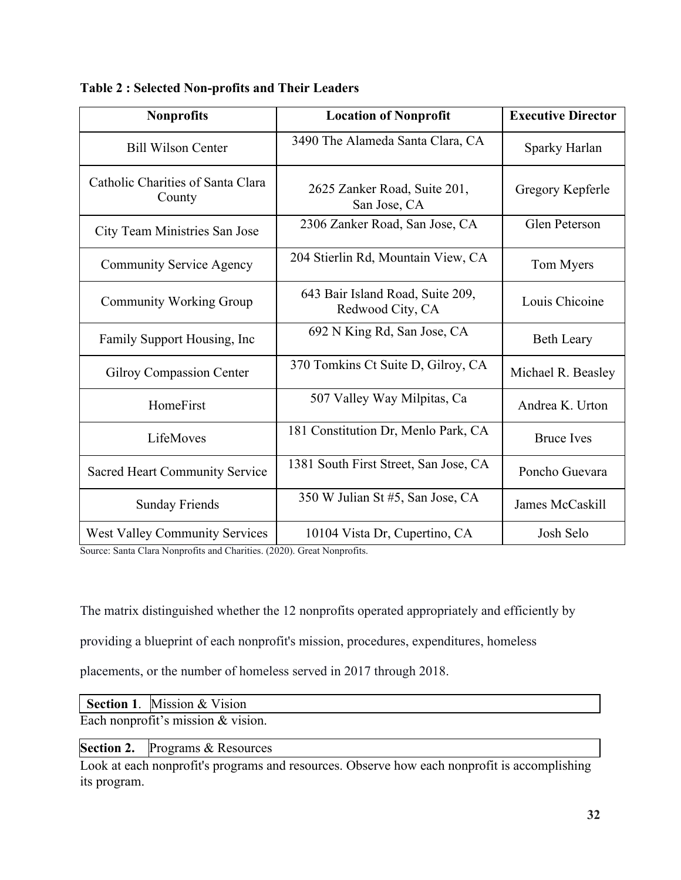| <b>Nonprofits</b>                           | <b>Location of Nonprofit</b>                         | <b>Executive Director</b> |
|---------------------------------------------|------------------------------------------------------|---------------------------|
| <b>Bill Wilson Center</b>                   | 3490 The Alameda Santa Clara, CA                     | Sparky Harlan             |
| Catholic Charities of Santa Clara<br>County | 2625 Zanker Road, Suite 201,<br>San Jose, CA         | Gregory Kepferle          |
| City Team Ministries San Jose               | 2306 Zanker Road, San Jose, CA                       | Glen Peterson             |
| <b>Community Service Agency</b>             | 204 Stierlin Rd, Mountain View, CA                   | Tom Myers                 |
| <b>Community Working Group</b>              | 643 Bair Island Road, Suite 209,<br>Redwood City, CA | Louis Chicoine            |
| Family Support Housing, Inc.                | 692 N King Rd, San Jose, CA                          | <b>Beth Leary</b>         |
| <b>Gilroy Compassion Center</b>             | 370 Tomkins Ct Suite D, Gilroy, CA                   | Michael R. Beasley        |
| HomeFirst                                   | 507 Valley Way Milpitas, Ca                          | Andrea K. Urton           |
| LifeMoves                                   | 181 Constitution Dr, Menlo Park, CA                  | <b>Bruce Ives</b>         |
| <b>Sacred Heart Community Service</b>       | 1381 South First Street, San Jose, CA                | Poncho Guevara            |
| <b>Sunday Friends</b>                       | 350 W Julian St #5, San Jose, CA                     | James McCaskill           |
| <b>West Valley Community Services</b>       | 10104 Vista Dr, Cupertino, CA                        | Josh Selo                 |

<span id="page-32-0"></span>**Table 2 : Selected Non-profits and Their Leaders**

Source: Santa Clara Nonprofits and Charities. (2020). Great Nonprofits.

The matrix distinguished whether the 12 nonprofits operated appropriately and efficiently by

providing a blueprint of each nonprofit's mission, procedures, expenditures, homeless

placements, or the number of homeless served in 2017 through 2018.

|                                      | <b>Section 1.</b> Mission & Vision     |  |  |  |
|--------------------------------------|----------------------------------------|--|--|--|
| Each nonprofit's mission $&$ vision. |                                        |  |  |  |
|                                      | <b>Section 2.</b> Programs & Resources |  |  |  |

Look at each nonprofit's programs and resources. Observe how each nonprofit is accomplishing its program.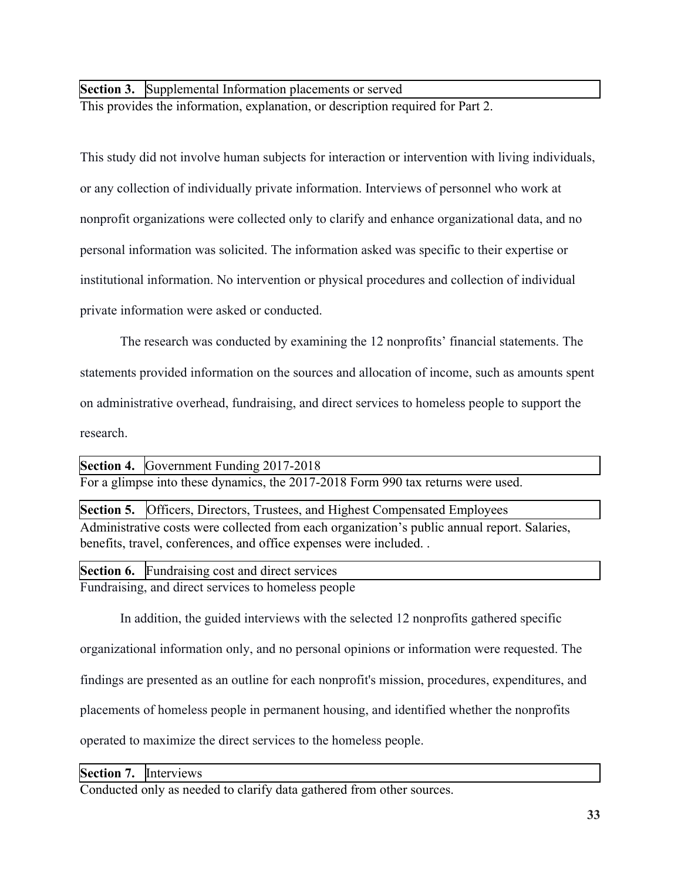**Section 3.** Supplemental Information placements or served

This provides the information, explanation, or description required for Part 2.

This study did not involve human subjects for interaction or intervention with living individuals, or any collection of individually private information. Interviews of personnel who work at nonprofit organizations were collected only to clarify and enhance organizational data, and no personal information was solicited. The information asked was specific to their expertise or institutional information. No intervention or physical procedures and collection of individual private information were asked or conducted.

The research was conducted by examining the 12 nonprofits' financial statements. The statements provided information on the sources and allocation of income, such as amounts spent on administrative overhead, fundraising, and direct services to homeless people to support the research.

For a glimpse into these dynamics, the 2017-2018 Form 990 tax returns were used. **Section 4.** Government Funding 2017-2018

Administrative costs were collected from each organization's public annual report. Salaries, benefits, travel, conferences, and office expenses were included. . **Section 5.** Officers, Directors, Trustees, and Highest Compensated Employees

Fundraising, and direct services to homeless people **Section 6.** Fundraising cost and direct services

In addition, the guided interviews with the selected 12 nonprofits gathered specific

organizational information only, and no personal opinions or information were requested. The

findings are presented as an outline for each nonprofit's mission, procedures, expenditures, and

placements of homeless people in permanent housing, and identified whether the nonprofits

operated to maximize the direct services to the homeless people.

**Section 7.** Interviews

Conducted only as needed to clarify data gathered from other sources.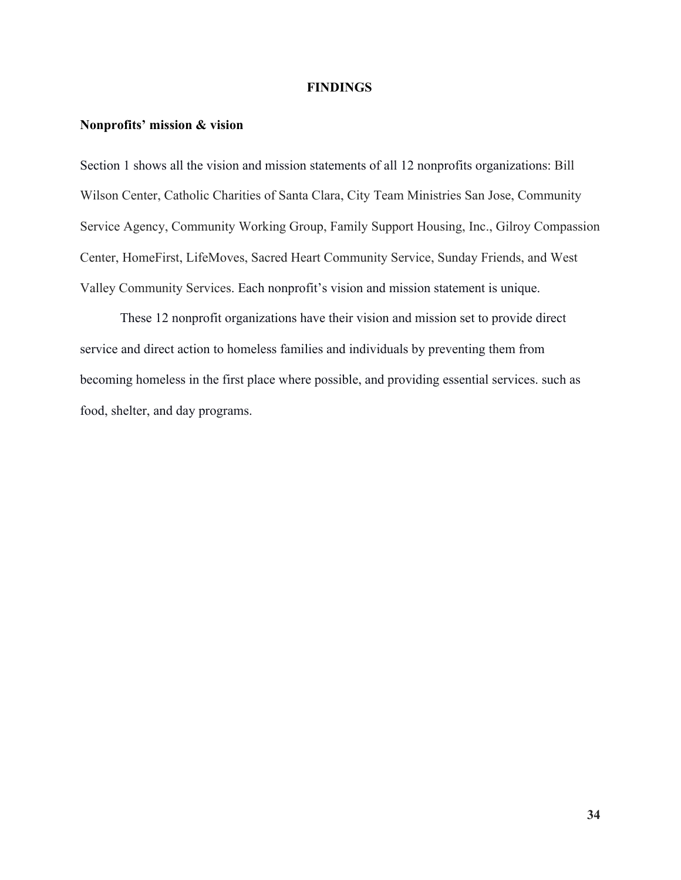#### **FINDINGS**

#### <span id="page-34-1"></span><span id="page-34-0"></span>**Nonprofits' mission & vision**

Section 1 shows all the vision and mission statements of all 12 nonprofits organizations: Bill Wilson Center, Catholic Charities of Santa Clara, City Team Ministries San Jose, Community Service Agency, Community Working Group, Family Support Housing, Inc., Gilroy Compassion Center, HomeFirst, LifeMoves, Sacred Heart Community Service, Sunday Friends, and West Valley Community Services. Each nonprofit's vision and mission statement is unique.

These 12 nonprofit organizations have their vision and mission set to provide direct service and direct action to homeless families and individuals by preventing them from becoming homeless in the first place where possible, and providing essential services. such as food, shelter, and day programs.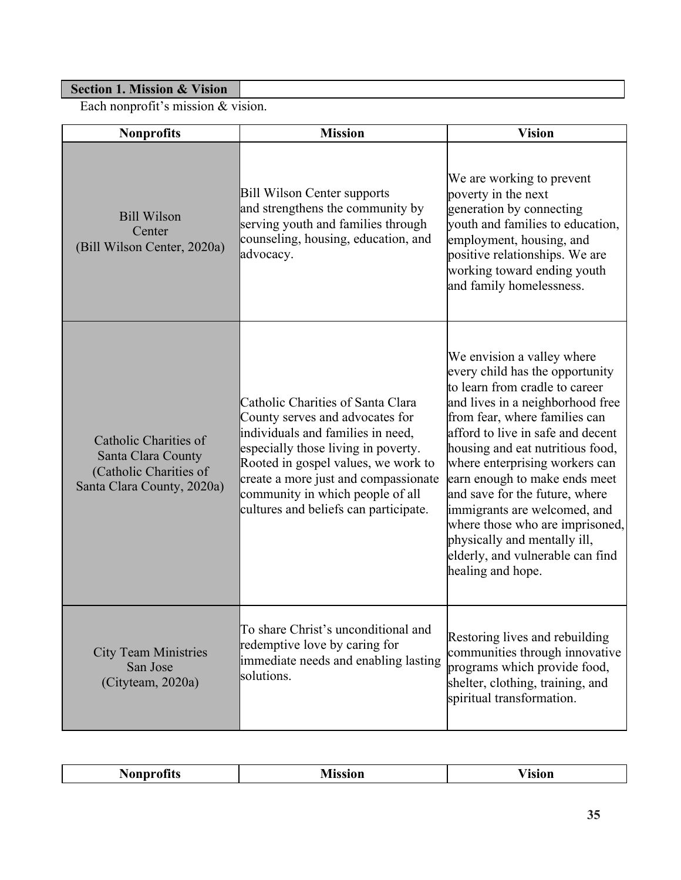## <span id="page-35-0"></span>**Section 1. Mission & Vision**

Each nonprofit's mission & vision.

| <b>Nonprofits</b>                                                                                   | <b>Mission</b>                                                                                                                                                                                                                                                                                               | <b>Vision</b>                                                                                                                                                                                                                                                                                                                                                                                                                                                                                                  |
|-----------------------------------------------------------------------------------------------------|--------------------------------------------------------------------------------------------------------------------------------------------------------------------------------------------------------------------------------------------------------------------------------------------------------------|----------------------------------------------------------------------------------------------------------------------------------------------------------------------------------------------------------------------------------------------------------------------------------------------------------------------------------------------------------------------------------------------------------------------------------------------------------------------------------------------------------------|
| <b>Bill Wilson</b><br>Center<br>(Bill Wilson Center, 2020a)                                         | <b>Bill Wilson Center supports</b><br>and strengthens the community by<br>serving youth and families through<br>counseling, housing, education, and<br>advocacy.                                                                                                                                             | We are working to prevent<br>poverty in the next<br>generation by connecting<br>youth and families to education,<br>employment, housing, and<br>positive relationships. We are<br>working toward ending youth<br>and family homelessness.                                                                                                                                                                                                                                                                      |
| Catholic Charities of<br>Santa Clara County<br>(Catholic Charities of<br>Santa Clara County, 2020a) | Catholic Charities of Santa Clara<br>County serves and advocates for<br>individuals and families in need,<br>especially those living in poverty.<br>Rooted in gospel values, we work to<br>create a more just and compassionate<br>community in which people of all<br>cultures and beliefs can participate. | We envision a valley where<br>every child has the opportunity<br>to learn from cradle to career<br>and lives in a neighborhood free<br>from fear, where families can<br>afford to live in safe and decent<br>housing and eat nutritious food,<br>where enterprising workers can<br>earn enough to make ends meet<br>and save for the future, where<br>immigrants are welcomed, and<br>where those who are imprisoned,<br>physically and mentally ill,<br>elderly, and vulnerable can find<br>healing and hope. |
| <b>City Team Ministries</b><br>San Jose<br>(Cityteam, 2020a)                                        | To share Christ's unconditional and<br>redemptive love by caring for<br>immediate needs and enabling lasting<br>solutions.                                                                                                                                                                                   | Restoring lives and rebuilding<br>communities through innovative<br>programs which provide food,<br>shelter, clothing, training, and<br>spiritual transformation.                                                                                                                                                                                                                                                                                                                                              |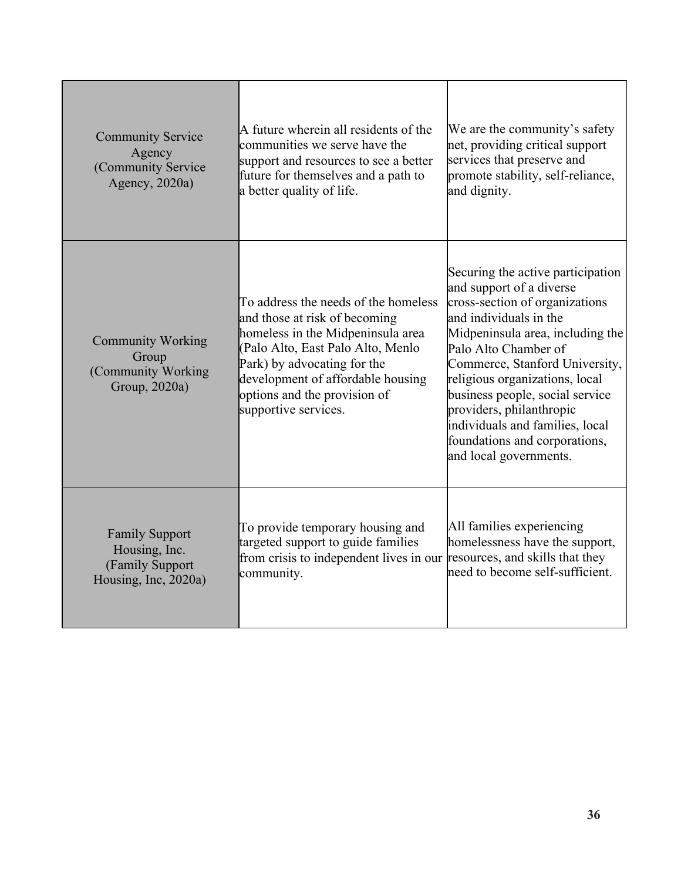| <b>Community Service</b><br>Agency<br>(Community Service<br>Agency, 2020a)        | A future wherein all residents of the<br>communities we serve have the<br>support and resources to see a better<br>future for themselves and a path to<br>a better quality of life.                                                                                         | We are the community's safety<br>net, providing critical support<br>services that preserve and<br>promote stability, self-reliance,<br>and dignity.                                                                                                                                                                                                                                                                    |
|-----------------------------------------------------------------------------------|-----------------------------------------------------------------------------------------------------------------------------------------------------------------------------------------------------------------------------------------------------------------------------|------------------------------------------------------------------------------------------------------------------------------------------------------------------------------------------------------------------------------------------------------------------------------------------------------------------------------------------------------------------------------------------------------------------------|
| <b>Community Working</b><br>Group<br>(Community Working<br>Group, 2020a)          | To address the needs of the homeless<br>and those at risk of becoming<br>homeless in the Midpeninsula area<br>(Palo Alto, East Palo Alto, Menlo<br>Park) by advocating for the<br>development of affordable housing<br>options and the provision of<br>supportive services. | Securing the active participation<br>and support of a diverse<br>cross-section of organizations<br>and individuals in the<br>Midpeninsula area, including the<br>Palo Alto Chamber of<br>Commerce, Stanford University,<br>religious organizations, local<br>business people, social service<br>providers, philanthropic<br>individuals and families, local<br>foundations and corporations,<br>and local governments. |
| <b>Family Support</b><br>Housing, Inc.<br>(Family Support<br>Housing, Inc, 2020a) | To provide temporary housing and<br>targeted support to guide families<br>from crisis to independent lives in our<br>community.                                                                                                                                             | All families experiencing<br>homelessness have the support,<br>resources, and skills that they<br>need to become self-sufficient.                                                                                                                                                                                                                                                                                      |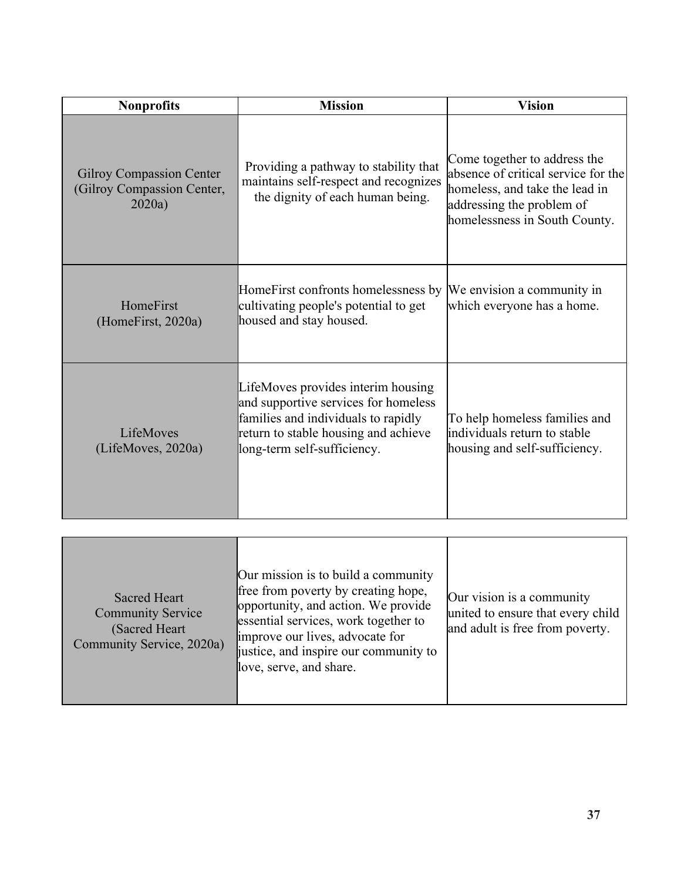| <b>Nonprofits</b>                                                       | <b>Mission</b>                                                                                                                                                                           | <b>Vision</b>                                                                                                                                                       |
|-------------------------------------------------------------------------|------------------------------------------------------------------------------------------------------------------------------------------------------------------------------------------|---------------------------------------------------------------------------------------------------------------------------------------------------------------------|
| <b>Gilroy Compassion Center</b><br>(Gilroy Compassion Center,<br>2020a) | Providing a pathway to stability that<br>maintains self-respect and recognizes<br>the dignity of each human being.                                                                       | Come together to address the<br>absence of critical service for the<br>homeless, and take the lead in<br>addressing the problem of<br>homelessness in South County. |
| HomeFirst<br>(HomeFirst, 2020a)                                         | HomeFirst confronts homelessness by<br>cultivating people's potential to get<br>housed and stay housed.                                                                                  | We envision a community in<br>which everyone has a home.                                                                                                            |
| LifeMoves<br>(LifeMoves, 2020a)                                         | LifeMoves provides interim housing<br>and supportive services for homeless<br>families and individuals to rapidly<br>return to stable housing and achieve<br>long-term self-sufficiency. | To help homeless families and<br>individuals return to stable<br>housing and self-sufficiency.                                                                      |

| <b>Sacred Heart</b><br><b>Community Service</b><br>(Sacred Heart)<br>Community Service, 2020a) | Our mission is to build a community<br>free from poverty by creating hope,<br>opportunity, and action. We provide<br>essential services, work together to<br>improve our lives, advocate for<br>justice, and inspire our community to<br>love, serve, and share. | Our vision is a community<br>united to ensure that every child<br>and adult is free from poverty. |
|------------------------------------------------------------------------------------------------|------------------------------------------------------------------------------------------------------------------------------------------------------------------------------------------------------------------------------------------------------------------|---------------------------------------------------------------------------------------------------|
|------------------------------------------------------------------------------------------------|------------------------------------------------------------------------------------------------------------------------------------------------------------------------------------------------------------------------------------------------------------------|---------------------------------------------------------------------------------------------------|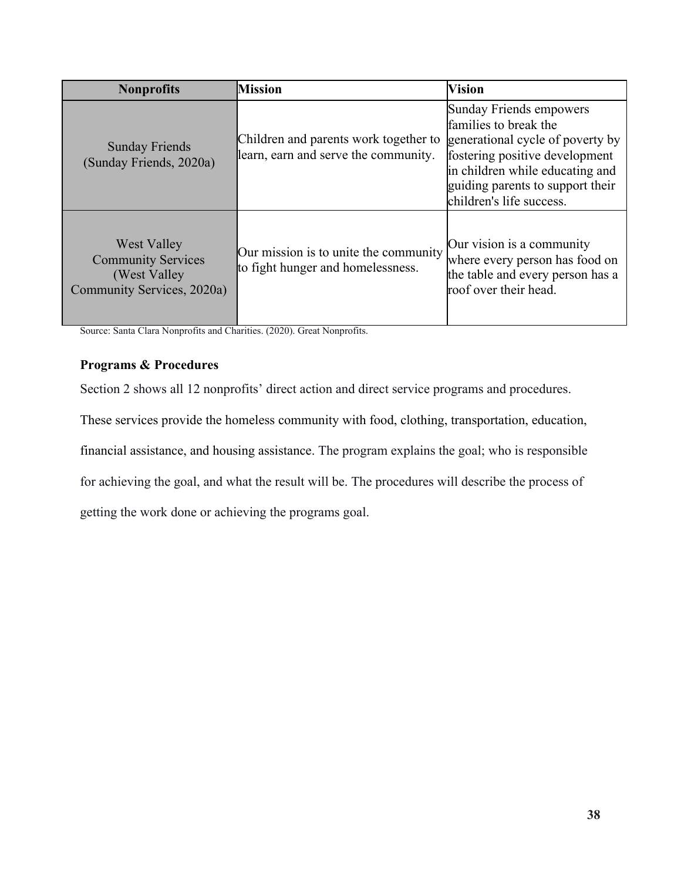| <b>Nonprofits</b>                                                                              | <b>Mission</b>                                                                | <b>Vision</b>                                                                                                                                                                                                             |
|------------------------------------------------------------------------------------------------|-------------------------------------------------------------------------------|---------------------------------------------------------------------------------------------------------------------------------------------------------------------------------------------------------------------------|
| <b>Sunday Friends</b><br>(Sunday Friends, 2020a)                                               | Children and parents work together to<br>learn, earn and serve the community. | Sunday Friends empowers<br>families to break the<br>generational cycle of poverty by<br>fostering positive development<br>in children while educating and<br>guiding parents to support their<br>children's life success. |
| <b>West Valley</b><br><b>Community Services</b><br>(West Valley)<br>Community Services, 2020a) | Our mission is to unite the community<br>to fight hunger and homelessness.    | Our vision is a community<br>where every person has food on<br>the table and every person has a<br>roof over their head.                                                                                                  |

Source: Santa Clara Nonprofits and Charities. (2020). Great Nonprofits.

# **Programs & Procedures**

Section 2 shows all 12 nonprofits' direct action and direct service programs and procedures.

These services provide the homeless community with food, clothing, transportation, education,

financial assistance, and housing assistance. The program explains the goal; who is responsible

for achieving the goal, and what the result will be. The procedures will describe the process of

getting the work done or achieving the programs goal.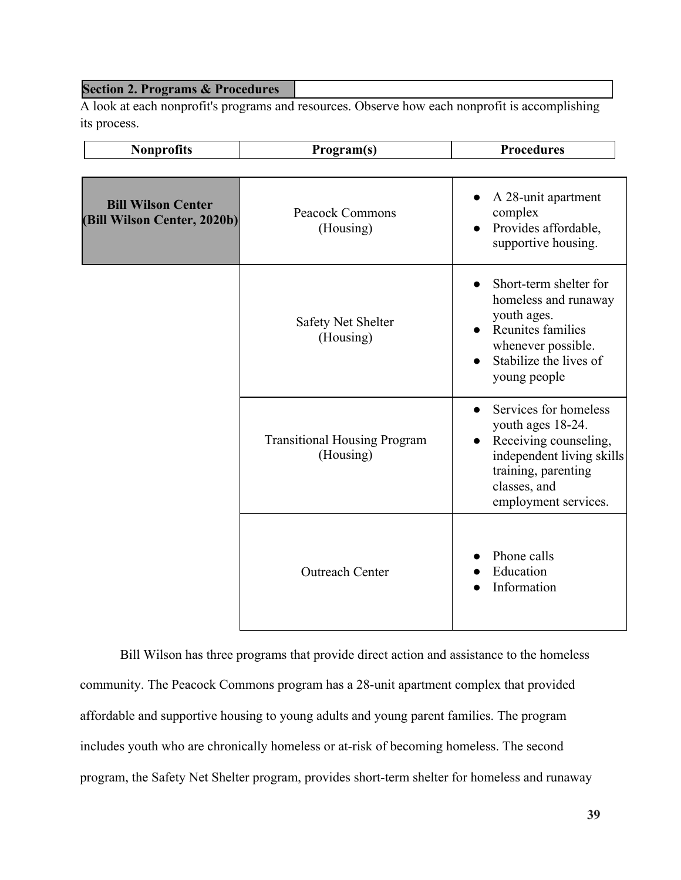## **Section 2. Programs & Procedures**

A look at each nonprofit's programs and resources. Observe how each nonprofit is accomplishing its process.

| <b>Nonprofits</b>                                        | Program(s)                                       | <b>Procedures</b>                                                                                                                                               |
|----------------------------------------------------------|--------------------------------------------------|-----------------------------------------------------------------------------------------------------------------------------------------------------------------|
|                                                          |                                                  |                                                                                                                                                                 |
| <b>Bill Wilson Center</b><br>(Bill Wilson Center, 2020b) | <b>Peacock Commons</b><br>(Housing)              | A 28-unit apartment<br>$\bullet$<br>complex<br>Provides affordable,<br>$\bullet$<br>supportive housing.                                                         |
|                                                          | <b>Safety Net Shelter</b><br>(Housing)           | Short-term shelter for<br>homeless and runaway<br>youth ages.<br>Reunites families<br>whenever possible.<br>Stabilize the lives of<br>young people              |
|                                                          | <b>Transitional Housing Program</b><br>(Housing) | Services for homeless<br>youth ages 18-24.<br>Receiving counseling,<br>independent living skills<br>training, parenting<br>classes, and<br>employment services. |
|                                                          | <b>Outreach Center</b>                           | Phone calls<br>Education<br>Information                                                                                                                         |

Bill Wilson has three programs that provide direct action and assistance to the homeless community. The Peacock Commons program has a 28-unit apartment complex that provided affordable and supportive housing to young adults and young parent families. The program includes youth who are chronically homeless or at-risk of becoming homeless. The second program, the Safety Net Shelter program, provides short-term shelter for homeless and runaway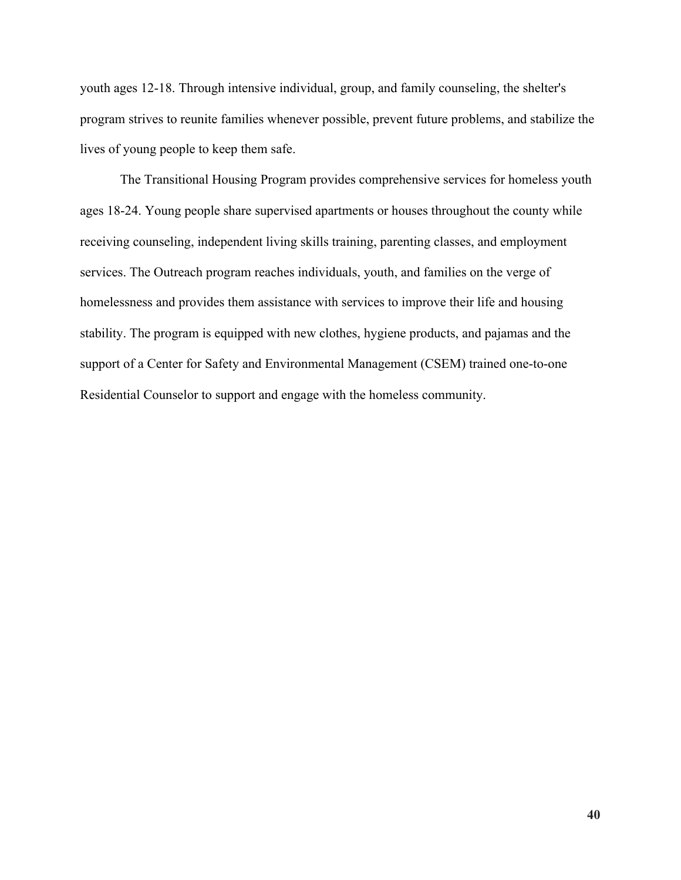youth ages 12-18. Through intensive individual, group, and family counseling, the shelter's program strives to reunite families whenever possible, prevent future problems, and stabilize the lives of young people to keep them safe.

The Transitional Housing Program provides comprehensive services for homeless youth ages 18-24. Young people share supervised apartments or houses throughout the county while receiving counseling, independent living skills training, parenting classes, and employment services. The Outreach program reaches individuals, youth, and families on the verge of homelessness and provides them assistance with services to improve their life and housing stability. The program is equipped with new clothes, hygiene products, and pajamas and the support of a Center for Safety and Environmental Management (CSEM) trained one-to-one Residential Counselor to support and engage with the homeless community.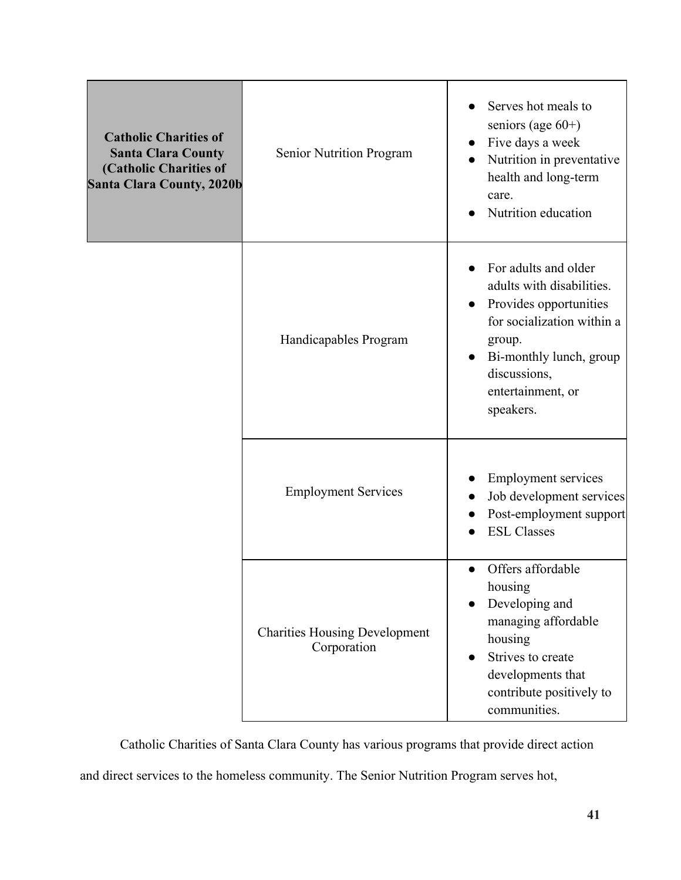| <b>Catholic Charities of</b><br><b>Santa Clara County</b><br>(Catholic Charities of<br><b>Santa Clara County, 2020b</b> | Senior Nutrition Program                            | Serves hot meals to<br>seniors (age $60+)$<br>Five days a week<br>Nutrition in preventative<br>health and long-term<br>care.<br>Nutrition education                                              |
|-------------------------------------------------------------------------------------------------------------------------|-----------------------------------------------------|--------------------------------------------------------------------------------------------------------------------------------------------------------------------------------------------------|
|                                                                                                                         | Handicapables Program                               | For adults and older<br>adults with disabilities.<br>Provides opportunities<br>for socialization within a<br>group.<br>Bi-monthly lunch, group<br>discussions,<br>entertainment, or<br>speakers. |
|                                                                                                                         | <b>Employment Services</b>                          | <b>Employment services</b><br>Job development services<br>Post-employment support<br><b>ESL Classes</b>                                                                                          |
|                                                                                                                         | <b>Charities Housing Development</b><br>Corporation | Offers affordable<br>$\bullet$<br>housing<br>Developing and<br>managing affordable<br>housing<br>Strives to create<br>developments that<br>contribute positively to<br>communities.              |

Catholic Charities of Santa Clara County has various programs that provide direct action

and direct services to the homeless community. The Senior Nutrition Program serves hot,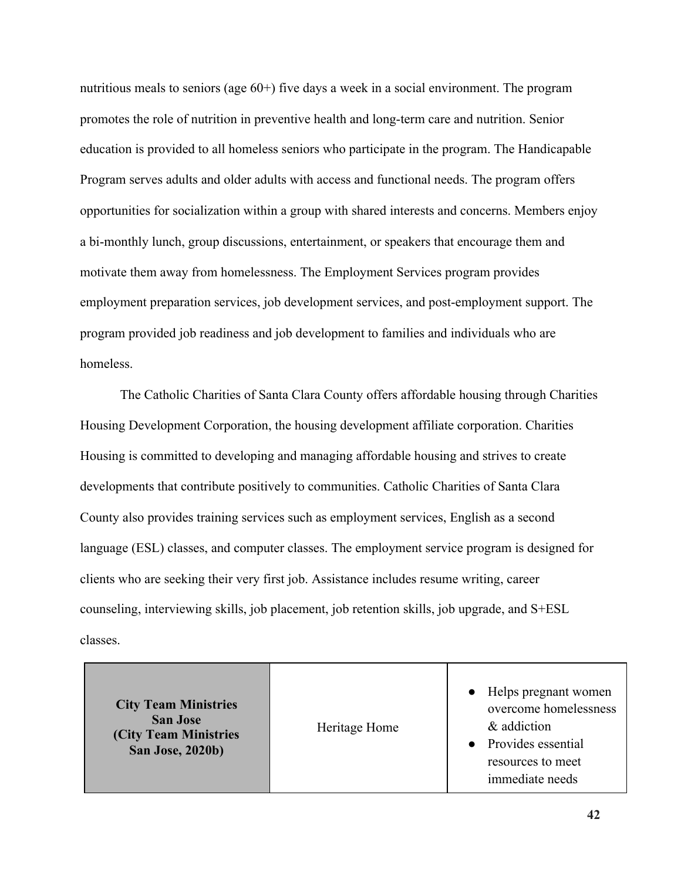nutritious meals to seniors (age 60+) five days a week in a social environment. The program promotes the role of nutrition in preventive health and long-term care and nutrition. Senior education is provided to all homeless seniors who participate in the program. The Handicapable Program serves adults and older adults with access and functional needs. The program offers opportunities for socialization within a group with shared interests and concerns. Members enjoy a bi-monthly lunch, group discussions, entertainment, or speakers that encourage them and motivate them away from homelessness. The Employment Services program provides employment preparation services, job development services, and post-employment support. The program provided job readiness and job development to families and individuals who are homeless.

The Catholic Charities of Santa Clara County offers affordable housing through Charities Housing Development Corporation, the housing development affiliate corporation. Charities Housing is committed to developing and managing affordable housing and strives to create developments that contribute positively to communities. Catholic Charities of Santa Clara County also provides training services such as employment services, English as a second language (ESL) classes, and computer classes. The employment service program is designed for clients who are seeking their very first job. Assistance includes resume writing, career counseling, interviewing skills, job placement, job retention skills, job upgrade, and S+ESL classes.

| <b>City Team Ministries</b><br><b>San Jose</b><br><b>(City Team Ministries)</b><br><b>San Jose, 2020b)</b> | Heritage Home | • Helps pregnant women<br>overcome homelessness<br>& addiction<br>• Provides essential<br>resources to meet<br>immediate needs |
|------------------------------------------------------------------------------------------------------------|---------------|--------------------------------------------------------------------------------------------------------------------------------|
|------------------------------------------------------------------------------------------------------------|---------------|--------------------------------------------------------------------------------------------------------------------------------|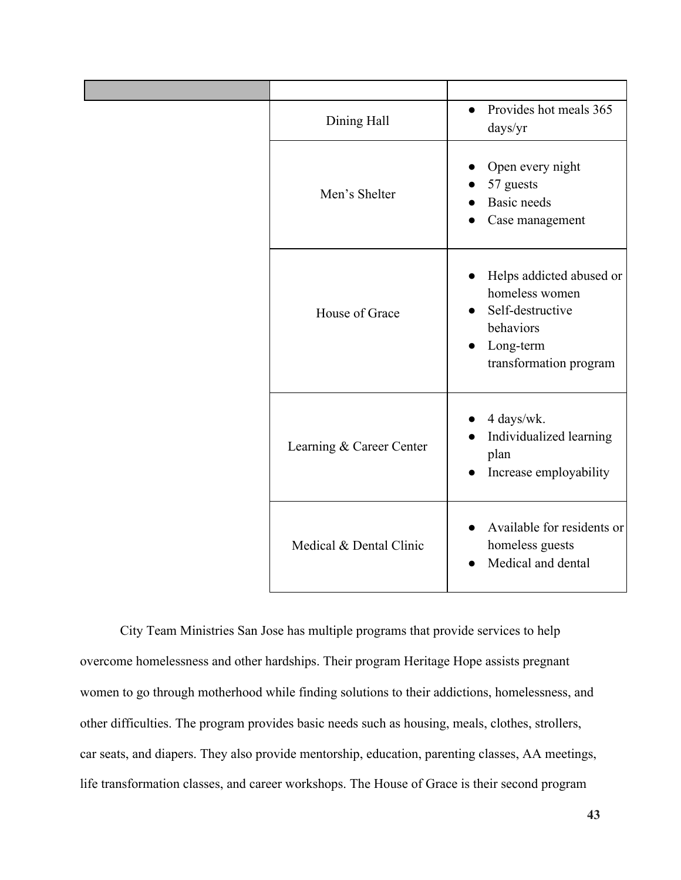| Dining Hall              | Provides hot meals 365<br>$\bullet$<br>days/yr                                                                     |
|--------------------------|--------------------------------------------------------------------------------------------------------------------|
| Men's Shelter            | Open every night<br>57 guests<br><b>Basic</b> needs<br>Case management                                             |
| House of Grace           | Helps addicted abused or<br>homeless women<br>Self-destructive<br>behaviors<br>Long-term<br>transformation program |
| Learning & Career Center | 4 days/wk.<br>Individualized learning<br>plan<br>Increase employability<br>$\bullet$                               |
| Medical & Dental Clinic  | Available for residents or<br>homeless guests<br>Medical and dental                                                |

City Team Ministries San Jose has multiple programs that provide services to help overcome homelessness and other hardships. Their program Heritage Hope assists pregnant women to go through motherhood while finding solutions to their addictions, homelessness, and other difficulties. The program provides basic needs such as housing, meals, clothes, strollers, car seats, and diapers. They also provide mentorship, education, parenting classes, AA meetings, life transformation classes, and career workshops. The House of Grace is their second program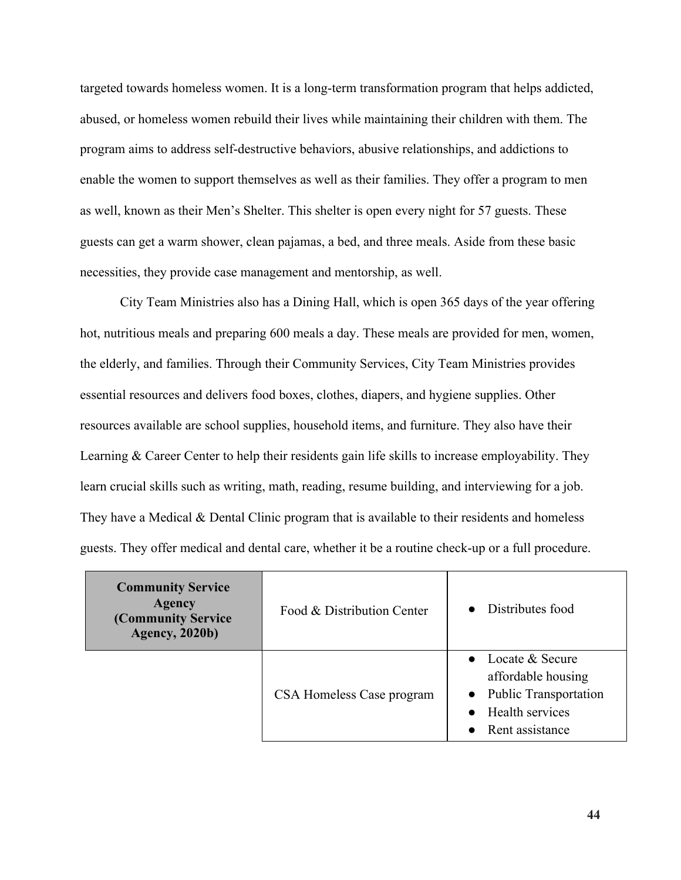targeted towards homeless women. It is a long-term transformation program that helps addicted, abused, or homeless women rebuild their lives while maintaining their children with them. The program aims to address self-destructive behaviors, abusive relationships, and addictions to enable the women to support themselves as well as their families. They offer a program to men as well, known as their Men's Shelter. This shelter is open every night for 57 guests. These guests can get a warm shower, clean pajamas, a bed, and three meals. Aside from these basic necessities, they provide case management and mentorship, as well.

City Team Ministries also has a Dining Hall, which is open 365 days of the year offering hot, nutritious meals and preparing 600 meals a day. These meals are provided for men, women, the elderly, and families. Through their Community Services, City Team Ministries provides essential resources and delivers food boxes, clothes, diapers, and hygiene supplies. Other resources available are school supplies, household items, and furniture. They also have their Learning & Career Center to help their residents gain life skills to increase employability. They learn crucial skills such as writing, math, reading, resume building, and interviewing for a job. They have a Medical & Dental Clinic program that is available to their residents and homeless guests. They offer medical and dental care, whether it be a routine check-up or a full procedure.

| <b>Community Service</b><br><b>Agency</b><br>(Community Service<br><b>Agency</b> , 2020b) | Food & Distribution Center | Distributes food                                                                                             |
|-------------------------------------------------------------------------------------------|----------------------------|--------------------------------------------------------------------------------------------------------------|
|                                                                                           | CSA Homeless Case program  | • Locate $&$ Secure<br>affordable housing<br>• Public Transportation<br>• Health services<br>Rent assistance |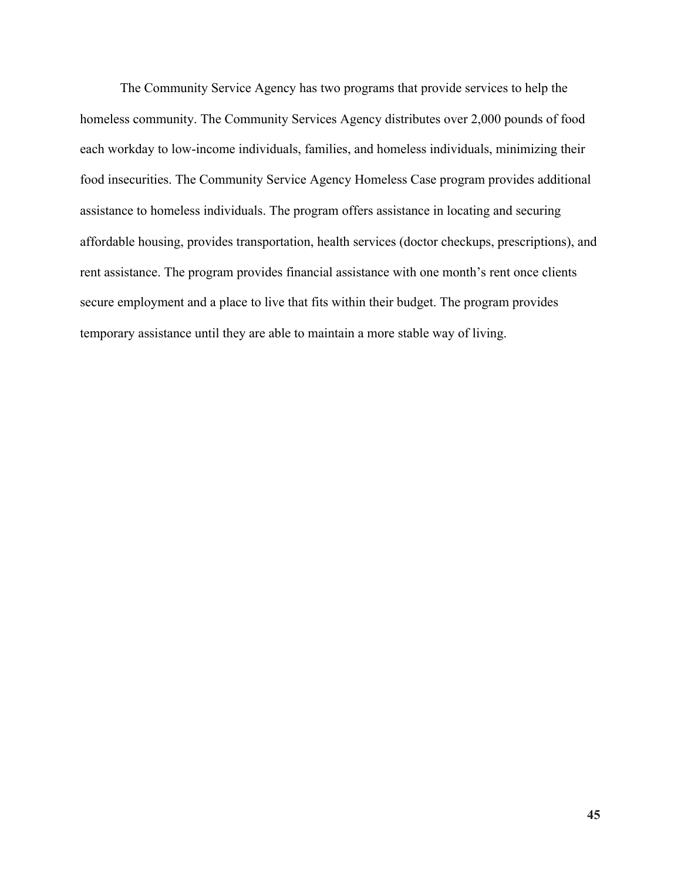The Community Service Agency has two programs that provide services to help the homeless community. The Community Services Agency distributes over 2,000 pounds of food each workday to low-income individuals, families, and homeless individuals, minimizing their food insecurities. The Community Service Agency Homeless Case program provides additional assistance to homeless individuals. The program offers assistance in locating and securing affordable housing, provides transportation, health services (doctor checkups, prescriptions), and rent assistance. The program provides financial assistance with one month's rent once clients secure employment and a place to live that fits within their budget. The program provides temporary assistance until they are able to maintain a more stable way of living.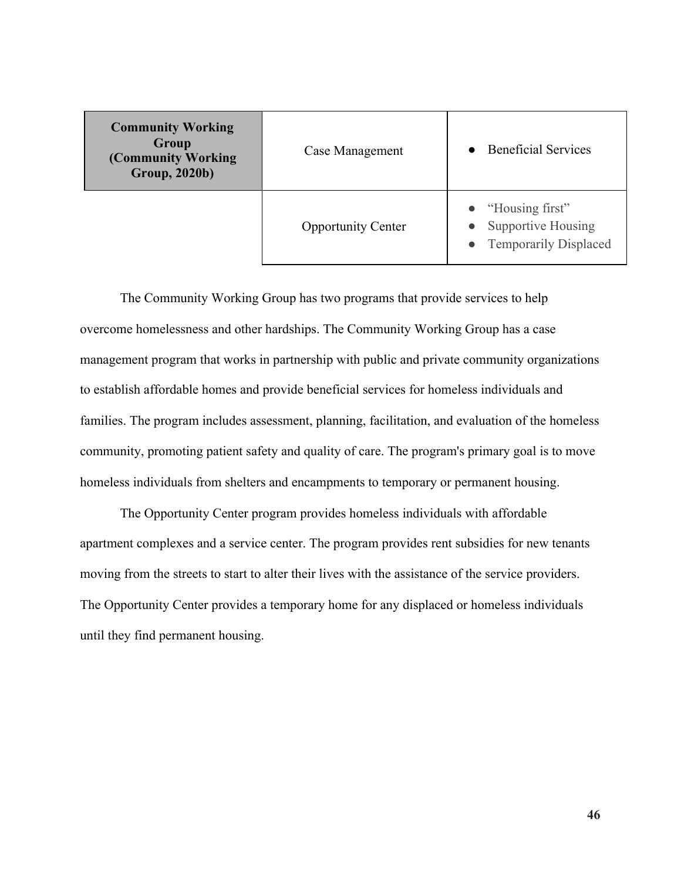| <b>Community Working</b><br>Group<br>(Community Working)<br><b>Group, 2020b)</b> | Case Management           | • Beneficial Services                                                                  |
|----------------------------------------------------------------------------------|---------------------------|----------------------------------------------------------------------------------------|
|                                                                                  | <b>Opportunity Center</b> | $\bullet$ "Housing first"<br><b>Supportive Housing</b><br><b>Temporarily Displaced</b> |

The Community Working Group has two programs that provide services to help overcome homelessness and other hardships. The Community Working Group has a case management program that works in partnership with public and private community organizations to establish affordable homes and provide beneficial services for homeless individuals and families. The program includes assessment, planning, facilitation, and evaluation of the homeless community, promoting patient safety and quality of care. The program's primary goal is to move homeless individuals from shelters and encampments to temporary or permanent housing.

The Opportunity Center program provides homeless individuals with affordable apartment complexes and a service center. The program provides rent subsidies for new tenants moving from the streets to start to alter their lives with the assistance of the service providers. The Opportunity Center provides a temporary home for any displaced or homeless individuals until they find permanent housing.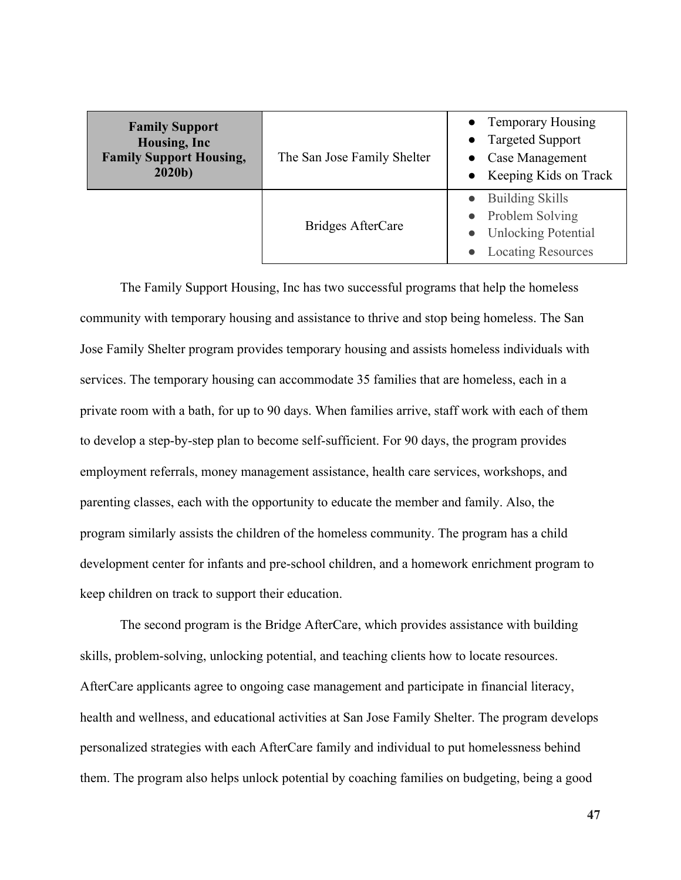| <b>Family Support</b><br>Housing, Inc<br><b>Family Support Housing,</b><br>2020 <sub>b</sub> | The San Jose Family Shelter | • Temporary Housing<br>• Targeted Support<br>• Case Management<br>Keeping Kids on Track                |
|----------------------------------------------------------------------------------------------|-----------------------------|--------------------------------------------------------------------------------------------------------|
|                                                                                              | Bridges AfterCare           | <b>Building Skills</b><br>• Problem Solving<br><b>Unlocking Potential</b><br><b>Locating Resources</b> |

The Family Support Housing, Inc has two successful programs that help the homeless community with temporary housing and assistance to thrive and stop being homeless. The San Jose Family Shelter program provides temporary housing and assists homeless individuals with services. The temporary housing can accommodate 35 families that are homeless, each in a private room with a bath, for up to 90 days. When families arrive, staff work with each of them to develop a step-by-step plan to become self-sufficient. For 90 days, the program provides employment referrals, money management assistance, health care services, workshops, and parenting classes, each with the opportunity to educate the member and family. Also, the program similarly assists the children of the homeless community. The program has a child development center for infants and pre-school children, and a homework enrichment program to keep children on track to support their education.

The second program is the Bridge AfterCare, which provides assistance with building skills, problem-solving, unlocking potential, and teaching clients how to locate resources. AfterCare applicants agree to ongoing case management and participate in financial literacy, health and wellness, and educational activities at San Jose Family Shelter. The program develops personalized strategies with each AfterCare family and individual to put homelessness behind them. The program also helps unlock potential by coaching families on budgeting, being a good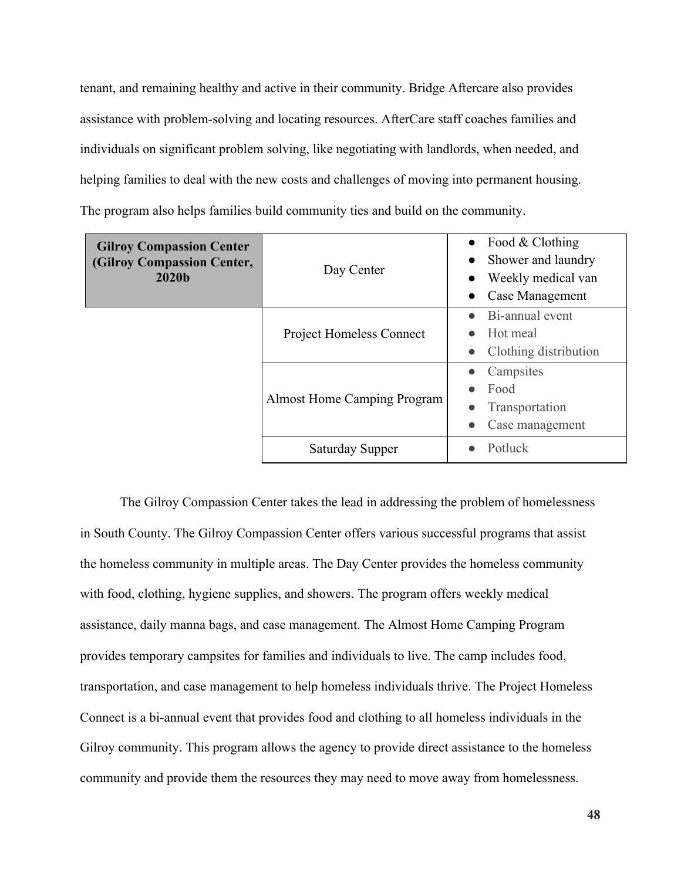tenant, and remaining healthy and active in their community. Bridge Aftercare also provides assistance with problem-solving and locating resources. AfterCare staff coaches families and individuals on significant problem solving, like negotiating with landlords, when needed, and helping families to deal with the new costs and challenges of moving into permanent housing. The program also helps families build community ties and build on the community.

| <b>Gilroy Compassion Center</b><br>(Gilroy Compassion Center,<br>2020b | Day Center                      | • Food & Clothing<br>• Shower and laundry<br>Weekly medical van<br>Case Management |
|------------------------------------------------------------------------|---------------------------------|------------------------------------------------------------------------------------|
|                                                                        | <b>Project Homeless Connect</b> | Bi-annual event<br>Hot meal<br>Clothing distribution                               |
|                                                                        | Almost Home Camping Program     | Campsites<br>Food<br>Transportation<br>Case management                             |
|                                                                        | Saturday Supper                 | Potluck                                                                            |

The Gilroy Compassion Center takes the lead in addressing the problem of homelessness in South County. The Gilroy Compassion Center offers various successful programs that assist the homeless community in multiple areas. The Day Center provides the homeless community with food, clothing, hygiene supplies, and showers. The program offers weekly medical assistance, daily manna bags, and case management. The Almost Home Camping Program provides temporary campsites for families and individuals to live. The camp includes food, transportation, and case management to help homeless individuals thrive. The Project Homeless Connect is a bi-annual event that provides food and clothing to all homeless individuals in the Gilroy community. This program allows the agency to provide direct assistance to the homeless community and provide them the resources they may need to move away from homelessness.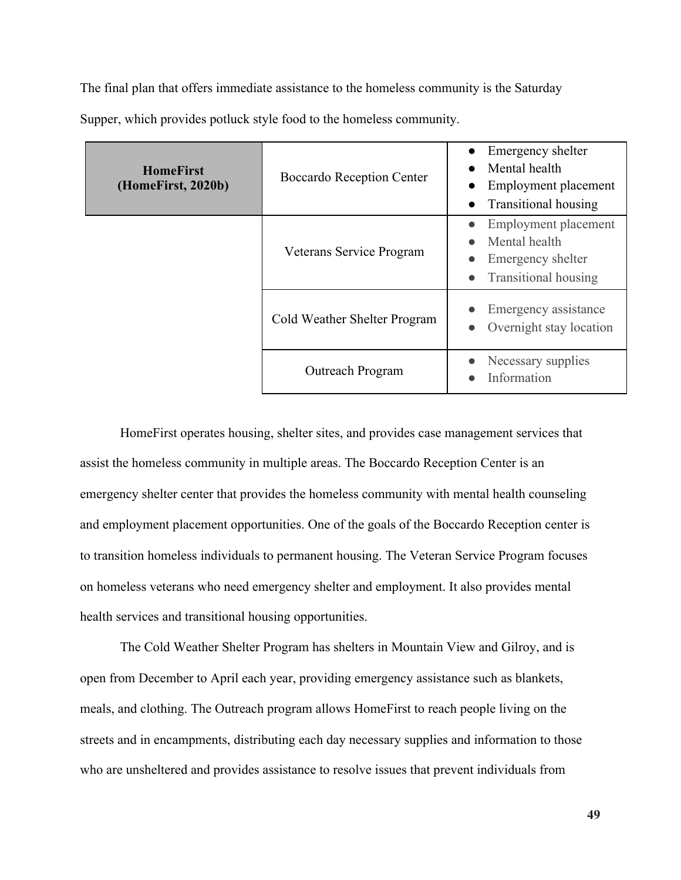The final plan that offers immediate assistance to the homeless community is the Saturday

| <b>HomeFirst</b><br>(HomeFirst, 2020b) | Boccardo Reception Center    | Emergency shelter<br>Mental health<br>Employment placement<br><b>Transitional housing</b><br>$\bullet$ |
|----------------------------------------|------------------------------|--------------------------------------------------------------------------------------------------------|
|                                        | Veterans Service Program     | Employment placement<br>Mental health<br>Emergency shelter<br><b>Transitional housing</b>              |
|                                        | Cold Weather Shelter Program | Emergency assistance<br>Overnight stay location                                                        |
|                                        | Outreach Program             | Necessary supplies<br>Information                                                                      |

Supper, which provides potluck style food to the homeless community.

HomeFirst operates housing, shelter sites, and provides case management services that assist the homeless community in multiple areas. The Boccardo Reception Center is an emergency shelter center that provides the homeless community with mental health counseling and employment placement opportunities. One of the goals of the Boccardo Reception center is to transition homeless individuals to permanent housing. The Veteran Service Program focuses on homeless veterans who need emergency shelter and employment. It also provides mental health services and transitional housing opportunities.

The Cold Weather Shelter Program has shelters in Mountain View and Gilroy, and is open from December to April each year, providing emergency assistance such as blankets, meals, and clothing. The Outreach program allows HomeFirst to reach people living on the streets and in encampments, distributing each day necessary supplies and information to those who are unsheltered and provides assistance to resolve issues that prevent individuals from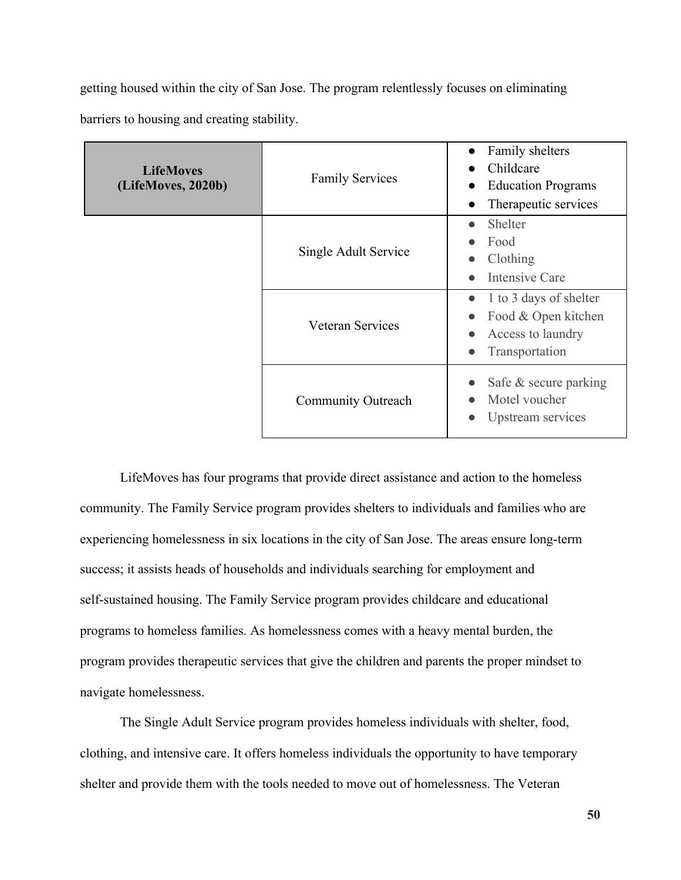getting housed within the city of San Jose. The program relentlessly focuses on eliminating

barriers to housing and creating stability.

| <b>LifeMoves</b><br>(LifeMoves, 2020b) | <b>Family Services</b>    | Family shelters<br>$\bullet$<br>Childcare<br><b>Education Programs</b><br>$\bullet$<br>Therapeutic services<br>$\bullet$ |
|----------------------------------------|---------------------------|--------------------------------------------------------------------------------------------------------------------------|
|                                        | Single Adult Service      | <b>Shelter</b><br>$\bullet$<br>Food<br>Clothing<br>Intensive Care<br>$\bullet$                                           |
|                                        | <b>Veteran Services</b>   | 1 to 3 days of shelter<br>$\bullet$<br>Food & Open kitchen<br>Access to laundry<br>$\bullet$<br>Transportation           |
|                                        | <b>Community Outreach</b> | Safe & secure parking<br>Motel voucher<br>Upstream services                                                              |

LifeMoves has four programs that provide direct assistance and action to the homeless community. The Family Service program provides shelters to individuals and families who are experiencing homelessness in six locations in the city of San Jose. The areas ensure long-term success; it assists heads of households and individuals searching for employment and self-sustained housing. The Family Service program provides childcare and educational programs to homeless families. As homelessness comes with a heavy mental burden, the program provides therapeutic services that give the children and parents the proper mindset to navigate homelessness.

The Single Adult Service program provides homeless individuals with shelter, food, clothing, and intensive care. It offers homeless individuals the opportunity to have temporary shelter and provide them with the tools needed to move out of homelessness. The Veteran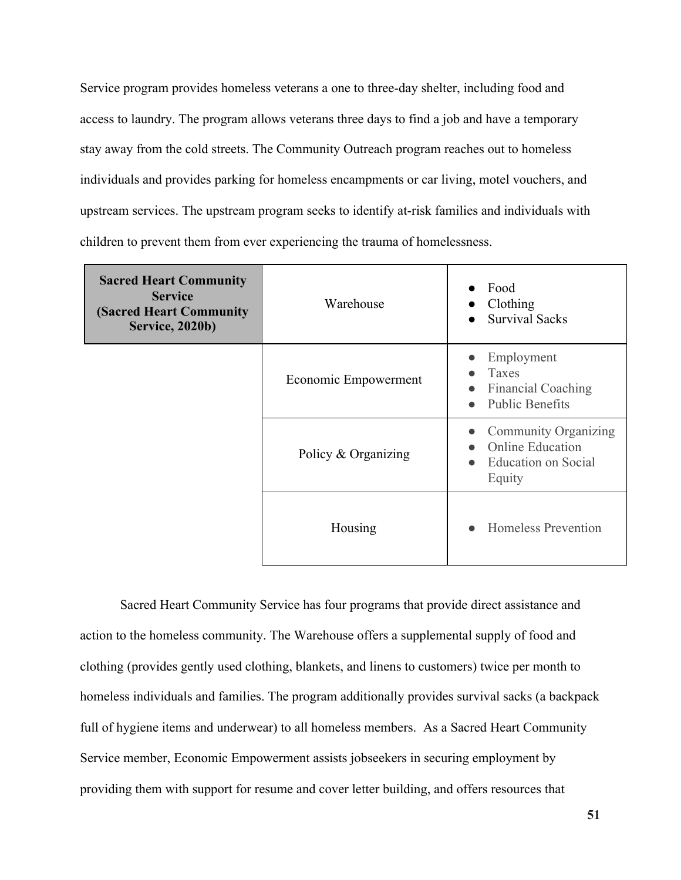Service program provides homeless veterans a one to three-day shelter, including food and access to laundry. The program allows veterans three days to find a job and have a temporary stay away from the cold streets. The Community Outreach program reaches out to homeless individuals and provides parking for homeless encampments or car living, motel vouchers, and upstream services. The upstream program seeks to identify at-risk families and individuals with children to prevent them from ever experiencing the trauma of homelessness.

| <b>Sacred Heart Community</b><br><b>Service</b><br><b>(Sacred Heart Community)</b><br><b>Service, 2020b)</b> | Warehouse            | Food<br>Clothing<br><b>Survival Sacks</b>                                                            |
|--------------------------------------------------------------------------------------------------------------|----------------------|------------------------------------------------------------------------------------------------------|
|                                                                                                              | Economic Empowerment | Employment<br>Taxes<br><b>Financial Coaching</b><br>$\bullet$<br><b>Public Benefits</b><br>$\bullet$ |
|                                                                                                              | Policy & Organizing  | <b>Community Organizing</b><br><b>Online Education</b><br>Education on Social<br>Equity              |
|                                                                                                              | Housing              | <b>Homeless Prevention</b>                                                                           |

Sacred Heart Community Service has four programs that provide direct assistance and action to the homeless community. The Warehouse offers a supplemental supply of food and clothing (provides gently used clothing, blankets, and linens to customers) twice per month to homeless individuals and families. The program additionally provides survival sacks (a backpack full of hygiene items and underwear) to all homeless members. As a Sacred Heart Community Service member, Economic Empowerment assists jobseekers in securing employment by providing them with support for resume and cover letter building, and offers resources that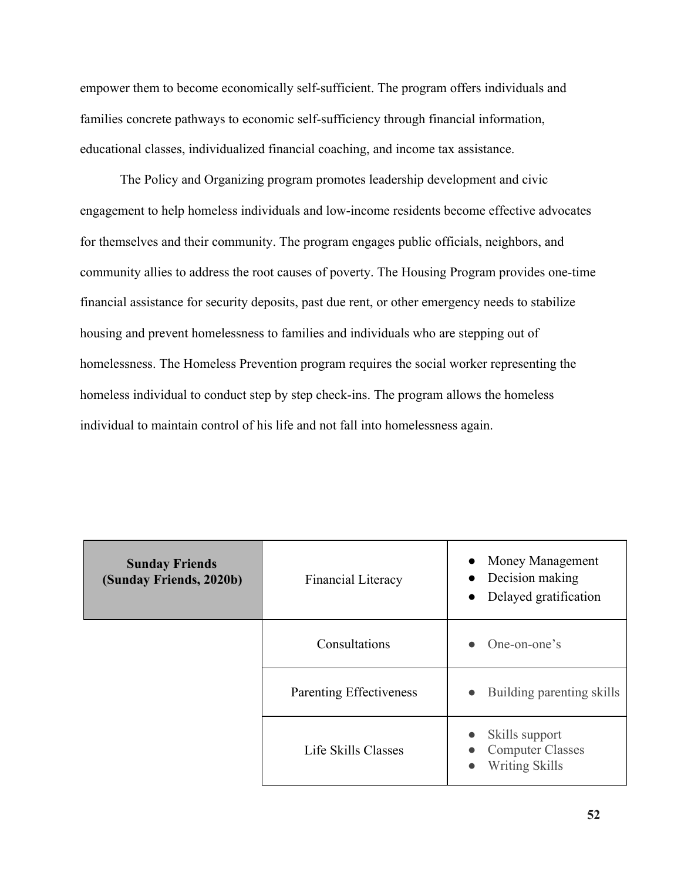empower them to become economically self-sufficient. The program offers individuals and families concrete pathways to economic self-sufficiency through financial information, educational classes, individualized financial coaching, and income tax assistance.

The Policy and Organizing program promotes leadership development and civic engagement to help homeless individuals and low-income residents become effective advocates for themselves and their community. The program engages public officials, neighbors, and community allies to address the root causes of poverty. The Housing Program provides one-time financial assistance for security deposits, past due rent, or other emergency needs to stabilize housing and prevent homelessness to families and individuals who are stepping out of homelessness. The Homeless Prevention program requires the social worker representing the homeless individual to conduct step by step check-ins. The program allows the homeless individual to maintain control of his life and not fall into homelessness again.

| <b>Sunday Friends</b><br>(Sunday Friends, 2020b) | Financial Literacy      | • Money Management<br>Decision making<br>$\bullet$<br>Delayed gratification<br>$\bullet$ |
|--------------------------------------------------|-------------------------|------------------------------------------------------------------------------------------|
|                                                  | Consultations           | One-on-one's                                                                             |
|                                                  | Parenting Effectiveness | Building parenting skills<br>$\bullet$                                                   |
|                                                  | Life Skills Classes     | Skills support<br><b>Computer Classes</b><br>Writing Skills<br>$\bullet$                 |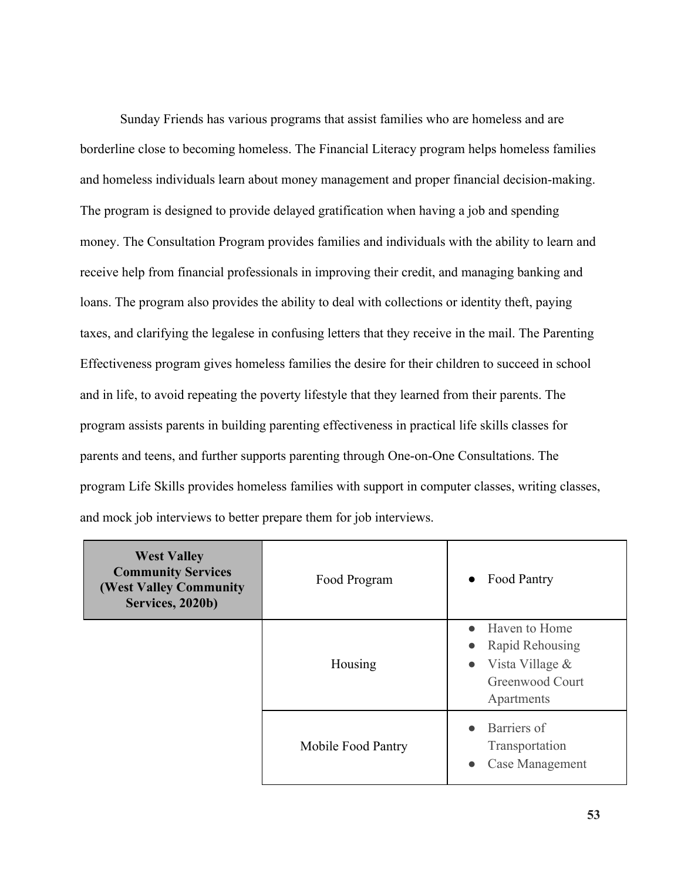Sunday Friends has various programs that assist families who are homeless and are borderline close to becoming homeless. The Financial Literacy program helps homeless families and homeless individuals learn about money management and proper financial decision-making. The program is designed to provide delayed gratification when having a job and spending money. The Consultation Program provides families and individuals with the ability to learn and receive help from financial professionals in improving their credit, and managing banking and loans. The program also provides the ability to deal with collections or identity theft, paying taxes, and clarifying the legalese in confusing letters that they receive in the mail. The Parenting Effectiveness program gives homeless families the desire for their children to succeed in school and in life, to avoid repeating the poverty lifestyle that they learned from their parents. The program assists parents in building parenting effectiveness in practical life skills classes for parents and teens, and further supports parenting through One-on-One Consultations. The program Life Skills provides homeless families with support in computer classes, writing classes, and mock job interviews to better prepare them for job interviews.

| <b>West Valley</b><br><b>Community Services</b><br><b>(West Valley Community)</b><br>Services, 2020b) | Food Program       | Food Pantry<br>$\bullet$                                                                                                    |
|-------------------------------------------------------------------------------------------------------|--------------------|-----------------------------------------------------------------------------------------------------------------------------|
|                                                                                                       | Housing            | Haven to Home<br>$\bullet$<br>Rapid Rehousing<br>$\bullet$<br>Vista Village &<br>$\bullet$<br>Greenwood Court<br>Apartments |
|                                                                                                       | Mobile Food Pantry | Barriers of<br>$\bullet$<br>Transportation<br>Case Management<br>$\bullet$                                                  |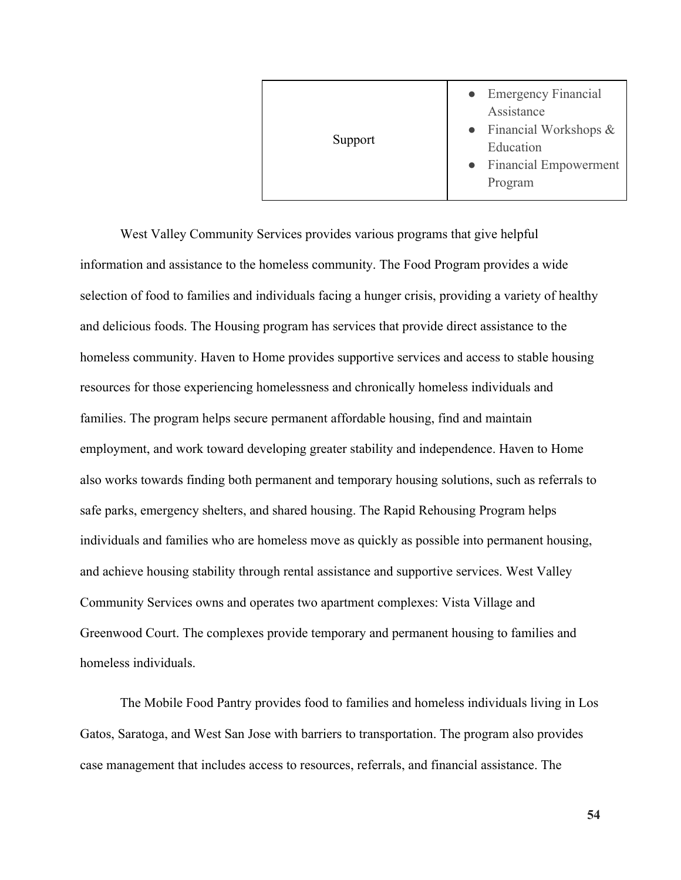| Support | • Emergency Financial<br>Assistance<br>• Financial Workshops $\&$<br>Education<br>• Financial Empowerment<br>Program |
|---------|----------------------------------------------------------------------------------------------------------------------|
|---------|----------------------------------------------------------------------------------------------------------------------|

West Valley Community Services provides various programs that give helpful information and assistance to the homeless community. The Food Program provides a wide selection of food to families and individuals facing a hunger crisis, providing a variety of healthy and delicious foods. The Housing program has services that provide direct assistance to the homeless community. Haven to Home provides supportive services and access to stable housing resources for those experiencing homelessness and chronically homeless individuals and families. The program helps secure permanent affordable housing, find and maintain employment, and work toward developing greater stability and independence. Haven to Home also works towards finding both permanent and temporary housing solutions, such as referrals to safe parks, emergency shelters, and shared housing. The Rapid Rehousing Program helps individuals and families who are homeless move as quickly as possible into permanent housing, and achieve housing stability through rental assistance and supportive services. West Valley Community Services owns and operates two apartment complexes: Vista Village and Greenwood Court. The complexes provide temporary and permanent housing to families and homeless individuals.

The Mobile Food Pantry provides food to families and homeless individuals living in Los Gatos, Saratoga, and West San Jose with barriers to transportation. The program also provides case management that includes access to resources, referrals, and financial assistance. The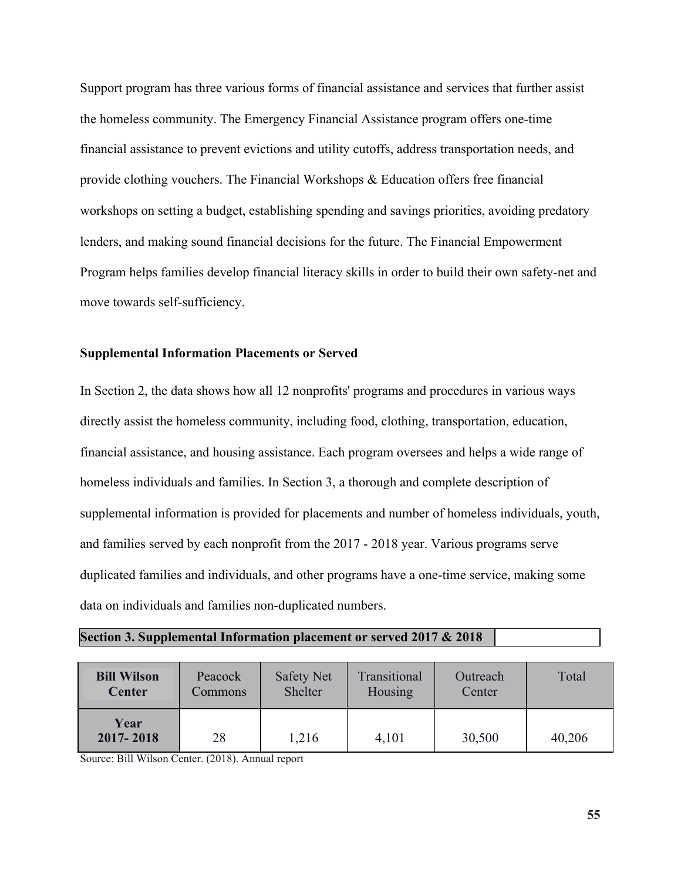Support program has three various forms of financial assistance and services that further assist the homeless community. The Emergency Financial Assistance program offers one-time financial assistance to prevent evictions and utility cutoffs, address transportation needs, and provide clothing vouchers. The Financial Workshops & Education offers free financial workshops on setting a budget, establishing spending and savings priorities, avoiding predatory lenders, and making sound financial decisions for the future. The Financial Empowerment Program helps families develop financial literacy skills in order to build their own safety-net and move towards self-sufficiency.

## **Supplemental Information Placements or Served**

In Section 2, the data shows how all 12 nonprofits' programs and procedures in various ways directly assist the homeless community, including food, clothing, transportation, education, financial assistance, and housing assistance. Each program oversees and helps a wide range of homeless individuals and families. In Section 3, a thorough and complete description of supplemental information is provided for placements and number of homeless individuals, youth, and families served by each nonprofit from the 2017 - 2018 year. Various programs serve duplicated families and individuals, and other programs have a one-time service, making some data on individuals and families non-duplicated numbers.

| <b>Bill Wilson</b> | Peacock | Safety Net | Transitional | Outreach | Total  |
|--------------------|---------|------------|--------------|----------|--------|
| <b>Center</b>      | Commons | Shelter    | Housing      | Center   |        |
| Year<br>2017-2018  | 28      | 1,216      | 4,101        | 30,500   | 40,206 |

Source: Bill Wilson Center. (2018). Annual report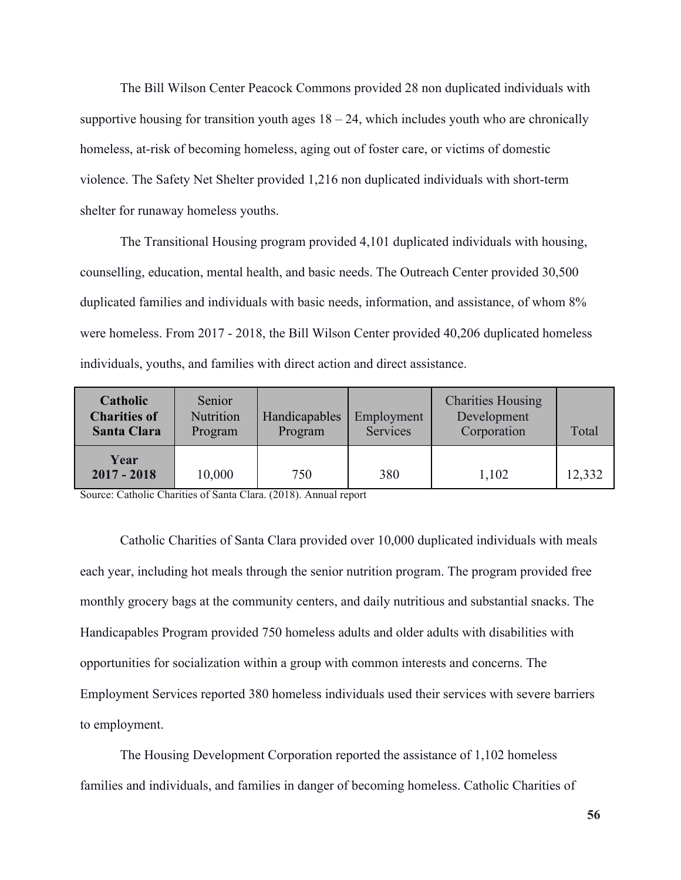The Bill Wilson Center Peacock Commons provided 28 non duplicated individuals with supportive housing for transition youth ages  $18 - 24$ , which includes youth who are chronically homeless, at-risk of becoming homeless, aging out of foster care, or victims of domestic violence. The Safety Net Shelter provided 1,216 non duplicated individuals with short-term shelter for runaway homeless youths.

The Transitional Housing program provided 4,101 duplicated individuals with housing, counselling, education, mental health, and basic needs. The Outreach Center provided 30,500 duplicated families and individuals with basic needs, information, and assistance, of whom 8% were homeless. From 2017 - 2018, the Bill Wilson Center provided 40,206 duplicated homeless individuals, youths, and families with direct action and direct assistance.

| Catholic<br><b>Charities of</b><br><b>Santa Clara</b> | Senior<br>Nutrition<br>Program | Handicapables<br>Program | Employment<br>Services | <b>Charities Housing</b><br>Development<br>Corporation | Total  |
|-------------------------------------------------------|--------------------------------|--------------------------|------------------------|--------------------------------------------------------|--------|
| Year<br>$2017 - 2018$                                 | 10,000                         | 750                      | 380                    | 1,102                                                  | 12,332 |

Source: Catholic Charities of Santa Clara. (2018). Annual report

Catholic Charities of Santa Clara provided over 10,000 duplicated individuals with meals each year, including hot meals through the senior nutrition program. The program provided free monthly grocery bags at the community centers, and daily nutritious and substantial snacks. The Handicapables Program provided 750 homeless adults and older adults with disabilities with opportunities for socialization within a group with common interests and concerns. The Employment Services reported 380 homeless individuals used their services with severe barriers to employment.

The Housing Development Corporation reported the assistance of 1,102 homeless families and individuals, and families in danger of becoming homeless. Catholic Charities of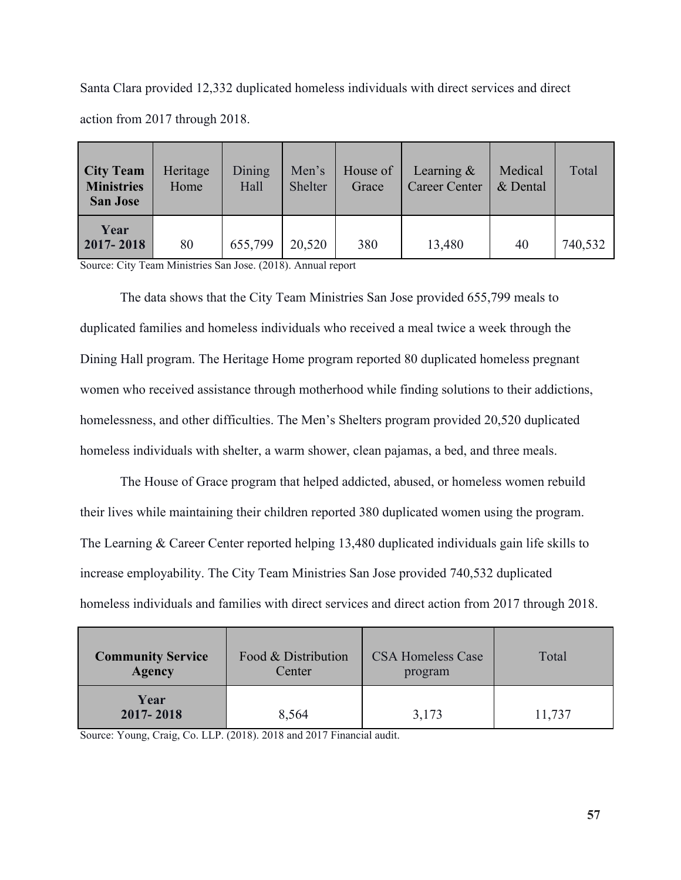Santa Clara provided 12,332 duplicated homeless individuals with direct services and direct action from 2017 through 2018.

| <b>City Team</b><br><b>Ministries</b><br><b>San Jose</b> | Heritage<br>Home | Dining<br>Hall | Men's<br>Shelter | House of<br>Grace | Learning $\&$<br><b>Career Center</b> | Medical<br>& Dental | Total   |
|----------------------------------------------------------|------------------|----------------|------------------|-------------------|---------------------------------------|---------------------|---------|
| Year<br>$2017 - 2018$                                    | 80               | 655,799        | 20,520           | 380               | 13,480                                | 40                  | 740,532 |

Source: City Team Ministries San Jose. (2018). Annual report

The data shows that the City Team Ministries San Jose provided 655,799 meals to duplicated families and homeless individuals who received a meal twice a week through the Dining Hall program. The Heritage Home program reported 80 duplicated homeless pregnant women who received assistance through motherhood while finding solutions to their addictions, homelessness, and other difficulties. The Men's Shelters program provided 20,520 duplicated homeless individuals with shelter, a warm shower, clean pajamas, a bed, and three meals.

The House of Grace program that helped addicted, abused, or homeless women rebuild their lives while maintaining their children reported 380 duplicated women using the program. The Learning & Career Center reported helping 13,480 duplicated individuals gain life skills to increase employability. The City Team Ministries San Jose provided 740,532 duplicated homeless individuals and families with direct services and direct action from 2017 through 2018.

| <b>Community Service</b> | Food & Distribution | <b>CSA Homeless Case</b> | Total  |
|--------------------------|---------------------|--------------------------|--------|
| <b>Agency</b>            | Center              | program                  |        |
| Year<br>2017-2018        | 8,564               | 3,173                    | 11,737 |

Source: Young, Craig, Co. LLP. (2018). 2018 and 2017 Financial audit.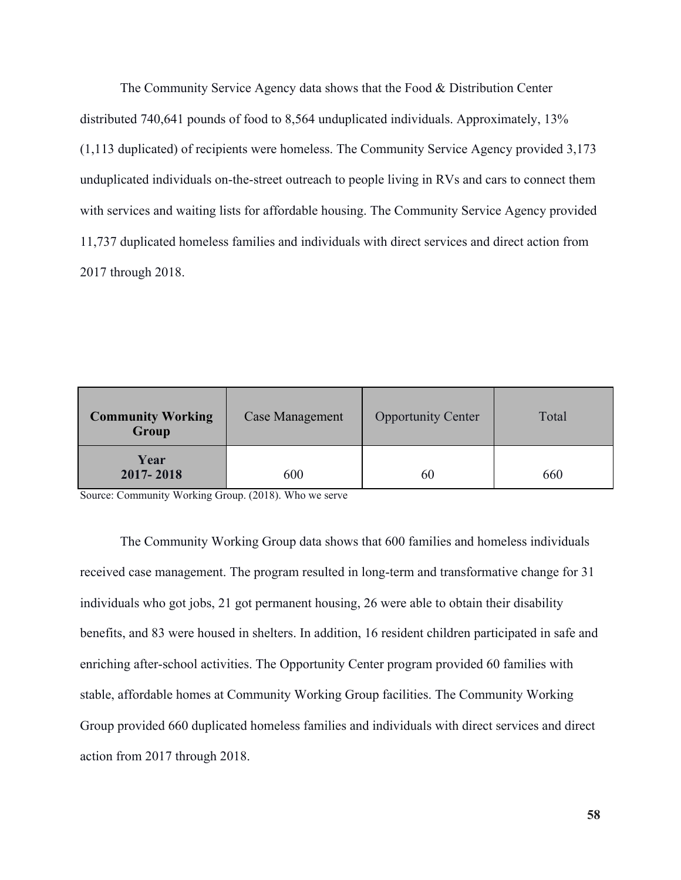The Community Service Agency data shows that the Food & Distribution Center distributed 740,641 pounds of food to 8,564 unduplicated individuals. Approximately, 13% (1,113 duplicated) of recipients were homeless. The Community Service Agency provided 3,173 unduplicated individuals on-the-street outreach to people living in RVs and cars to connect them with services and waiting lists for affordable housing. The Community Service Agency provided 11,737 duplicated homeless families and individuals with direct services and direct action from 2017 through 2018.

| <b>Community Working</b><br>Group | Case Management | <b>Opportunity Center</b> | Total |
|-----------------------------------|-----------------|---------------------------|-------|
| Year<br>2017-2018                 | 600             | 60                        | 660   |

Source: Community Working Group. (2018). Who we serve

The Community Working Group data shows that 600 families and homeless individuals received case management. The program resulted in long-term and transformative change for 31 individuals who got jobs, 21 got permanent housing, 26 were able to obtain their disability benefits, and 83 were housed in shelters. In addition, 16 resident children participated in safe and enriching after-school activities. The Opportunity Center program provided 60 families with stable, affordable homes at Community Working Group facilities. The Community Working Group provided 660 duplicated homeless families and individuals with direct services and direct action from 2017 through 2018.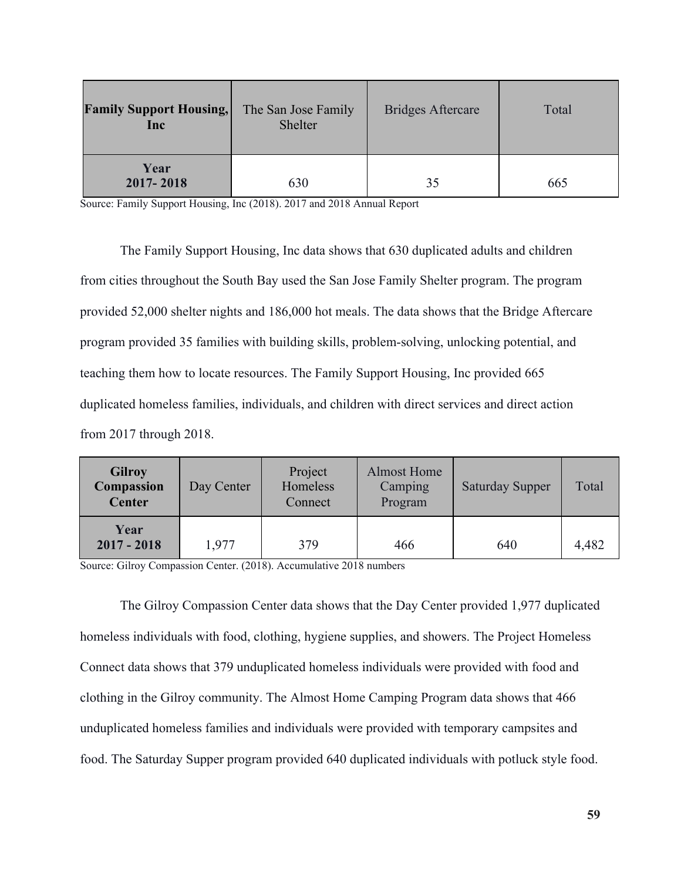| <b>Family Support Housing,</b><br>Inc | The San Jose Family<br>Shelter |    | Total |
|---------------------------------------|--------------------------------|----|-------|
| Year<br>2017-2018                     | 630                            | 35 | 665   |

Source: Family Support Housing, Inc (2018). 2017 and 2018 Annual Report

The Family Support Housing, Inc data shows that 630 duplicated adults and children from cities throughout the South Bay used the San Jose Family Shelter program. The program provided 52,000 shelter nights and 186,000 hot meals. The data shows that the Bridge Aftercare program provided 35 families with building skills, problem-solving, unlocking potential, and teaching them how to locate resources. The Family Support Housing, Inc provided 665 duplicated homeless families, individuals, and children with direct services and direct action from 2017 through 2018.

| <b>Gilroy</b><br>Compassion<br><b>Center</b> | Day Center | Project<br>Homeless<br>Connect | <b>Almost Home</b><br>Camping<br>Program | <b>Saturday Supper</b> | Total |
|----------------------------------------------|------------|--------------------------------|------------------------------------------|------------------------|-------|
| Year<br>$2017 - 2018$                        | 1.977      | 379                            | 466                                      | 640                    | 4,482 |

Source: Gilroy Compassion Center. (2018). Accumulative 2018 numbers

The Gilroy Compassion Center data shows that the Day Center provided 1,977 duplicated homeless individuals with food, clothing, hygiene supplies, and showers. The Project Homeless Connect data shows that 379 unduplicated homeless individuals were provided with food and clothing in the Gilroy community. The Almost Home Camping Program data shows that 466 unduplicated homeless families and individuals were provided with temporary campsites and food. The Saturday Supper program provided 640 duplicated individuals with potluck style food.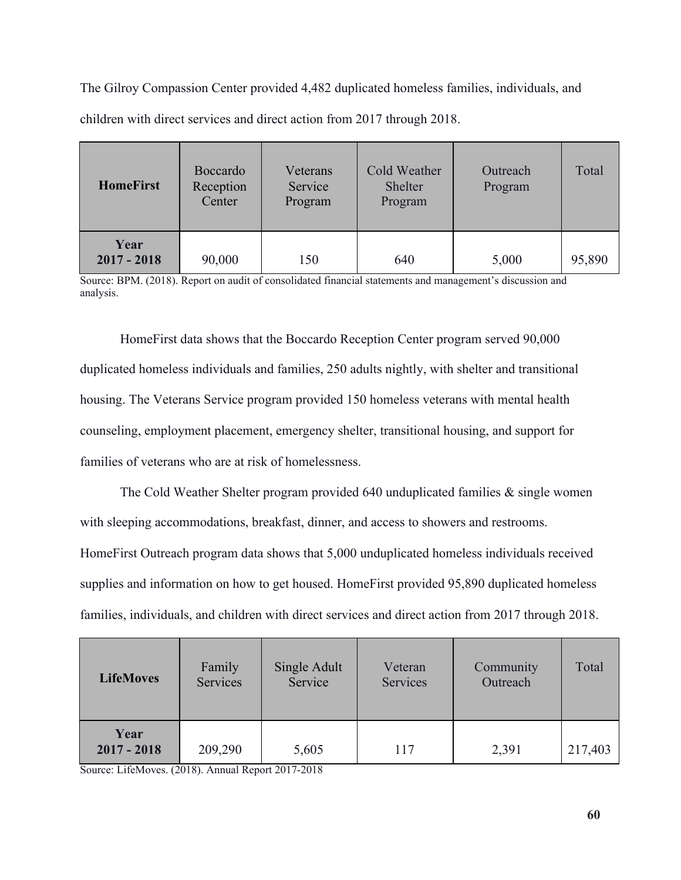The Gilroy Compassion Center provided 4,482 duplicated homeless families, individuals, and children with direct services and direct action from 2017 through 2018.

| <b>HomeFirst</b>      | <b>Boccardo</b><br>Reception<br>Center | Veterans<br>Service<br>Program | Cold Weather<br>Shelter<br>Program | Outreach<br>Program | Total  |
|-----------------------|----------------------------------------|--------------------------------|------------------------------------|---------------------|--------|
| Year<br>$2017 - 2018$ | 90,000                                 | 150                            | 640                                | 5,000               | 95,890 |

Source: BPM. (2018). Report on audit of consolidated financial statements and management's discussion and analysis.

HomeFirst data shows that the Boccardo Reception Center program served 90,000 duplicated homeless individuals and families, 250 adults nightly, with shelter and transitional housing. The Veterans Service program provided 150 homeless veterans with mental health counseling, employment placement, emergency shelter, transitional housing, and support for families of veterans who are at risk of homelessness.

The Cold Weather Shelter program provided 640 unduplicated families & single women with sleeping accommodations, breakfast, dinner, and access to showers and restrooms. HomeFirst Outreach program data shows that 5,000 unduplicated homeless individuals received supplies and information on how to get housed. HomeFirst provided 95,890 duplicated homeless families, individuals, and children with direct services and direct action from 2017 through 2018.

| <b>LifeMoves</b>      | Single Adult<br>Family<br>Services<br>Service |       | Veteran<br>Services | Community<br>Outreach | Total   |
|-----------------------|-----------------------------------------------|-------|---------------------|-----------------------|---------|
| Year<br>$2017 - 2018$ | 209,290                                       | 5,605 | 117                 | 2,391                 | 217,403 |

Source: LifeMoves. (2018). Annual Report 2017-2018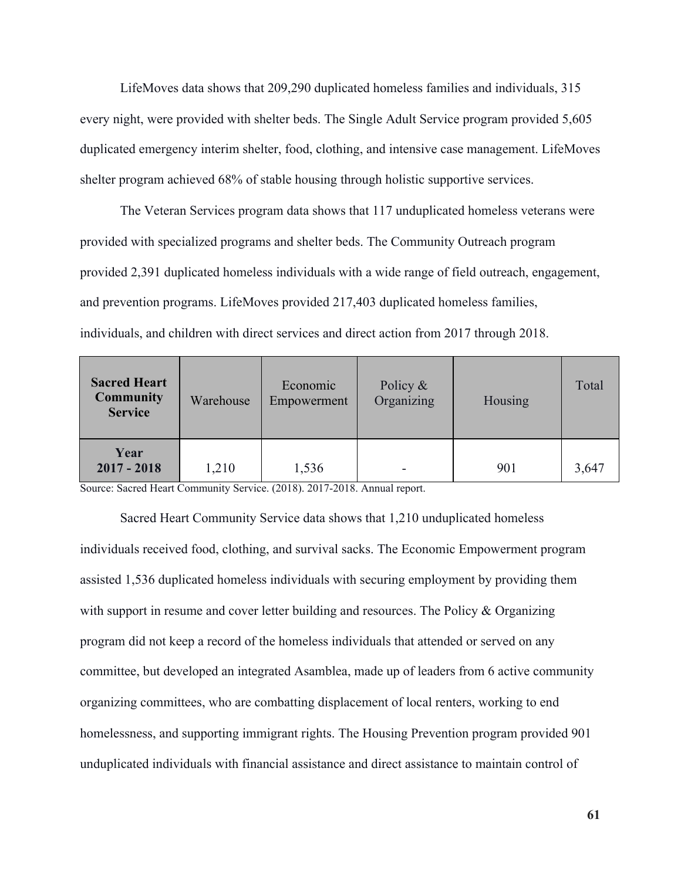LifeMoves data shows that 209,290 duplicated homeless families and individuals, 315 every night, were provided with shelter beds. The Single Adult Service program provided 5,605 duplicated emergency interim shelter, food, clothing, and intensive case management. LifeMoves shelter program achieved 68% of stable housing through holistic supportive services.

The Veteran Services program data shows that 117 unduplicated homeless veterans were provided with specialized programs and shelter beds. The Community Outreach program provided 2,391 duplicated homeless individuals with a wide range of field outreach, engagement, and prevention programs. LifeMoves provided 217,403 duplicated homeless families, individuals, and children with direct services and direct action from 2017 through 2018.

| <b>Sacred Heart</b><br><b>Community</b><br><b>Service</b> | Economic<br>Warehouse<br>Empowerment |       | Policy $\&$<br>Organizing | Housing | Total |
|-----------------------------------------------------------|--------------------------------------|-------|---------------------------|---------|-------|
| Year<br>$2017 - 2018$                                     | 1,210                                | 1,536 |                           | 901     | 3,647 |

Source: Sacred Heart Community Service. (2018). 2017-2018. Annual report.

Sacred Heart Community Service data shows that 1,210 unduplicated homeless individuals received food, clothing, and survival sacks. The Economic Empowerment program assisted 1,536 duplicated homeless individuals with securing employment by providing them with support in resume and cover letter building and resources. The Policy & Organizing program did not keep a record of the homeless individuals that attended or served on any committee, but developed an integrated Asamblea, made up of leaders from 6 active community organizing committees, who are combatting displacement of local renters, working to end homelessness, and supporting immigrant rights. The Housing Prevention program provided 901 unduplicated individuals with financial assistance and direct assistance to maintain control of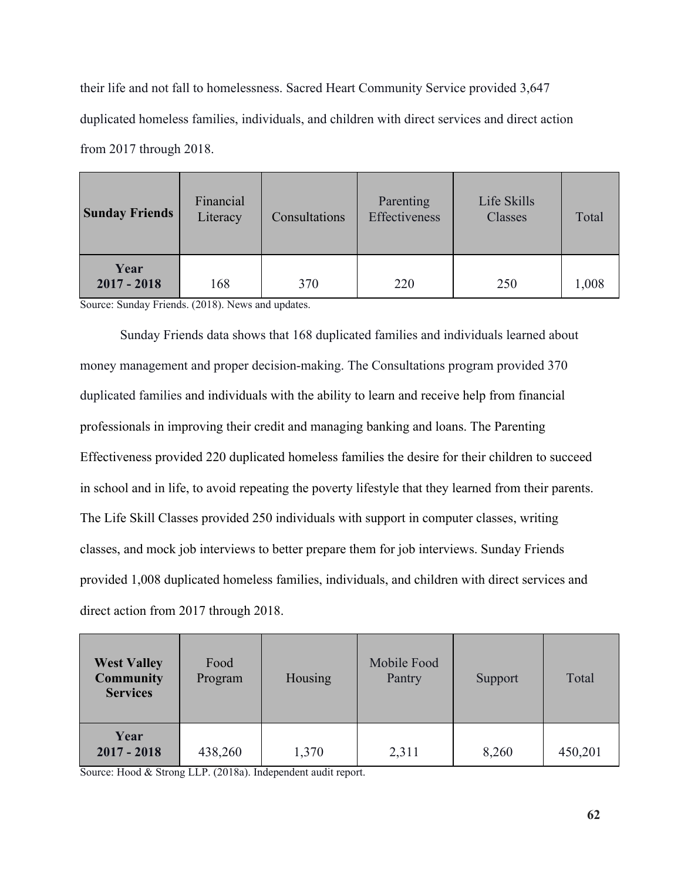their life and not fall to homelessness. Sacred Heart Community Service provided 3,647 duplicated homeless families, individuals, and children with direct services and direct action from 2017 through 2018.

| <b>Sunday Friends</b> | Financial<br>Literacy<br>Consultations |     | Parenting<br>Effectiveness | Life Skills<br>Classes | Total |
|-----------------------|----------------------------------------|-----|----------------------------|------------------------|-------|
| Year<br>$2017 - 2018$ | 168                                    | 370 | 220                        | 250                    | 1,008 |

Source: Sunday Friends. (2018). News and updates.

Sunday Friends data shows that 168 duplicated families and individuals learned about money management and proper decision-making. The Consultations program provided 370 duplicated families and individuals with the ability to learn and receive help from financial professionals in improving their credit and managing banking and loans. The Parenting Effectiveness provided 220 duplicated homeless families the desire for their children to succeed in school and in life, to avoid repeating the poverty lifestyle that they learned from their parents. The Life Skill Classes provided 250 individuals with support in computer classes, writing classes, and mock job interviews to better prepare them for job interviews. Sunday Friends provided 1,008 duplicated homeless families, individuals, and children with direct services and direct action from 2017 through 2018.

| <b>West Valley</b><br><b>Community</b><br><b>Services</b> | Food<br>Program | Housing | Mobile Food<br>Pantry | Support | Total   |
|-----------------------------------------------------------|-----------------|---------|-----------------------|---------|---------|
| Year<br>$2017 - 2018$                                     | 438,260         | 1,370   | 2,311                 | 8,260   | 450,201 |

Source: Hood & Strong LLP. (2018a). Independent audit report.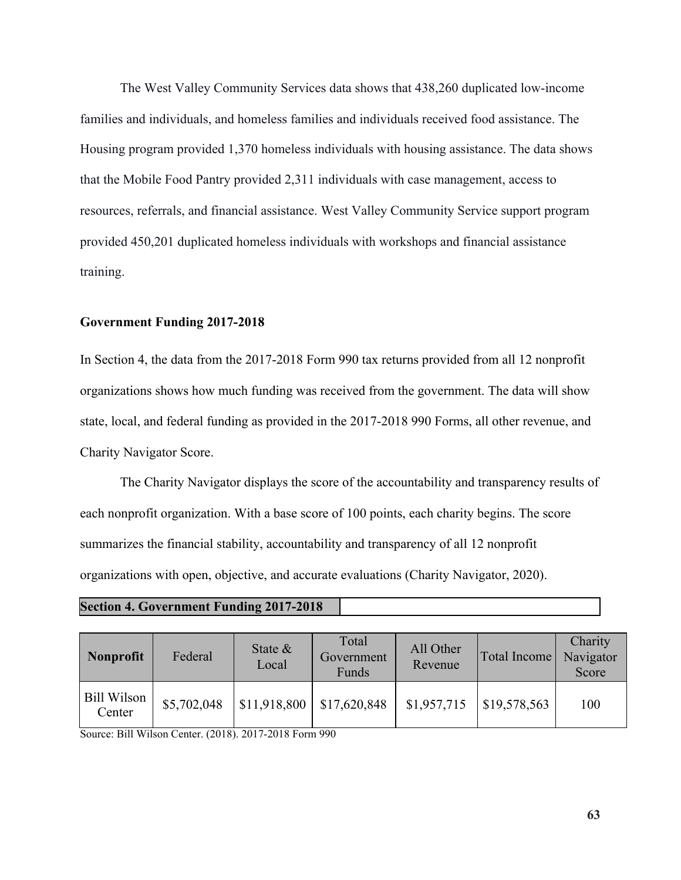The West Valley Community Services data shows that 438,260 duplicated low-income families and individuals, and homeless families and individuals received food assistance. The Housing program provided 1,370 homeless individuals with housing assistance. The data shows that the Mobile Food Pantry provided 2,311 individuals with case management, access to resources, referrals, and financial assistance. West Valley Community Service support program provided 450,201 duplicated homeless individuals with workshops and financial assistance training.

#### **Government Funding 2017-2018**

In Section 4, the data from the 2017-2018 Form 990 tax returns provided from all 12 nonprofit organizations shows how much funding was received from the government. The data will show state, local, and federal funding as provided in the 2017-2018 990 Forms, all other revenue, and Charity Navigator Score.

The Charity Navigator displays the score of the accountability and transparency results of each nonprofit organization. With a base score of 100 points, each charity begins. The score summarizes the financial stability, accountability and transparency of all 12 nonprofit organizations with open, objective, and accurate evaluations (Charity Navigator, 2020).

## **Section 4. Government Funding 2017-2018**

| Nonprofit             | Federal     | State $\&$<br>Local | Total<br>Government<br>Funds | All Other<br>Revenue | Total Income | Charity<br>Navigator<br>Score |
|-----------------------|-------------|---------------------|------------------------------|----------------------|--------------|-------------------------------|
| Bill Wilson<br>Center | \$5,702,048 | \$11,918,800        | \$17,620,848                 | \$1,957,715          | \$19,578,563 | 100                           |

Source: Bill Wilson Center. (2018). 2017-2018 Form 990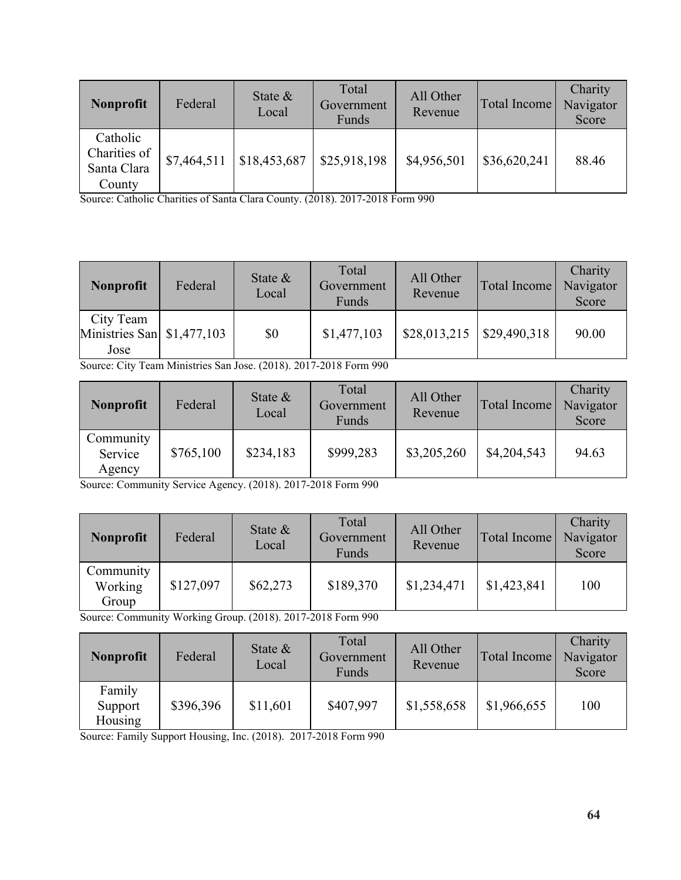| <b>Nonprofit</b>                                  | Federal     | State $\&$<br>Local | Total<br>Government<br>Funds | All Other<br>Revenue | Total Income | Charity<br>Navigator<br>Score |
|---------------------------------------------------|-------------|---------------------|------------------------------|----------------------|--------------|-------------------------------|
| Catholic<br>Charities of<br>Santa Clara<br>County | \$7,464,511 | \$18,453,687        | \$25,918,198                 | \$4,956,501          | \$36,620,241 | 88.46                         |

Source: Catholic Charities of Santa Clara County. (2018). 2017-2018 Form 990

| <b>Nonprofit</b>                                        | Federal | State $\&$<br>Local | Total<br>Government<br>Funds | All Other<br>Revenue        | Total Income | Charity<br>Navigator<br>Score |
|---------------------------------------------------------|---------|---------------------|------------------------------|-----------------------------|--------------|-------------------------------|
| City Team<br>Ministries San $\vert$ \$1,477,103<br>Jose |         | \$0                 | \$1,477,103                  | $$28,013,215$ $$29,490,318$ |              | 90.00                         |

Source: City Team Ministries San Jose. (2018). 2017-2018 Form 990

| <b>Nonprofit</b>               | Federal   | State $\&$<br>Local | Total<br>Government<br>Funds | All Other<br>Revenue | Total Income | Charity<br>Navigator<br>Score |
|--------------------------------|-----------|---------------------|------------------------------|----------------------|--------------|-------------------------------|
| Community<br>Service<br>Agency | \$765,100 | \$234,183           | \$999,283                    | \$3,205,260          | \$4,204,543  | 94.63                         |

Source: Community Service Agency. (2018). 2017-2018 Form 990

| <b>Nonprofit</b>              | Federal   | State $\&$<br>Local | Total<br>Government<br>Funds | All Other<br>Revenue | Total Income | Charity<br>Navigator<br>Score |
|-------------------------------|-----------|---------------------|------------------------------|----------------------|--------------|-------------------------------|
| Community<br>Working<br>Group | \$127,097 | \$62,273            | \$189,370                    | \$1,234,471          | \$1,423,841  | 100                           |

Source: Community Working Group. (2018). 2017-2018 Form 990

| <b>Nonprofit</b>             | Federal   | State $\&$<br>Local | Total<br>Government<br>Funds | All Other<br>Revenue | Total Income | Charity<br>Navigator<br>Score |
|------------------------------|-----------|---------------------|------------------------------|----------------------|--------------|-------------------------------|
| Family<br>Support<br>Housing | \$396,396 | \$11,601            | \$407,997                    | \$1,558,658          | \$1,966,655  | 100                           |

Source: Family Support Housing, Inc. (2018). 2017-2018 Form 990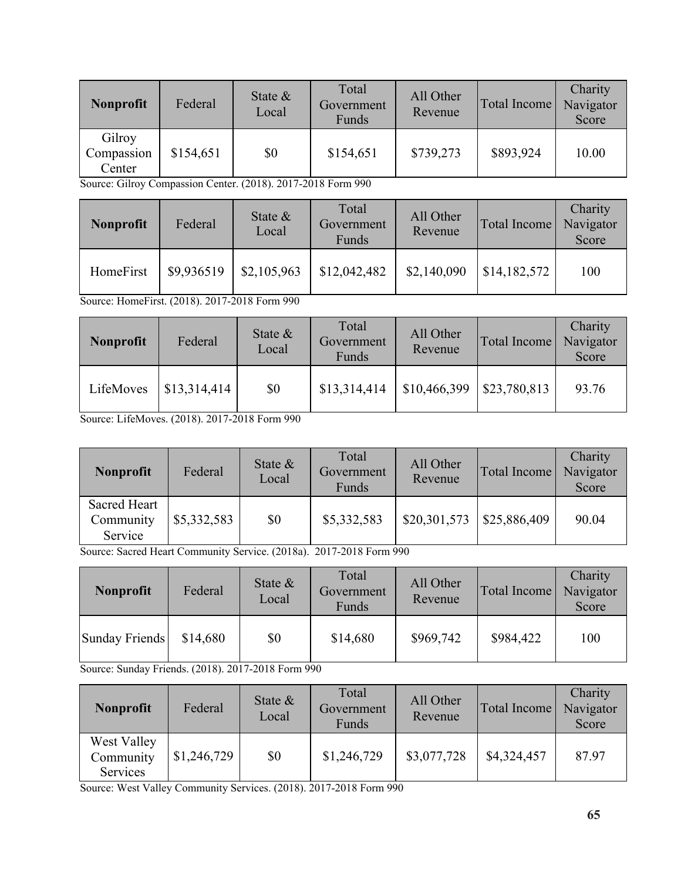| <b>Nonprofit</b>               | Federal   | State $\&$<br>Local | Total<br>Government<br>Funds | All Other<br>Revenue | Total Income | Charity<br>Navigator<br>Score |
|--------------------------------|-----------|---------------------|------------------------------|----------------------|--------------|-------------------------------|
| Gilroy<br>Compassion<br>Center | \$154,651 | \$0                 | \$154,651                    | \$739,273            | \$893,924    | 10.00                         |

Source: Gilroy Compassion Center. (2018). 2017-2018 Form 990

| <b>Nonprofit</b> | Federal    | State $\&$<br>Local | Total<br>Government<br>Funds | All Other<br>Revenue | Total Income | Charity<br>Navigator<br>Score |
|------------------|------------|---------------------|------------------------------|----------------------|--------------|-------------------------------|
| HomeFirst        | \$9,936519 | \$2,105,963         | \$12,042,482                 | \$2,140,090          | \$14,182,572 | 100                           |

Source: HomeFirst. (2018). 2017-2018 Form 990

| <b>Nonprofit</b> | Federal      | State $\&$<br>Local | Total<br>Government<br>Funds | All Other<br>Revenue | Total Income | Charity<br>Navigator<br>Score |
|------------------|--------------|---------------------|------------------------------|----------------------|--------------|-------------------------------|
| LifeMoves        | \$13,314,414 | \$0                 | \$13,314,414                 | \$10,466,399         | \$23,780,813 | 93.76                         |

Source: LifeMoves. (2018). 2017-2018 Form 990

| <b>Nonprofit</b>                     | Federal     | State $\&$<br>Local | Total<br>Government<br>Funds | All Other<br>Revenue | Total Income | Charity<br>Navigator<br>Score |
|--------------------------------------|-------------|---------------------|------------------------------|----------------------|--------------|-------------------------------|
| Sacred Heart<br>Community<br>Service | \$5,332,583 | \$0                 | \$5,332,583                  | \$20,301,573         | \$25,886,409 | 90.04                         |

Source: Sacred Heart Community Service. (2018a). 2017-2018 Form 990

| Nonprofit      | Federal  | State $\&$<br>Local | Total<br>Government<br>Funds | All Other<br>Revenue | Total Income | Charity<br>Navigator<br>Score |
|----------------|----------|---------------------|------------------------------|----------------------|--------------|-------------------------------|
| Sunday Friends | \$14,680 | \$0                 | \$14,680                     | \$969,742            | \$984,422    | 100                           |

Source: Sunday Friends. (2018). 2017-2018 Form 990

| Nonprofit                            | Federal     | State $\&$<br>Local | Total<br>Government<br>Funds | All Other<br>Revenue | Total Income | Charity<br>Navigator<br>Score |
|--------------------------------------|-------------|---------------------|------------------------------|----------------------|--------------|-------------------------------|
| West Valley<br>Community<br>Services | \$1,246,729 | \$0                 | \$1,246,729                  | \$3,077,728          | \$4,324,457  | 87.97                         |

Source: West Valley Community Services. (2018). 2017-2018 Form 990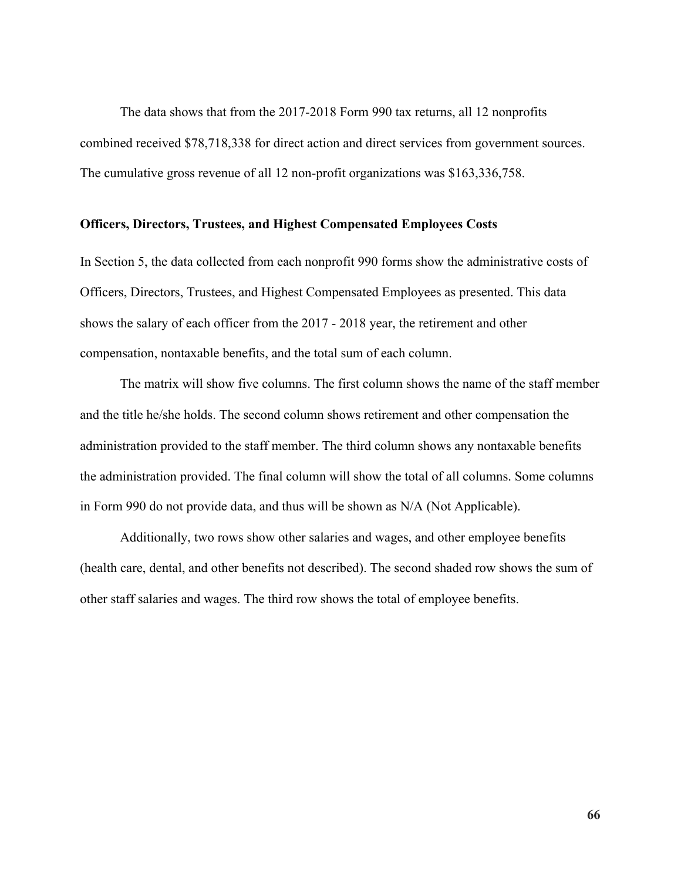The data shows that from the 2017-2018 Form 990 tax returns, all 12 nonprofits combined received \$78,718,338 for direct action and direct services from government sources. The cumulative gross revenue of all 12 non-profit organizations was \$163,336,758.

### **Officers, Directors, Trustees, and Highest Compensated Employees Costs**

In Section 5, the data collected from each nonprofit 990 forms show the administrative costs of Officers, Directors, Trustees, and Highest Compensated Employees as presented. This data shows the salary of each officer from the 2017 - 2018 year, the retirement and other compensation, nontaxable benefits, and the total sum of each column.

The matrix will show five columns. The first column shows the name of the staff member and the title he/she holds. The second column shows retirement and other compensation the administration provided to the staff member. The third column shows any nontaxable benefits the administration provided. The final column will show the total of all columns. Some columns in Form 990 do not provide data, and thus will be shown as N/A (Not Applicable).

Additionally, two rows show other salaries and wages, and other employee benefits (health care, dental, and other benefits not described). The second shaded row shows the sum of other staff salaries and wages. The third row shows the total of employee benefits.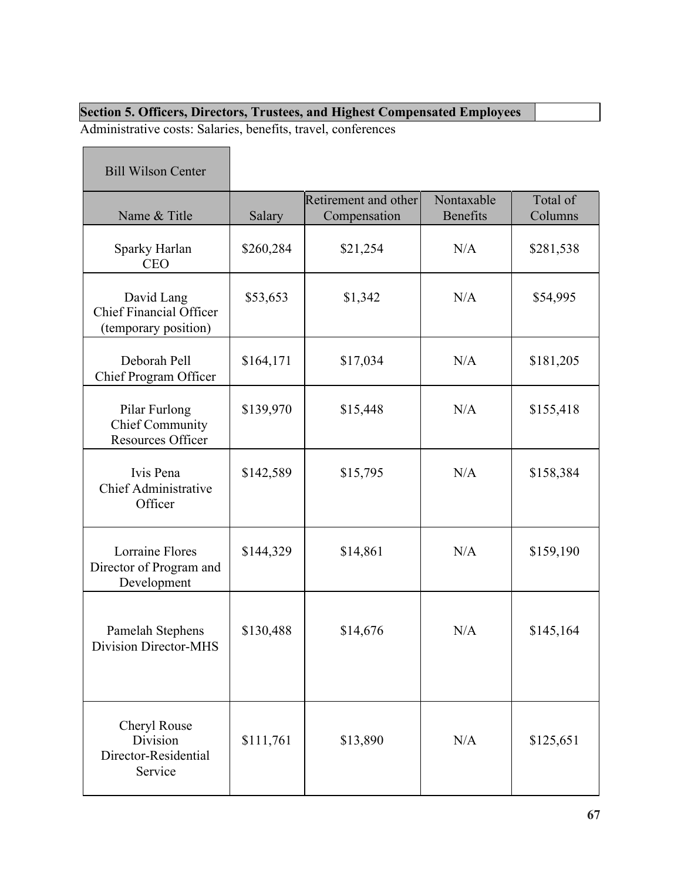# **Section 5. Officers, Directors, Trustees, and Highest Compensated Employees**

Administrative costs: Salaries, benefits, travel, conferences

| <b>Bill Wilson Center</b>                                            |           |                                      |                               |                     |
|----------------------------------------------------------------------|-----------|--------------------------------------|-------------------------------|---------------------|
| Name & Title                                                         | Salary    | Retirement and other<br>Compensation | Nontaxable<br><b>Benefits</b> | Total of<br>Columns |
| Sparky Harlan<br><b>CEO</b>                                          | \$260,284 | \$21,254                             | N/A                           | \$281,538           |
| David Lang<br><b>Chief Financial Officer</b><br>(temporary position) | \$53,653  | \$1,342                              | N/A                           | \$54,995            |
| Deborah Pell<br>Chief Program Officer                                | \$164,171 | \$17,034                             | N/A                           | \$181,205           |
| Pilar Furlong<br><b>Chief Community</b><br><b>Resources Officer</b>  | \$139,970 | \$15,448                             | N/A                           | \$155,418           |
| Ivis Pena<br><b>Chief Administrative</b><br>Officer                  | \$142,589 | \$15,795                             | N/A                           | \$158,384           |
| <b>Lorraine Flores</b><br>Director of Program and<br>Development     | \$144,329 | \$14,861                             | N/A                           | \$159,190           |
| Pamelah Stephens<br>Division Director-MHS                            | \$130,488 | \$14,676                             | N/A                           | \$145,164           |
| Cheryl Rouse<br>Division<br>Director-Residential<br>Service          | \$111,761 | \$13,890                             | N/A                           | \$125,651           |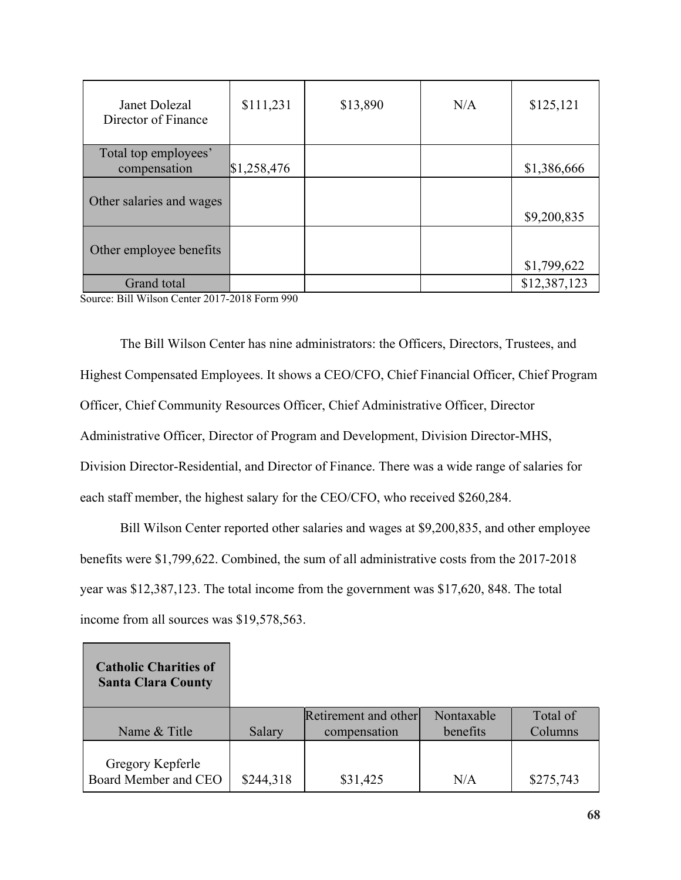| Janet Dolezal<br>Director of Finance | \$111,231   | \$13,890 | N/A | \$125,121    |
|--------------------------------------|-------------|----------|-----|--------------|
| Total top employees'                 |             |          |     |              |
| compensation                         | \$1,258,476 |          |     | \$1,386,666  |
| Other salaries and wages             |             |          |     | \$9,200,835  |
| Other employee benefits              |             |          |     | \$1,799,622  |
| Grand total                          |             |          |     | \$12,387,123 |

Source: Bill Wilson Center 2017-2018 Form 990

Г

The Bill Wilson Center has nine administrators: the Officers, Directors, Trustees, and Highest Compensated Employees. It shows a CEO/CFO, Chief Financial Officer, Chief Program Officer, Chief Community Resources Officer, Chief Administrative Officer, Director Administrative Officer, Director of Program and Development, Division Director-MHS, Division Director-Residential, and Director of Finance. There was a wide range of salaries for each staff member, the highest salary for the CEO/CFO, who received \$260,284.

Bill Wilson Center reported other salaries and wages at \$9,200,835, and other employee benefits were \$1,799,622. Combined, the sum of all administrative costs from the 2017-2018 year was \$12,387,123. The total income from the government was \$17,620, 848. The total income from all sources was \$19,578,563.

| <b>Catholic Charities of</b><br><b>Santa Clara County</b> |           |                                      |                        |                     |
|-----------------------------------------------------------|-----------|--------------------------------------|------------------------|---------------------|
| Name & Title                                              | Salary    | Retirement and other<br>compensation | Nontaxable<br>benefits | Total of<br>Columns |
| Gregory Kepferle<br>Board Member and CEO                  | \$244,318 | \$31,425                             | N/A                    | \$275,743           |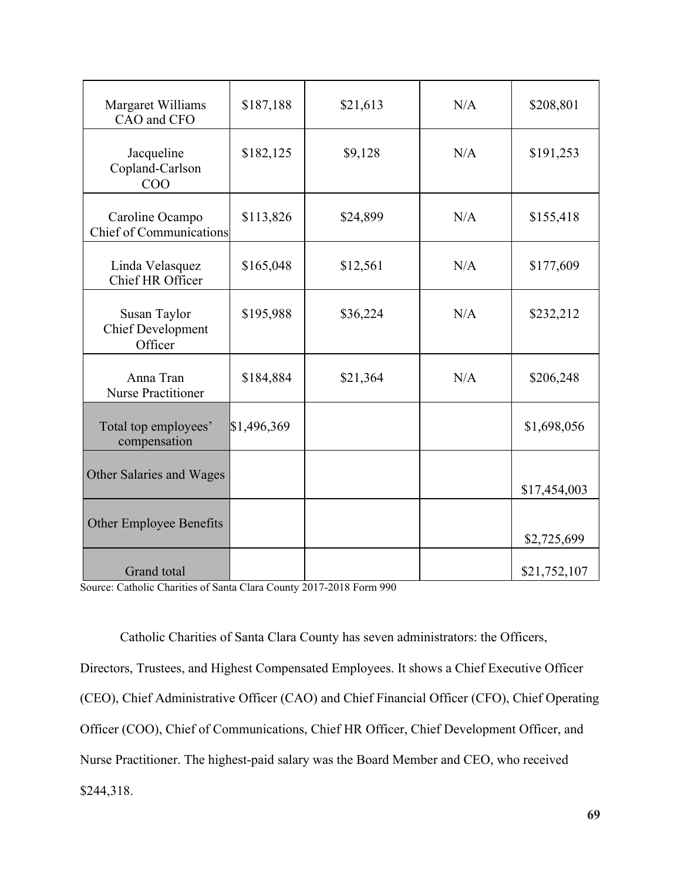| Margaret Williams<br>CAO and CFO                    | \$187,188   | \$21,613 | N/A | \$208,801    |
|-----------------------------------------------------|-------------|----------|-----|--------------|
| Jacqueline<br>Copland-Carlson<br>COO                | \$182,125   | \$9,128  | N/A | \$191,253    |
| Caroline Ocampo<br><b>Chief of Communications</b>   | \$113,826   | \$24,899 | N/A | \$155,418    |
| Linda Velasquez<br>Chief HR Officer                 | \$165,048   | \$12,561 | N/A | \$177,609    |
| Susan Taylor<br><b>Chief Development</b><br>Officer | \$195,988   | \$36,224 | N/A | \$232,212    |
| Anna Tran<br><b>Nurse Practitioner</b>              | \$184,884   | \$21,364 | N/A | \$206,248    |
| Total top employees'<br>compensation                | \$1,496,369 |          |     | \$1,698,056  |
| Other Salaries and Wages                            |             |          |     | \$17,454,003 |
| Other Employee Benefits                             |             |          |     | \$2,725,699  |
| <b>Grand</b> total                                  |             |          |     | \$21,752,107 |

Source: Catholic Charities of Santa Clara County 2017-2018 Form 990

Catholic Charities of Santa Clara County has seven administrators: the Officers, Directors, Trustees, and Highest Compensated Employees. It shows a Chief Executive Officer (CEO), Chief Administrative Officer (CAO) and Chief Financial Officer (CFO), Chief Operating Officer (COO), Chief of Communications, Chief HR Officer, Chief Development Officer, and Nurse Practitioner. The highest-paid salary was the Board Member and CEO, who received \$244,318.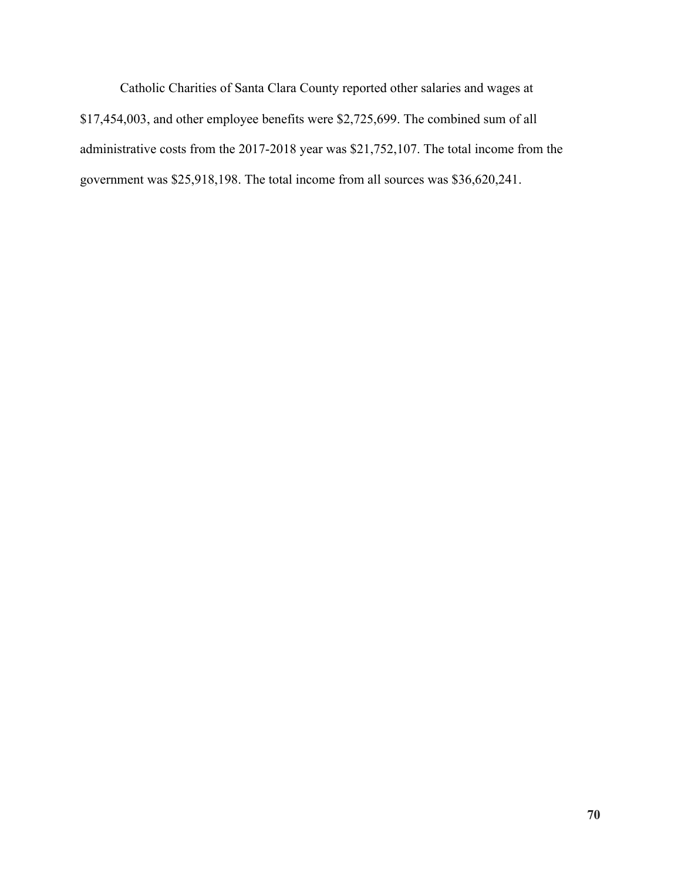Catholic Charities of Santa Clara County reported other salaries and wages at \$17,454,003, and other employee benefits were \$2,725,699. The combined sum of all administrative costs from the 2017-2018 year was \$21,752,107. The total income from the government was \$25,918,198. The total income from all sources was \$36,620,241.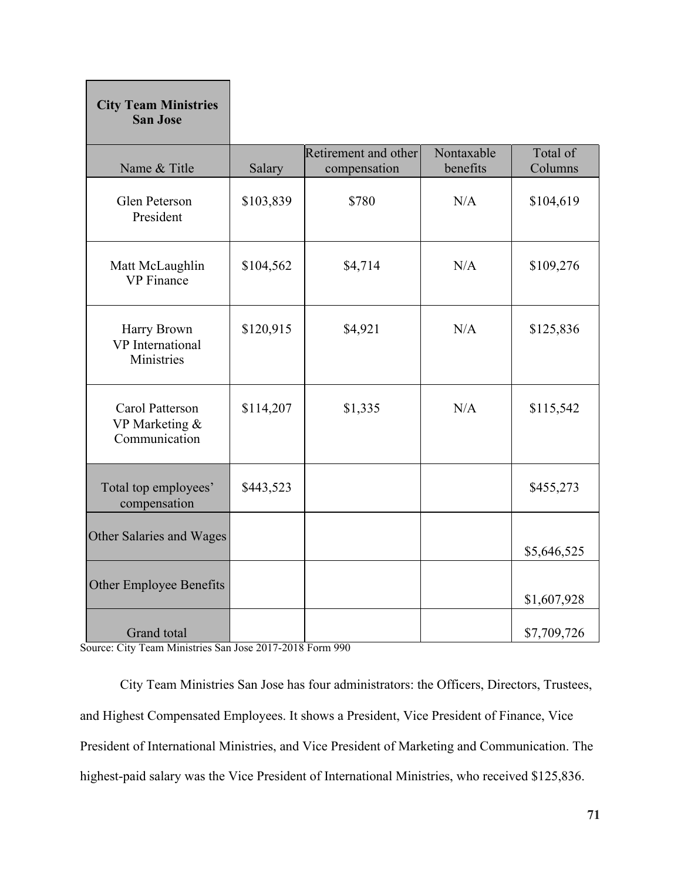| <b>City Team Ministries</b><br><b>San Jose</b>       |           |                                      |                        |                     |
|------------------------------------------------------|-----------|--------------------------------------|------------------------|---------------------|
| Name & Title                                         | Salary    | Retirement and other<br>compensation | Nontaxable<br>benefits | Total of<br>Columns |
| Glen Peterson<br>President                           | \$103,839 | \$780                                | N/A                    | \$104,619           |
| Matt McLaughlin<br><b>VP</b> Finance                 | \$104,562 | \$4,714                              | N/A                    | \$109,276           |
| Harry Brown<br><b>VP</b> International<br>Ministries | \$120,915 | \$4,921                              | N/A                    | \$125,836           |
| Carol Patterson<br>VP Marketing &<br>Communication   | \$114,207 | \$1,335                              | N/A                    | \$115,542           |
| Total top employees'<br>compensation                 | \$443,523 |                                      |                        | \$455,273           |
| Other Salaries and Wages                             |           |                                      |                        | \$5,646,525         |
| Other Employee Benefits                              |           |                                      |                        | \$1,607,928         |
| Grand total                                          |           |                                      |                        | \$7,709,726         |

Source: City Team Ministries San Jose 2017-2018 Form 990

Г

City Team Ministries San Jose has four administrators: the Officers, Directors, Trustees, and Highest Compensated Employees. It shows a President, Vice President of Finance, Vice President of International Ministries, and Vice President of Marketing and Communication. The highest-paid salary was the Vice President of International Ministries, who received \$125,836.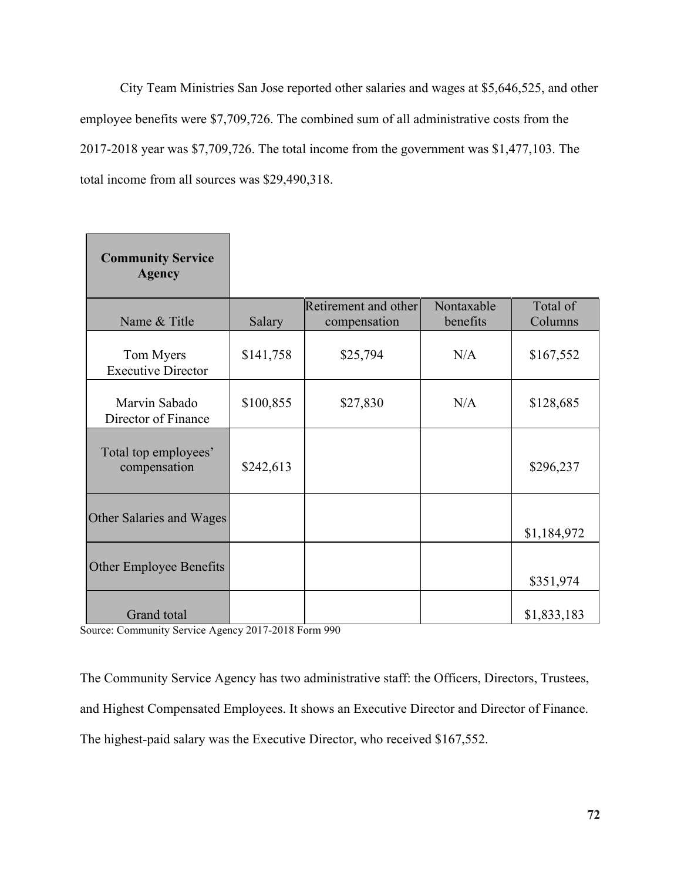City Team Ministries San Jose reported other salaries and wages at \$5,646,525, and other employee benefits were \$7,709,726. The combined sum of all administrative costs from the 2017-2018 year was \$7,709,726. The total income from the government was \$1,477,103. The total income from all sources was \$29,490,318.

| <b>Community Service</b><br><b>Agency</b> |           |                                      |                        |                     |
|-------------------------------------------|-----------|--------------------------------------|------------------------|---------------------|
| Name & Title                              | Salary    | Retirement and other<br>compensation | Nontaxable<br>benefits | Total of<br>Columns |
| Tom Myers<br><b>Executive Director</b>    | \$141,758 | \$25,794                             | N/A                    | \$167,552           |
| Marvin Sabado<br>Director of Finance      | \$100,855 | \$27,830                             | N/A                    | \$128,685           |
| Total top employees'<br>compensation      | \$242,613 |                                      |                        | \$296,237           |
| Other Salaries and Wages                  |           |                                      |                        | \$1,184,972         |
| Other Employee Benefits                   |           |                                      |                        | \$351,974           |
| Grand total                               |           |                                      |                        | \$1,833,183         |

Source: Community Service Agency 2017-2018 Form 990

The Community Service Agency has two administrative staff: the Officers, Directors, Trustees, and Highest Compensated Employees. It shows an Executive Director and Director of Finance. The highest-paid salary was the Executive Director, who received \$167,552.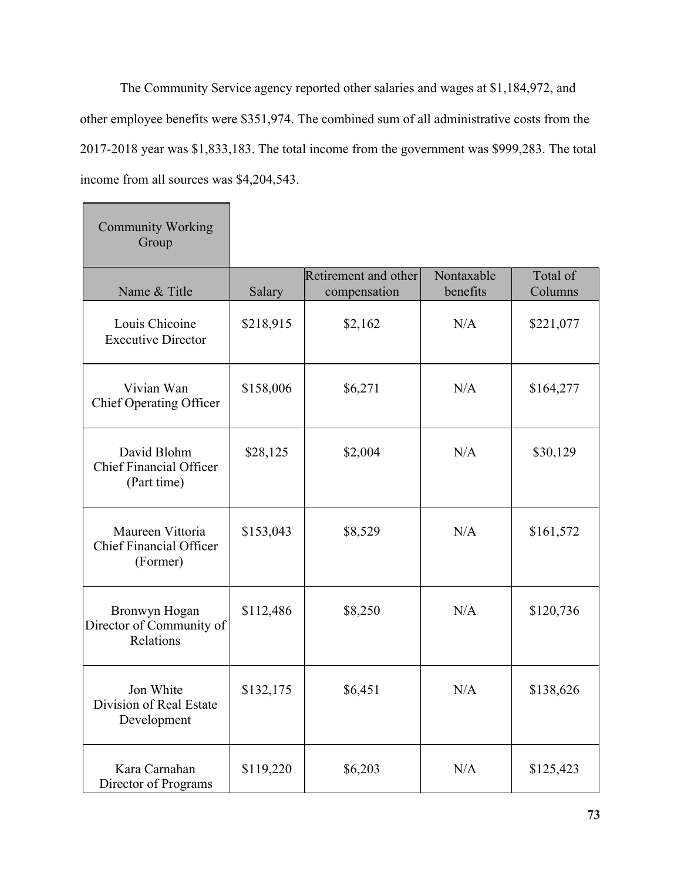The Community Service agency reported other salaries and wages at \$1,184,972, and other employee benefits were \$351,974. The combined sum of all administrative costs from the 2017-2018 year was \$1,833,183. The total income from the government was \$999,283. The total income from all sources was \$4,204,543.

 $\overline{\phantom{a}}$ 

| <b>Community Working</b><br>Group                              |           |                                      |                        |                     |
|----------------------------------------------------------------|-----------|--------------------------------------|------------------------|---------------------|
| Name & Title                                                   | Salary    | Retirement and other<br>compensation | Nontaxable<br>benefits | Total of<br>Columns |
| Louis Chicoine<br><b>Executive Director</b>                    | \$218,915 | \$2,162                              | N/A                    | \$221,077           |
| Vivian Wan<br><b>Chief Operating Officer</b>                   | \$158,006 | \$6,271                              | N/A                    | \$164,277           |
| David Blohm<br><b>Chief Financial Officer</b><br>(Part time)   | \$28,125  | \$2,004                              | N/A                    | \$30,129            |
| Maureen Vittoria<br><b>Chief Financial Officer</b><br>(Former) | \$153,043 | \$8,529                              | N/A                    | \$161,572           |
| Bronwyn Hogan<br>Director of Community of<br>Relations         | \$112,486 | \$8,250                              | N/A                    | \$120,736           |
| Jon White<br>Division of Real Estate<br>Development            | \$132,175 | \$6,451                              | N/A                    | \$138,626           |
| Kara Carnahan<br>Director of Programs                          | \$119,220 | \$6,203                              | N/A                    | \$125,423           |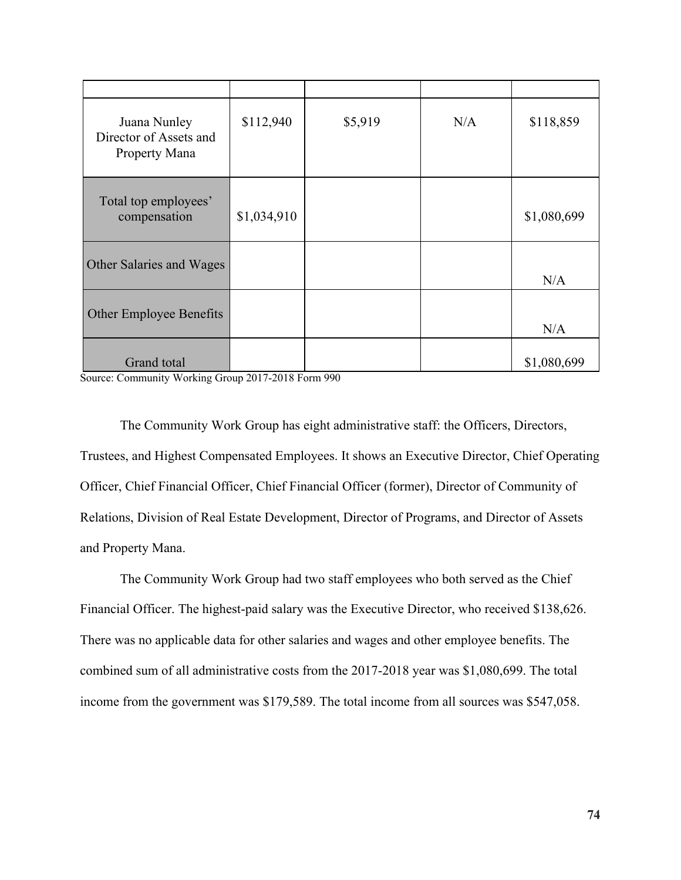| Juana Nunley<br>Director of Assets and<br>Property Mana | \$112,940   | \$5,919 | N/A | \$118,859   |
|---------------------------------------------------------|-------------|---------|-----|-------------|
| Total top employees'<br>compensation                    | \$1,034,910 |         |     | \$1,080,699 |
| Other Salaries and Wages                                |             |         |     | N/A         |
| Other Employee Benefits                                 |             |         |     | N/A         |
| Grand total                                             |             |         |     | \$1,080,699 |

Source: Community Working Group 2017-2018 Form 990

The Community Work Group has eight administrative staff: the Officers, Directors, Trustees, and Highest Compensated Employees. It shows an Executive Director, Chief Operating Officer, Chief Financial Officer, Chief Financial Officer (former), Director of Community of Relations, Division of Real Estate Development, Director of Programs, and Director of Assets and Property Mana.

The Community Work Group had two staff employees who both served as the Chief Financial Officer. The highest-paid salary was the Executive Director, who received \$138,626. There was no applicable data for other salaries and wages and other employee benefits. The combined sum of all administrative costs from the 2017-2018 year was \$1,080,699. The total income from the government was \$179,589. The total income from all sources was \$547,058.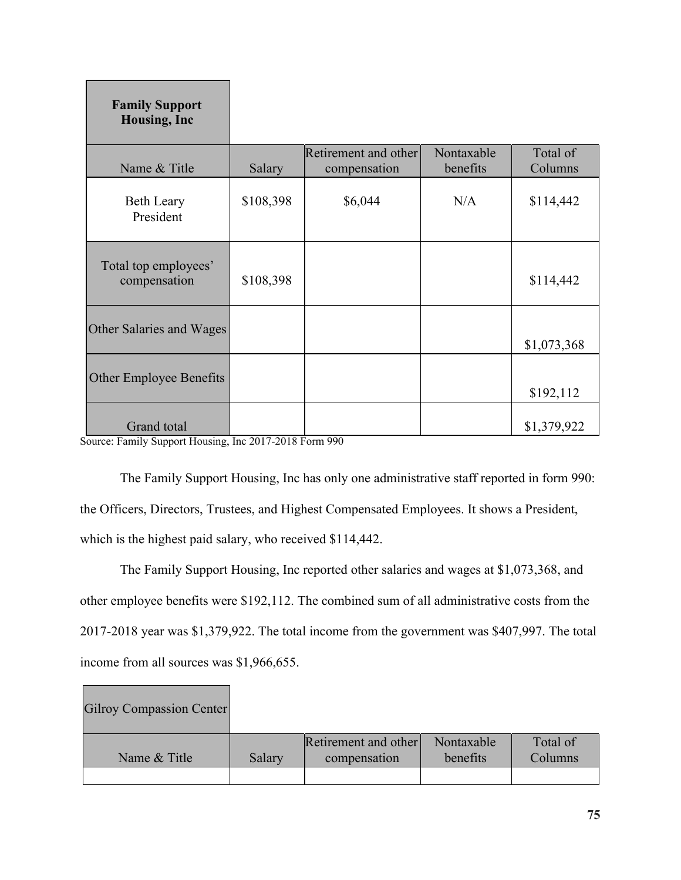| <b>Family Support</b><br><b>Housing, Inc.</b> |           |                                      |                        |                     |
|-----------------------------------------------|-----------|--------------------------------------|------------------------|---------------------|
| Name & Title                                  | Salary    | Retirement and other<br>compensation | Nontaxable<br>benefits | Total of<br>Columns |
| <b>Beth Leary</b><br>President                | \$108,398 | \$6,044                              | N/A                    | \$114,442           |
| Total top employees'<br>compensation          | \$108,398 |                                      |                        | \$114,442           |
| Other Salaries and Wages                      |           |                                      |                        | \$1,073,368         |
| Other Employee Benefits                       |           |                                      |                        | \$192,112           |
| Grand total                                   |           |                                      |                        | \$1,379,922         |

Source: Family Support Housing, Inc 2017-2018 Form 990

The Family Support Housing, Inc has only one administrative staff reported in form 990: the Officers, Directors, Trustees, and Highest Compensated Employees. It shows a President, which is the highest paid salary, who received \$114,442.

The Family Support Housing, Inc reported other salaries and wages at \$1,073,368, and other employee benefits were \$192,112. The combined sum of all administrative costs from the 2017-2018 year was \$1,379,922. The total income from the government was \$407,997. The total income from all sources was \$1,966,655.

| <b>Gilroy Compassion Center</b> |        |                                      |                        |                     |
|---------------------------------|--------|--------------------------------------|------------------------|---------------------|
| Name & Title                    | Salary | Retirement and other<br>compensation | Nontaxable<br>benefits | Total of<br>Columns |
|                                 |        |                                      |                        |                     |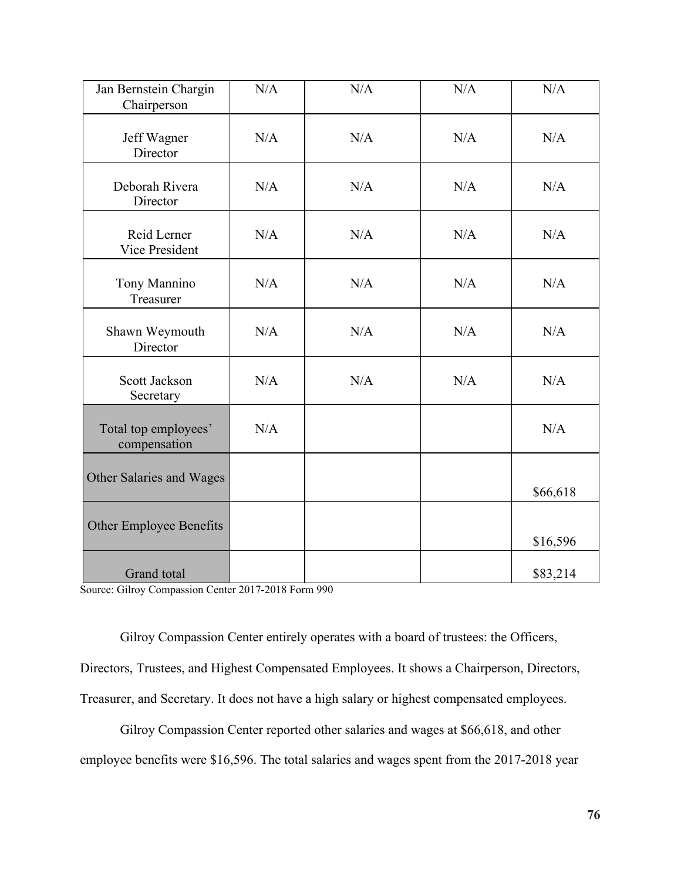| Jan Bernstein Chargin<br>Chairperson | N/A | N/A | N/A | N/A      |
|--------------------------------------|-----|-----|-----|----------|
| Jeff Wagner<br>Director              | N/A | N/A | N/A | N/A      |
| Deborah Rivera<br>Director           | N/A | N/A | N/A | N/A      |
| Reid Lerner<br><b>Vice President</b> | N/A | N/A | N/A | N/A      |
| Tony Mannino<br>Treasurer            | N/A | N/A | N/A | N/A      |
| Shawn Weymouth<br>Director           | N/A | N/A | N/A | N/A      |
| Scott Jackson<br>Secretary           | N/A | N/A | N/A | N/A      |
| Total top employees'<br>compensation | N/A |     |     | N/A      |
| Other Salaries and Wages             |     |     |     | \$66,618 |
| Other Employee Benefits              |     |     |     | \$16,596 |
| <b>Grand</b> total                   |     |     |     | \$83,214 |

Source: Gilroy Compassion Center 2017-2018 Form 990

Gilroy Compassion Center entirely operates with a board of trustees: the Officers, Directors, Trustees, and Highest Compensated Employees. It shows a Chairperson, Directors, Treasurer, and Secretary. It does not have a high salary or highest compensated employees.

Gilroy Compassion Center reported other salaries and wages at \$66,618, and other employee benefits were \$16,596. The total salaries and wages spent from the 2017-2018 year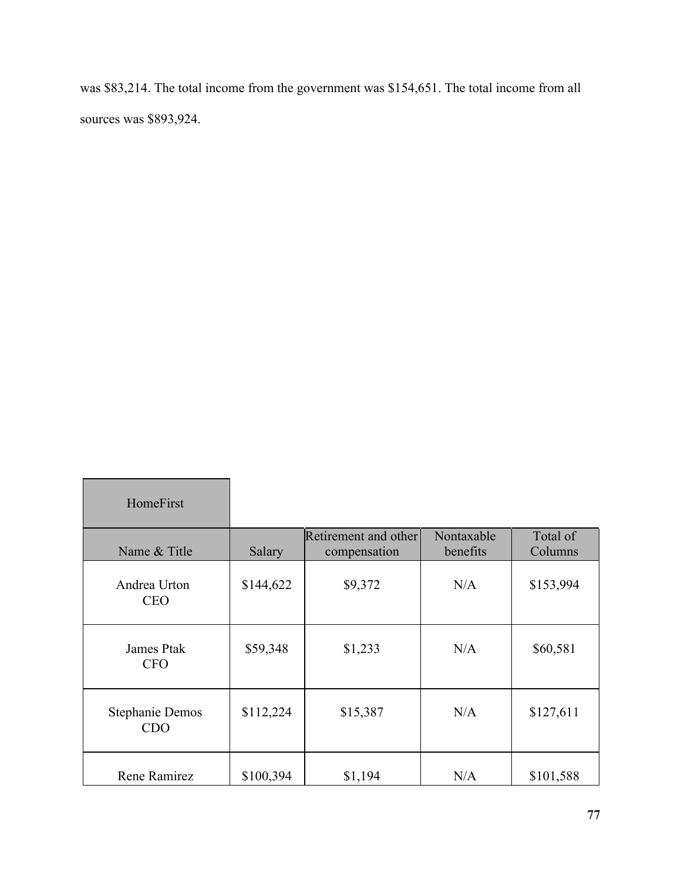was \$83,214. The total income from the government was \$154,651. The total income from all sources was \$893,924.

| HomeFirst                            |           |                                      |                        |                     |
|--------------------------------------|-----------|--------------------------------------|------------------------|---------------------|
| Name & Title                         | Salary    | Retirement and other<br>compensation | Nontaxable<br>benefits | Total of<br>Columns |
| Andrea Urton<br><b>CEO</b>           | \$144,622 | \$9,372                              | N/A                    | \$153,994           |
| <b>James Ptak</b><br><b>CFO</b>      | \$59,348  | \$1,233                              | N/A                    | \$60,581            |
| <b>Stephanie Demos</b><br><b>CDO</b> | \$112,224 | \$15,387                             | N/A                    | \$127,611           |
| Rene Ramirez                         | \$100,394 | \$1,194                              | N/A                    | \$101,588           |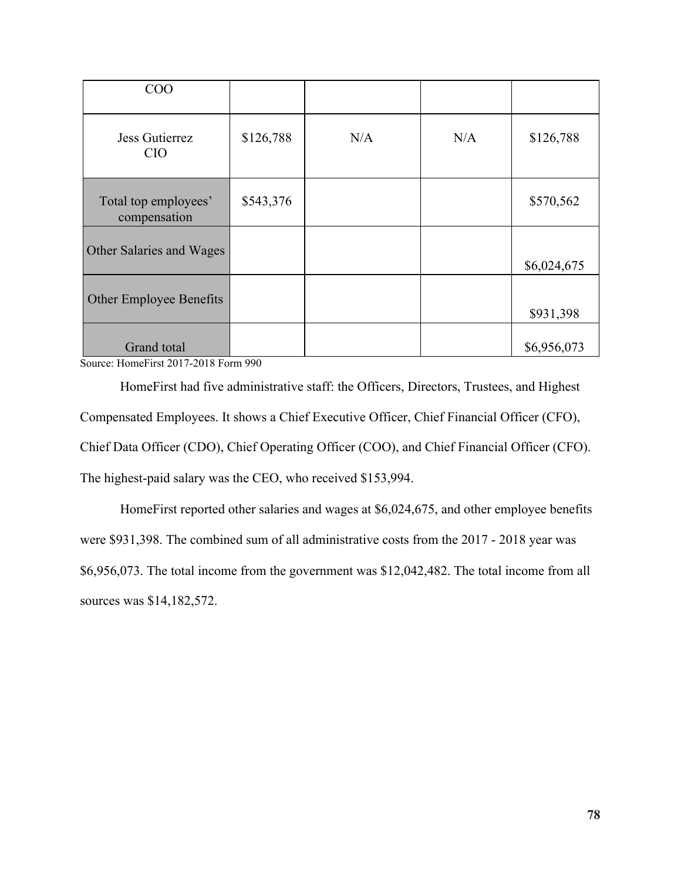| COO                                  |           |     |     |             |
|--------------------------------------|-----------|-----|-----|-------------|
| Jess Gutierrez<br><b>CIO</b>         | \$126,788 | N/A | N/A | \$126,788   |
| Total top employees'<br>compensation | \$543,376 |     |     | \$570,562   |
| Other Salaries and Wages             |           |     |     | \$6,024,675 |
| Other Employee Benefits              |           |     |     | \$931,398   |
| Grand total                          |           |     |     | \$6,956,073 |

Source: HomeFirst 2017-2018 Form 990

HomeFirst had five administrative staff: the Officers, Directors, Trustees, and Highest Compensated Employees. It shows a Chief Executive Officer, Chief Financial Officer (CFO), Chief Data Officer (CDO), Chief Operating Officer (COO), and Chief Financial Officer (CFO). The highest-paid salary was the CEO, who received \$153,994.

HomeFirst reported other salaries and wages at \$6,024,675, and other employee benefits were \$931,398. The combined sum of all administrative costs from the 2017 - 2018 year was \$6,956,073. The total income from the government was \$12,042,482. The total income from all sources was \$14,182,572.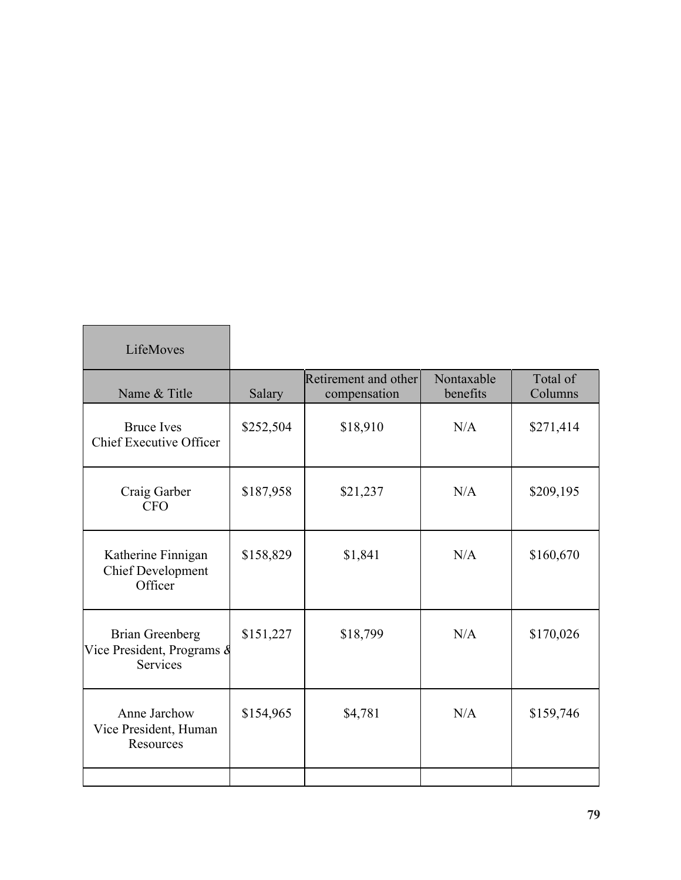| LifeMoves                                                               |           |                                      |                        |                     |
|-------------------------------------------------------------------------|-----------|--------------------------------------|------------------------|---------------------|
| Name & Title                                                            | Salary    | Retirement and other<br>compensation | Nontaxable<br>benefits | Total of<br>Columns |
| <b>Bruce Ives</b><br><b>Chief Executive Officer</b>                     | \$252,504 | \$18,910                             | N/A                    | \$271,414           |
| Craig Garber<br><b>CFO</b>                                              | \$187,958 | \$21,237                             | N/A                    | \$209,195           |
| Katherine Finnigan<br><b>Chief Development</b><br>Officer               | \$158,829 | \$1,841                              | N/A                    | \$160,670           |
| <b>Brian Greenberg</b><br>Vice President, Programs &<br><b>Services</b> | \$151,227 | \$18,799                             | N/A                    | \$170,026           |
| Anne Jarchow<br>Vice President, Human<br>Resources                      | \$154,965 | \$4,781                              | N/A                    | \$159,746           |
|                                                                         |           |                                      |                        |                     |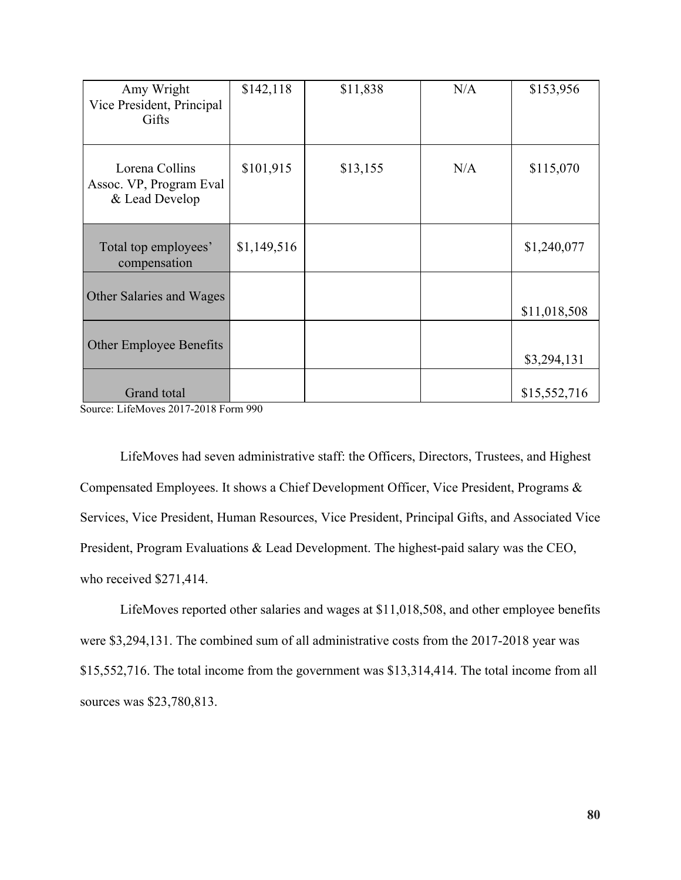| Amy Wright<br>Vice President, Principal<br>Gifts            | \$142,118   | \$11,838 | N/A | \$153,956    |
|-------------------------------------------------------------|-------------|----------|-----|--------------|
| Lorena Collins<br>Assoc. VP, Program Eval<br>& Lead Develop | \$101,915   | \$13,155 | N/A | \$115,070    |
| Total top employees'<br>compensation                        | \$1,149,516 |          |     | \$1,240,077  |
| Other Salaries and Wages                                    |             |          |     | \$11,018,508 |
| <b>Other Employee Benefits</b>                              |             |          |     | \$3,294,131  |
| Grand total                                                 |             |          |     | \$15,552,716 |

Source: LifeMoves 2017-2018 Form 990

LifeMoves had seven administrative staff: the Officers, Directors, Trustees, and Highest Compensated Employees. It shows a Chief Development Officer, Vice President, Programs & Services, Vice President, Human Resources, Vice President, Principal Gifts, and Associated Vice President, Program Evaluations & Lead Development. The highest-paid salary was the CEO, who received \$271,414.

LifeMoves reported other salaries and wages at \$11,018,508, and other employee benefits were \$3,294,131. The combined sum of all administrative costs from the 2017-2018 year was \$15,552,716. The total income from the government was \$13,314,414. The total income from all sources was \$23,780,813.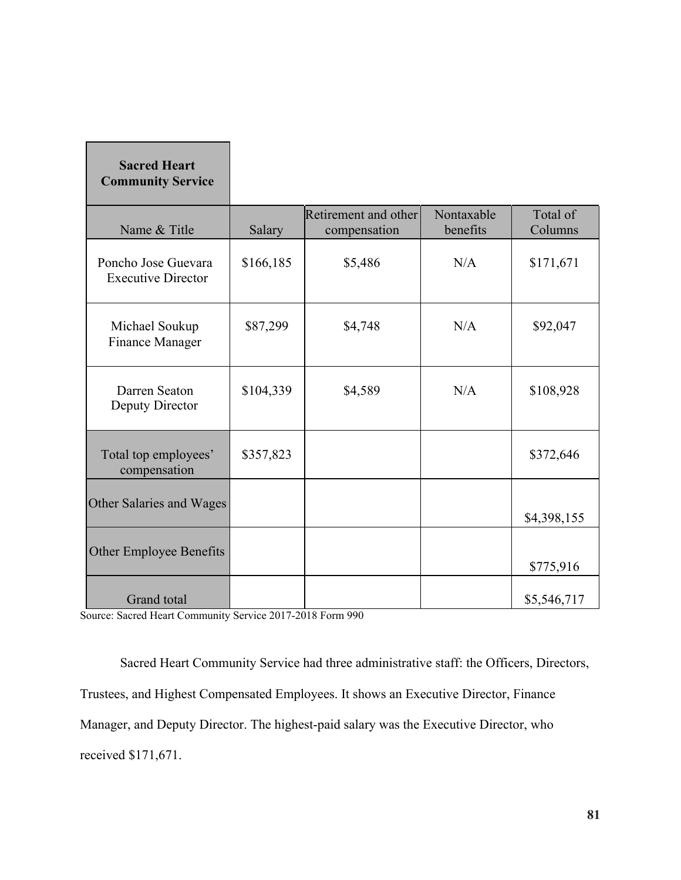| <b>Sacred Heart</b><br><b>Community Service</b>  |           |                                      |                        |                     |
|--------------------------------------------------|-----------|--------------------------------------|------------------------|---------------------|
| Name & Title                                     | Salary    | Retirement and other<br>compensation | Nontaxable<br>benefits | Total of<br>Columns |
| Poncho Jose Guevara<br><b>Executive Director</b> | \$166,185 | \$5,486                              | N/A                    | \$171,671           |
| Michael Soukup<br><b>Finance Manager</b>         | \$87,299  | \$4,748                              | N/A                    | \$92,047            |
| Darren Seaton<br>Deputy Director                 | \$104,339 | \$4,589                              | N/A                    | \$108,928           |
| Total top employees'<br>compensation             | \$357,823 |                                      |                        | \$372,646           |
| Other Salaries and Wages                         |           |                                      |                        | \$4,398,155         |
| Other Employee Benefits                          |           |                                      |                        | \$775,916           |
| Grand total                                      |           |                                      |                        | \$5,546,717         |

Source: Sacred Heart Community Service 2017-2018 Form 990

п

Г

Sacred Heart Community Service had three administrative staff: the Officers, Directors, Trustees, and Highest Compensated Employees. It shows an Executive Director, Finance Manager, and Deputy Director. The highest-paid salary was the Executive Director, who received \$171,671.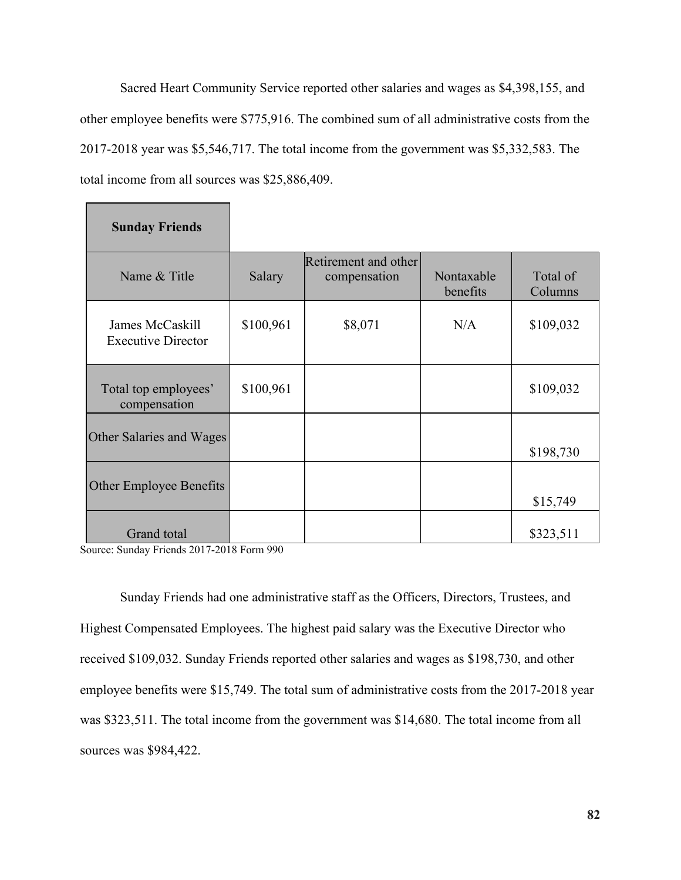Sacred Heart Community Service reported other salaries and wages as \$4,398,155, and other employee benefits were \$775,916. The combined sum of all administrative costs from the 2017-2018 year was \$5,546,717. The total income from the government was \$5,332,583. The total income from all sources was \$25,886,409.

| <b>Sunday Friends</b>                        |           |                                      |                        |                     |
|----------------------------------------------|-----------|--------------------------------------|------------------------|---------------------|
| Name & Title                                 | Salary    | Retirement and other<br>compensation | Nontaxable<br>benefits | Total of<br>Columns |
| James McCaskill<br><b>Executive Director</b> | \$100,961 | \$8,071                              | N/A                    | \$109,032           |
| Total top employees'<br>compensation         | \$100,961 |                                      |                        | \$109,032           |
| Other Salaries and Wages                     |           |                                      |                        | \$198,730           |
| <b>Other Employee Benefits</b>               |           |                                      |                        | \$15,749            |
| Grand total                                  |           |                                      |                        | \$323,511           |

Source: Sunday Friends 2017-2018 Form 990

Sunday Friends had one administrative staff as the Officers, Directors, Trustees, and Highest Compensated Employees. The highest paid salary was the Executive Director who received \$109,032. Sunday Friends reported other salaries and wages as \$198,730, and other employee benefits were \$15,749. The total sum of administrative costs from the 2017-2018 year was \$323,511. The total income from the government was \$14,680. The total income from all sources was \$984,422.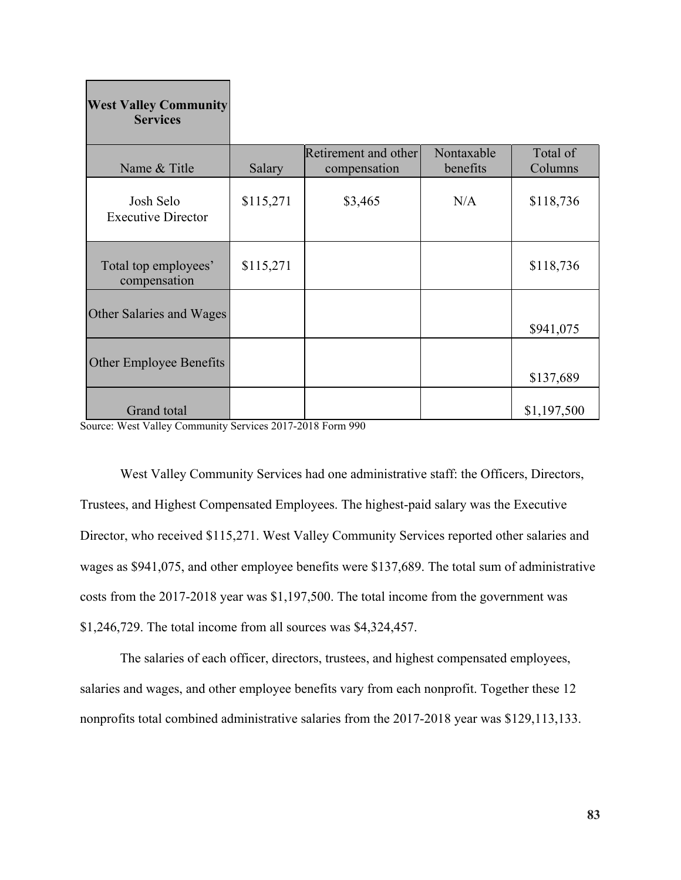| <b>West Valley Community</b><br><b>Services</b> |           |                                      |                        |                     |
|-------------------------------------------------|-----------|--------------------------------------|------------------------|---------------------|
| Name & Title                                    | Salary    | Retirement and other<br>compensation | Nontaxable<br>benefits | Total of<br>Columns |
| Josh Selo<br><b>Executive Director</b>          | \$115,271 | \$3,465                              | N/A                    | \$118,736           |
| Total top employees'<br>compensation            | \$115,271 |                                      |                        | \$118,736           |
| Other Salaries and Wages                        |           |                                      |                        | \$941,075           |
| <b>Other Employee Benefits</b>                  |           |                                      |                        | \$137,689           |
| Grand total                                     |           |                                      |                        | \$1,197,500         |

Source: West Valley Community Services 2017-2018 Form 990

West Valley Community Services had one administrative staff: the Officers, Directors, Trustees, and Highest Compensated Employees. The highest-paid salary was the Executive Director, who received \$115,271. West Valley Community Services reported other salaries and wages as \$941,075, and other employee benefits were \$137,689. The total sum of administrative costs from the 2017-2018 year was \$1,197,500. The total income from the government was \$1,246,729. The total income from all sources was \$4,324,457.

The salaries of each officer, directors, trustees, and highest compensated employees, salaries and wages, and other employee benefits vary from each nonprofit. Together these 12 nonprofits total combined administrative salaries from the 2017-2018 year was \$129,113,133.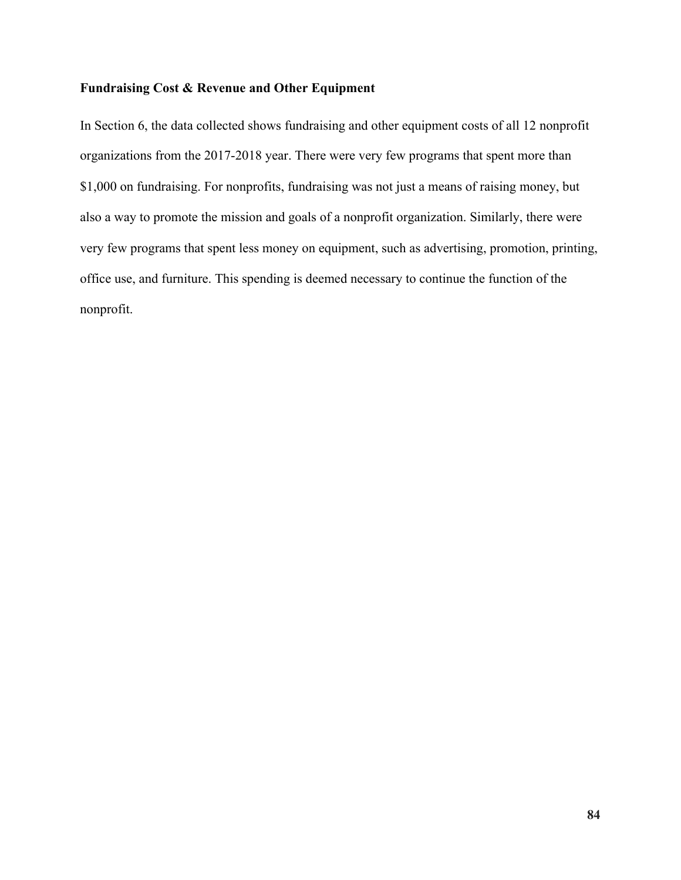#### **Fundraising Cost & Revenue and Other Equipment**

In Section 6, the data collected shows fundraising and other equipment costs of all 12 nonprofit organizations from the 2017-2018 year. There were very few programs that spent more than \$1,000 on fundraising. For nonprofits, fundraising was not just a means of raising money, but also a way to promote the mission and goals of a nonprofit organization. Similarly, there were very few programs that spent less money on equipment, such as advertising, promotion, printing, office use, and furniture. This spending is deemed necessary to continue the function of the nonprofit.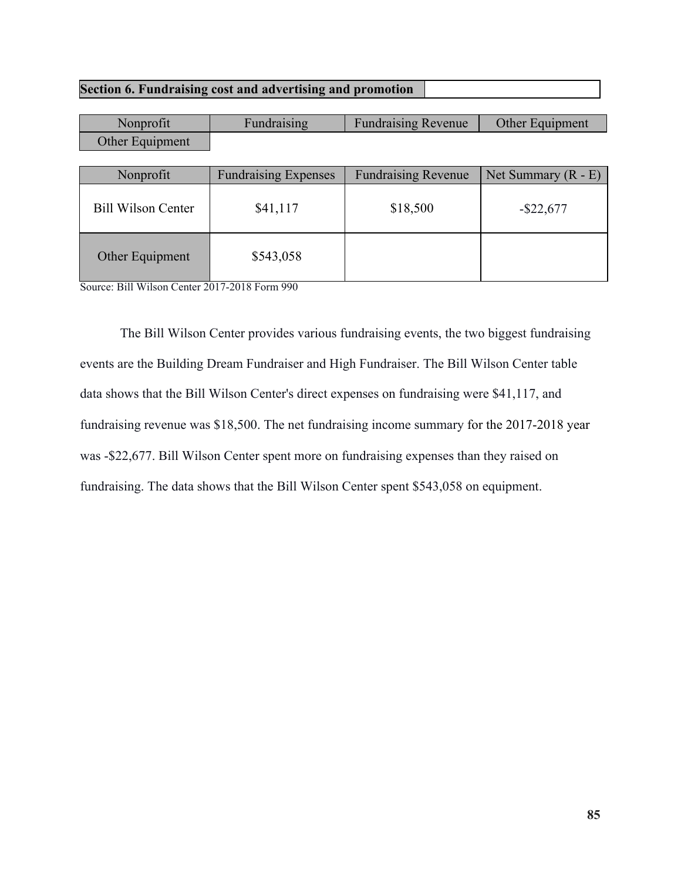### **Section 6. Fundraising cost and advertising and promotion**

| Nonprofit                 | Fundraising                 | <b>Fundraising Revenue</b> | Other Equipment       |
|---------------------------|-----------------------------|----------------------------|-----------------------|
| Other Equipment           |                             |                            |                       |
|                           |                             |                            |                       |
| Nonprofit                 | <b>Fundraising Expenses</b> | <b>Fundraising Revenue</b> | Net Summary $(R - E)$ |
| <b>Bill Wilson Center</b> | \$41,117                    | \$18,500                   | $-$ \$22,677          |
| Other Equipment           | \$543,058                   |                            |                       |

Source: Bill Wilson Center 2017-2018 Form 990

The Bill Wilson Center provides various fundraising events, the two biggest fundraising events are the Building Dream Fundraiser and High Fundraiser. The Bill Wilson Center table data shows that the Bill Wilson Center's direct expenses on fundraising were \$41,117, and fundraising revenue was \$18,500. The net fundraising income summary for the 2017-2018 year was -\$22,677. Bill Wilson Center spent more on fundraising expenses than they raised on fundraising. The data shows that the Bill Wilson Center spent \$543,058 on equipment.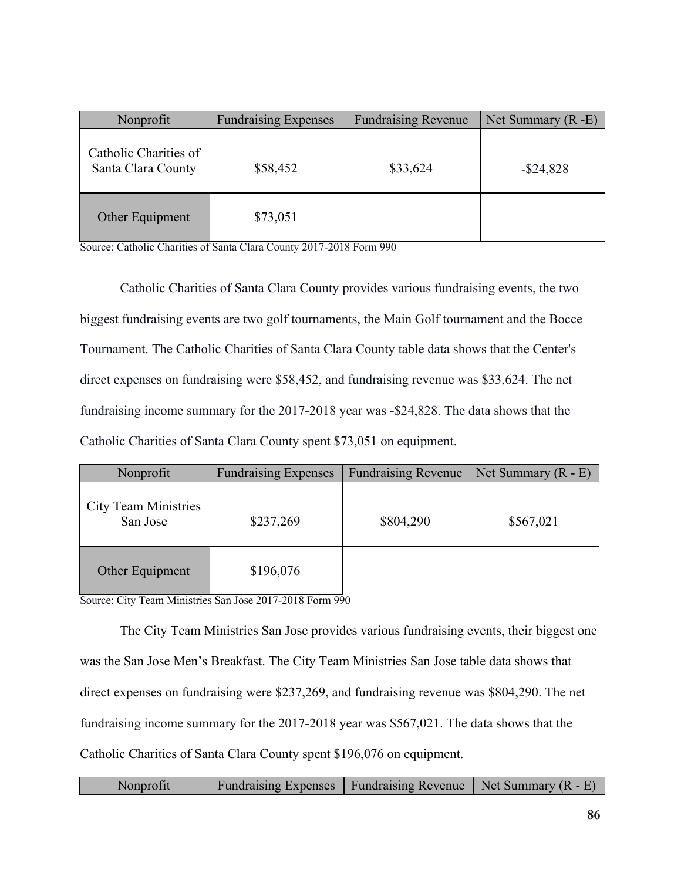| Nonprofit                                   | <b>Fundraising Expenses</b> | <b>Fundraising Revenue</b> | Net Summary $(R - E)$ |
|---------------------------------------------|-----------------------------|----------------------------|-----------------------|
| Catholic Charities of<br>Santa Clara County | \$58,452                    | \$33,624                   | $-$ \$24,828          |
| Other Equipment                             | \$73,051                    |                            |                       |

Source: Catholic Charities of Santa Clara County 2017-2018 Form 990

Catholic Charities of Santa Clara County provides various fundraising events, the two biggest fundraising events are two golf tournaments, the Main Golf tournament and the Bocce Tournament. The Catholic Charities of Santa Clara County table data shows that the Center's direct expenses on fundraising were \$58,452, and fundraising revenue was \$33,624. The net fundraising income summary for the 2017-2018 year was -\$24,828. The data shows that the Catholic Charities of Santa Clara County spent \$73,051 on equipment.

| Nonprofit                               | <b>Fundraising Expenses</b> | <b>Fundraising Revenue</b> | Net Summary $(R - E)$ |
|-----------------------------------------|-----------------------------|----------------------------|-----------------------|
| <b>City Team Ministries</b><br>San Jose | \$237,269                   | \$804,290                  | \$567,021             |
| Other Equipment                         | \$196,076                   |                            |                       |

Source: City Team Ministries San Jose 2017-2018 Form 990

The City Team Ministries San Jose provides various fundraising events, their biggest one was the San Jose Men's Breakfast. The City Team Ministries San Jose table data shows that direct expenses on fundraising were \$237,269, and fundraising revenue was \$804,290. The net fundraising income summary for the 2017-2018 year was \$567,021. The data shows that the Catholic Charities of Santa Clara County spent \$196,076 on equipment.

| Nonprofit | Fundraising Expenses   Fundraising Revenue   Net Summary $(R - E)$ |  |
|-----------|--------------------------------------------------------------------|--|
|-----------|--------------------------------------------------------------------|--|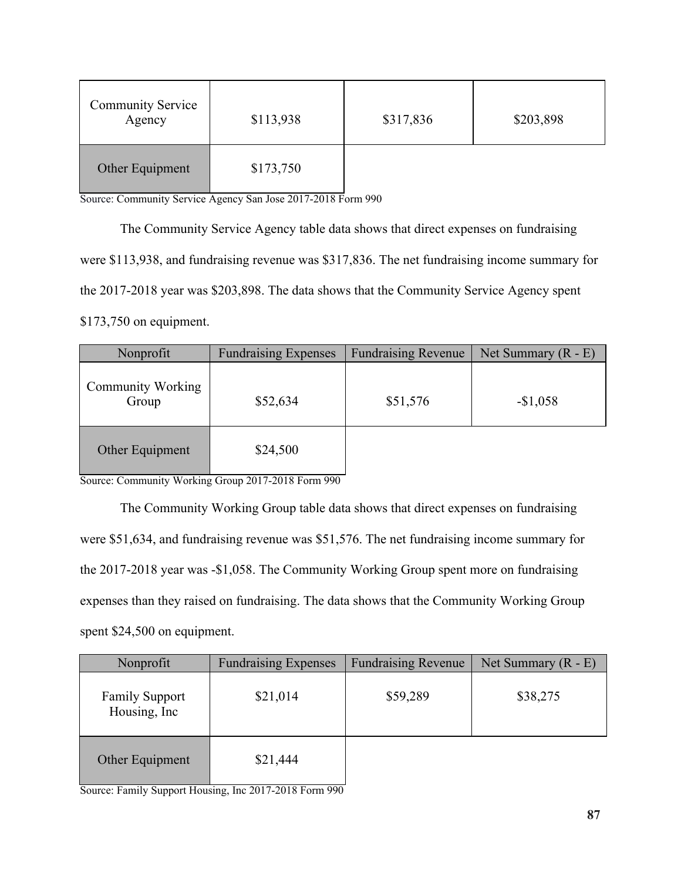| <b>Community Service</b><br>Agency | \$113,938 | \$317,836 | \$203,898 |
|------------------------------------|-----------|-----------|-----------|
| Other Equipment                    | \$173,750 |           |           |

Source: Community Service Agency San Jose 2017-2018 Form 990

The Community Service Agency table data shows that direct expenses on fundraising were \$113,938, and fundraising revenue was \$317,836. The net fundraising income summary for the 2017-2018 year was \$203,898. The data shows that the Community Service Agency spent \$173,750 on equipment.

| Nonprofit                         | <b>Fundraising Expenses</b> | <b>Fundraising Revenue</b> | Net Summary $(R - E)$ |
|-----------------------------------|-----------------------------|----------------------------|-----------------------|
| <b>Community Working</b><br>Group | \$52,634                    | \$51,576                   | $-$1,058$             |
| Other Equipment                   | \$24,500                    |                            |                       |

Source: Community Working Group 2017-2018 Form 990

The Community Working Group table data shows that direct expenses on fundraising were \$51,634, and fundraising revenue was \$51,576. The net fundraising income summary for the 2017-2018 year was -\$1,058. The Community Working Group spent more on fundraising expenses than they raised on fundraising. The data shows that the Community Working Group spent \$24,500 on equipment.

| Nonprofit                              | <b>Fundraising Expenses</b> | <b>Fundraising Revenue</b> | Net Summary $(R - E)$ |
|----------------------------------------|-----------------------------|----------------------------|-----------------------|
| <b>Family Support</b><br>Housing, Inc. | \$21,014                    | \$59,289                   | \$38,275              |
| Other Equipment                        | \$21,444                    |                            |                       |

Source: Family Support Housing, Inc 2017-2018 Form 990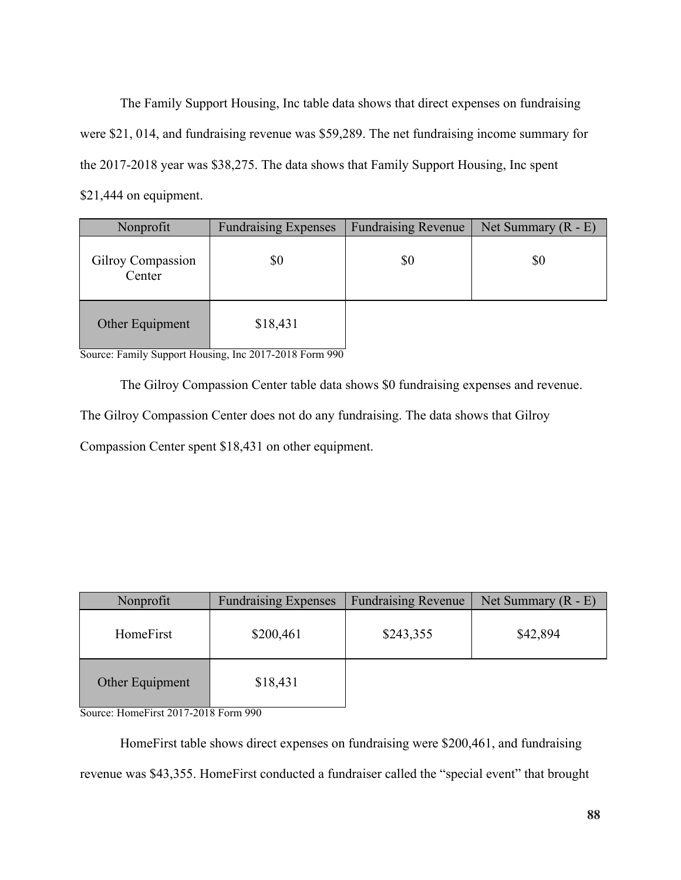The Family Support Housing, Inc table data shows that direct expenses on fundraising were \$21, 014, and fundraising revenue was \$59,289. The net fundraising income summary for the 2017-2018 year was \$38,275. The data shows that Family Support Housing, Inc spent \$21,444 on equipment.

| Nonprofit                   | <b>Fundraising Expenses</b> | <b>Fundraising Revenue</b> | Net Summary $(R - E)$ |
|-----------------------------|-----------------------------|----------------------------|-----------------------|
| Gilroy Compassion<br>Center | \$0                         | \$0                        | \$0                   |
| Other Equipment             | \$18,431                    |                            |                       |

Source: Family Support Housing, Inc 2017-2018 Form 990

The Gilroy Compassion Center table data shows \$0 fundraising expenses and revenue.

The Gilroy Compassion Center does not do any fundraising. The data shows that Gilroy

Compassion Center spent \$18,431 on other equipment.

| Nonprofit       | <b>Fundraising Expenses</b> | <b>Fundraising Revenue</b> | Net Summary $(R - E)$ |
|-----------------|-----------------------------|----------------------------|-----------------------|
| HomeFirst       | \$200,461                   | \$243,355                  | \$42,894              |
| Other Equipment | \$18,431                    |                            |                       |

Source: HomeFirst 2017-2018 Form 990

HomeFirst table shows direct expenses on fundraising were \$200,461, and fundraising revenue was \$43,355. HomeFirst conducted a fundraiser called the "special event" that brought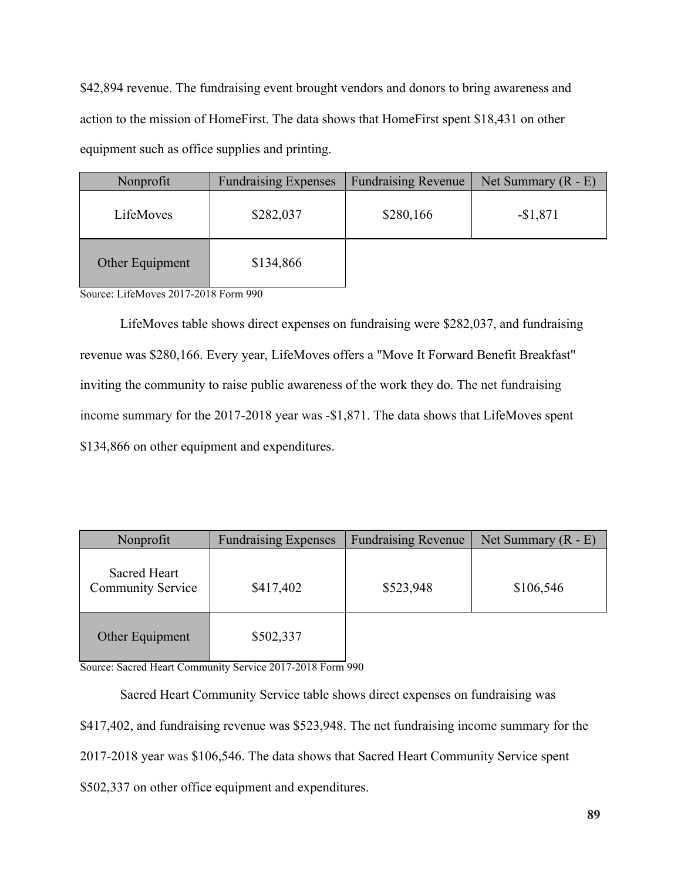\$42,894 revenue. The fundraising event brought vendors and donors to bring awareness and action to the mission of HomeFirst. The data shows that HomeFirst spent \$18,431 on other equipment such as office supplies and printing.

| Nonprofit       | <b>Fundraising Expenses</b> | <b>Fundraising Revenue</b> | Net Summary $(R - E)$ |
|-----------------|-----------------------------|----------------------------|-----------------------|
| LifeMoves       | \$282,037                   | \$280,166                  | $-$1,871$             |
| Other Equipment | \$134,866                   |                            |                       |

Source: LifeMoves 2017-2018 Form 990

LifeMoves table shows direct expenses on fundraising were \$282,037, and fundraising revenue was \$280,166. Every year, LifeMoves offers a "Move It Forward Benefit Breakfast" inviting the community to raise public awareness of the work they do. The net fundraising income summary for the 2017-2018 year was -\$1,871. The data shows that LifeMoves spent \$134,866 on other equipment and expenditures.

| Nonprofit                                | <b>Fundraising Expenses</b> | <b>Fundraising Revenue</b> | Net Summary $(R - E)$ |
|------------------------------------------|-----------------------------|----------------------------|-----------------------|
| Sacred Heart<br><b>Community Service</b> | \$417,402                   | \$523,948                  | \$106,546             |
| Other Equipment                          | \$502,337                   |                            |                       |

Source: Sacred Heart Community Service 2017-2018 Form 990

Sacred Heart Community Service table shows direct expenses on fundraising was \$417,402, and fundraising revenue was \$523,948. The net fundraising income summary for the 2017-2018 year was \$106,546. The data shows that Sacred Heart Community Service spent \$502,337 on other office equipment and expenditures.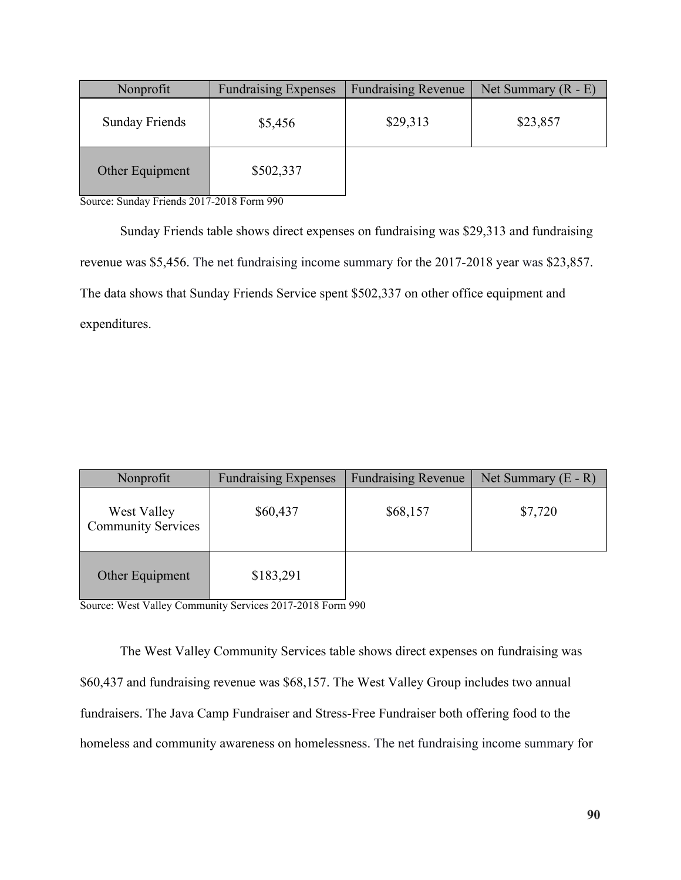| Nonprofit             | <b>Fundraising Expenses</b> | <b>Fundraising Revenue</b> | Net Summary $(R - E)$ |
|-----------------------|-----------------------------|----------------------------|-----------------------|
| <b>Sunday Friends</b> | \$5,456                     | \$29,313                   | \$23,857              |
| Other Equipment       | \$502,337                   |                            |                       |

Source: Sunday Friends 2017-2018 Form 990

Sunday Friends table shows direct expenses on fundraising was \$29,313 and fundraising revenue was \$5,456. The net fundraising income summary for the 2017-2018 year was \$23,857. The data shows that Sunday Friends Service spent \$502,337 on other office equipment and expenditures.

| Nonprofit                                | <b>Fundraising Expenses</b> | <b>Fundraising Revenue</b> | Net Summary $(E - R)$ |
|------------------------------------------|-----------------------------|----------------------------|-----------------------|
| West Valley<br><b>Community Services</b> | \$60,437                    | \$68,157                   | \$7,720               |
| Other Equipment                          | \$183,291                   |                            |                       |

Source: West Valley Community Services 2017-2018 Form 990

The West Valley Community Services table shows direct expenses on fundraising was \$60,437 and fundraising revenue was \$68,157. The West Valley Group includes two annual fundraisers. The Java Camp Fundraiser and Stress-Free Fundraiser both offering food to the homeless and community awareness on homelessness. The net fundraising income summary for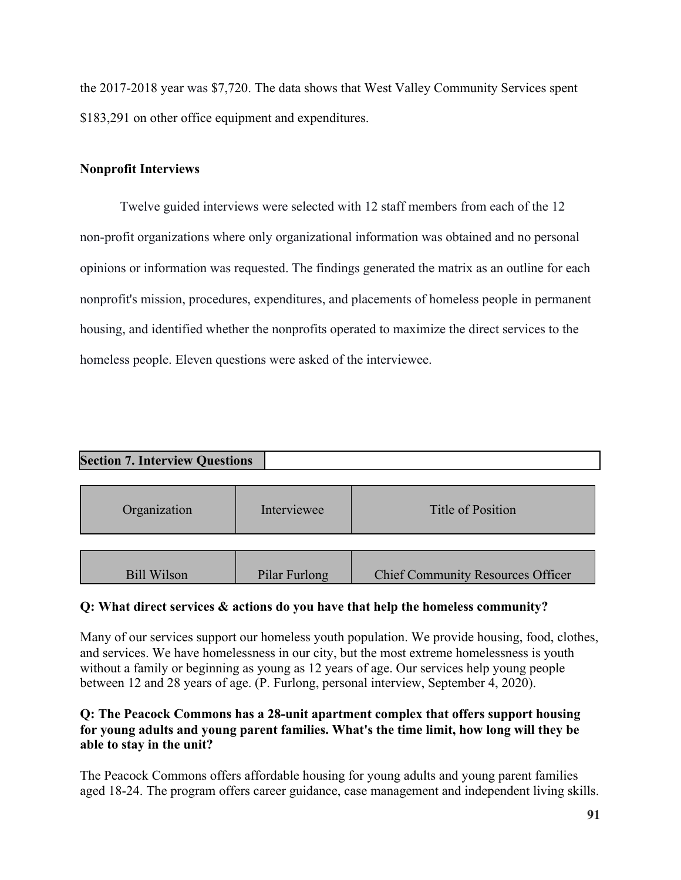the 2017-2018 year was \$7,720. The data shows that West Valley Community Services spent \$183,291 on other office equipment and expenditures.

## **Nonprofit Interviews**

Twelve guided interviews were selected with 12 staff members from each of the 12 non-profit organizations where only organizational information was obtained and no personal opinions or information was requested. The findings generated the matrix as an outline for each nonprofit's mission, procedures, expenditures, and placements of homeless people in permanent housing, and identified whether the nonprofits operated to maximize the direct services to the homeless people. Eleven questions were asked of the interviewee.

| <b>Section 7. Interview Questions</b> |             |                   |  |  |
|---------------------------------------|-------------|-------------------|--|--|
|                                       |             |                   |  |  |
| Organization                          | Interviewee | Title of Position |  |  |
|                                       |             |                   |  |  |
|                                       |             |                   |  |  |

Bill Wilson | Pilar Furlong | Chief Community Resources Officer

### **Q: What direct services & actions do you have that help the homeless community?**

Many of our services support our homeless youth population. We provide housing, food, clothes, and services. We have homelessness in our city, but the most extreme homelessness is youth without a family or beginning as young as 12 years of age. Our services help young people between 12 and 28 years of age. (P. Furlong, personal interview, September 4, 2020).

### **Q: The Peacock Commons has a 28-unit apartment complex that offers support housing for young adults and young parent families. What's the time limit, how long will they be able to stay in the unit?**

The Peacock Commons offers affordable housing for young adults and young parent families aged 18-24. The program offers career guidance, case management and independent living skills.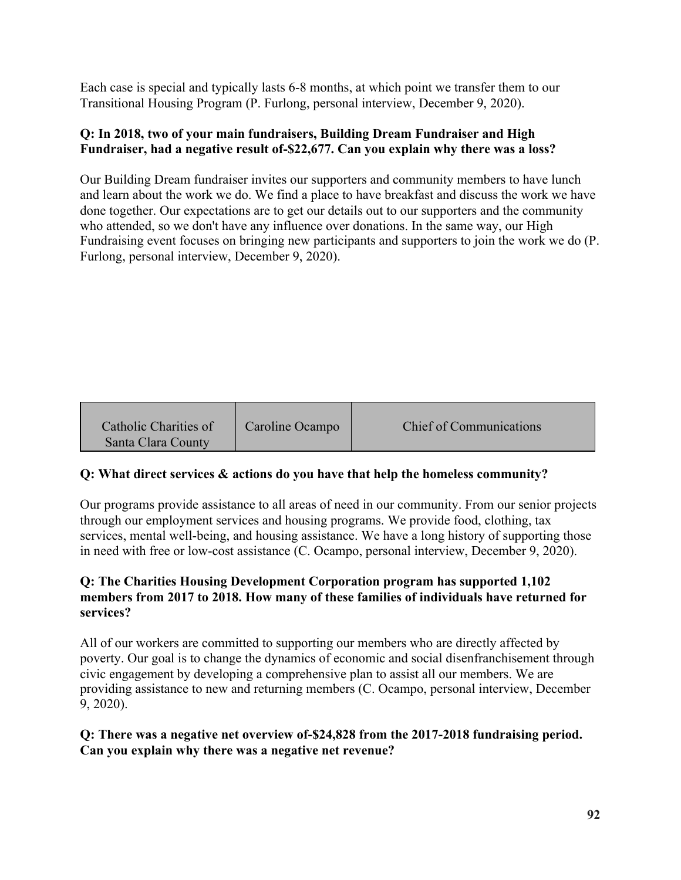Each case is special and typically lasts 6-8 months, at which point we transfer them to our Transitional Housing Program (P. Furlong, personal interview, December 9, 2020).

### **Q: In 2018, two of your main fundraisers, Building Dream Fundraiser and High Fundraiser, had a negative result of-\$22,677. Can you explain why there was a loss?**

Our Building Dream fundraiser invites our supporters and community members to have lunch and learn about the work we do. We find a place to have breakfast and discuss the work we have done together. Our expectations are to get our details out to our supporters and the community who attended, so we don't have any influence over donations. In the same way, our High Fundraising event focuses on bringing new participants and supporters to join the work we do (P. Furlong, personal interview, December 9, 2020).

| Catholic Charities of<br>Santa Clara County | Caroline Ocampo | <b>Chief of Communications</b> |
|---------------------------------------------|-----------------|--------------------------------|
|---------------------------------------------|-----------------|--------------------------------|

# **Q: What direct services & actions do you have that help the homeless community?**

Our programs provide assistance to all areas of need in our community. From our senior projects through our employment services and housing programs. We provide food, clothing, tax services, mental well-being, and housing assistance. We have a long history of supporting those in need with free or low-cost assistance (C. Ocampo, personal interview, December 9, 2020).

## **Q: The Charities Housing Development Corporation program has supported 1,102 members from 2017 to 2018. How many of these families of individuals have returned for services?**

All of our workers are committed to supporting our members who are directly affected by poverty. Our goal is to change the dynamics of economic and social disenfranchisement through civic engagement by developing a comprehensive plan to assist all our members. We are providing assistance to new and returning members (C. Ocampo, personal interview, December 9, 2020).

## **Q: There was a negative net overview of-\$24,828 from the 2017-2018 fundraising period. Can you explain why there was a negative net revenue?**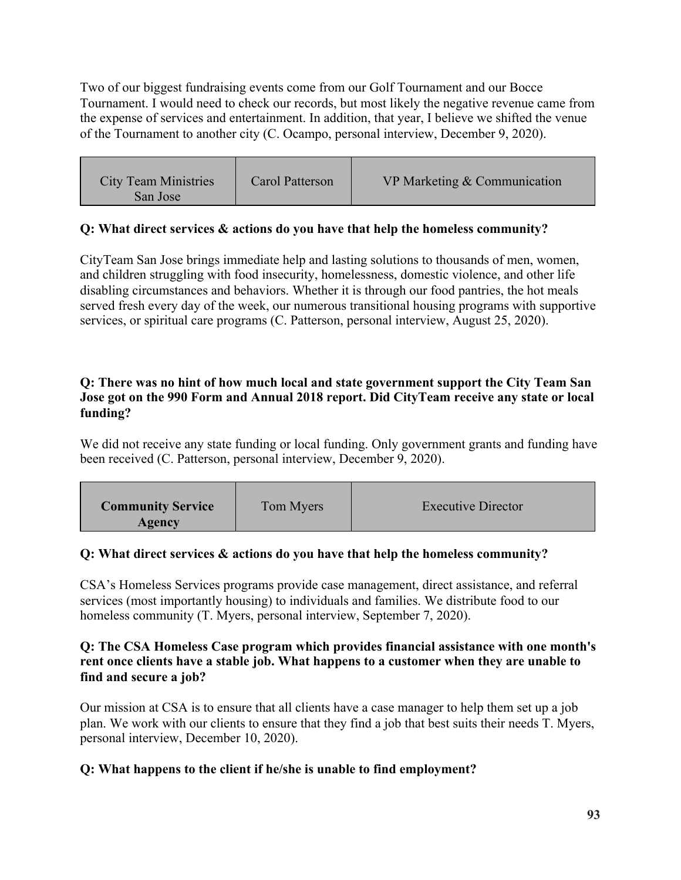Two of our biggest fundraising events come from our Golf Tournament and our Bocce Tournament. I would need to check our records, but most likely the negative revenue came from the expense of services and entertainment. In addition, that year, I believe we shifted the venue of the Tournament to another city (C. Ocampo, personal interview, December 9, 2020).

| <b>City Team Ministries</b><br>San Jose | Carol Patterson | VP Marketing & Communication |
|-----------------------------------------|-----------------|------------------------------|
|-----------------------------------------|-----------------|------------------------------|

# **Q: What direct services & actions do you have that help the homeless community?**

CityTeam San Jose brings immediate help and lasting solutions to thousands of men, women, and children struggling with food insecurity, homelessness, domestic violence, and other life disabling circumstances and behaviors. Whether it is through our food pantries, the hot meals served fresh every day of the week, our numerous transitional housing programs with supportive services, or spiritual care programs (C. Patterson, personal interview, August 25, 2020).

### **Q: There was no hint of how much local and state government support the City Team San Jose got on the 990 Form and Annual 2018 report. Did CityTeam receive any state or local funding?**

We did not receive any state funding or local funding. Only government grants and funding have been received (C. Patterson, personal interview, December 9, 2020).

| <b>Community Service</b> | Tom Myers | <b>Executive Director</b> |
|--------------------------|-----------|---------------------------|
| Agency                   |           |                           |

### **Q: What direct services & actions do you have that help the homeless community?**

CSA's Homeless Services programs provide case management, direct assistance, and referral services (most importantly housing) to individuals and families. We distribute food to our homeless community (T. Myers, personal interview, September 7, 2020).

#### **Q: The CSA Homeless Case program which provides financial assistance with one month's rent once clients have a stable job. What happens to a customer when they are unable to find and secure a job?**

Our mission at CSA is to ensure that all clients have a case manager to help them set up a job plan. We work with our clients to ensure that they find a job that best suits their needs T. Myers, personal interview, December 10, 2020).

### **Q: What happens to the client if he/she is unable to find employment?**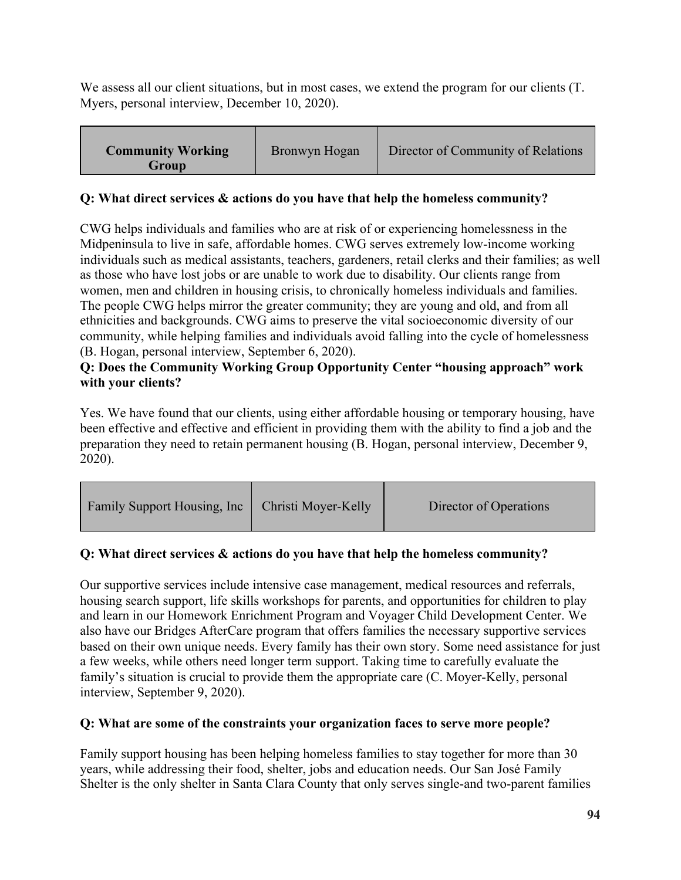We assess all our client situations, but in most cases, we extend the program for our clients (T. Myers, personal interview, December 10, 2020).

| <b>Community Working</b><br>Group | Bronwyn Hogan | Director of Community of Relations |
|-----------------------------------|---------------|------------------------------------|
|-----------------------------------|---------------|------------------------------------|

## **Q: What direct services & actions do you have that help the homeless community?**

CWG helps individuals and families who are at risk of or experiencing homelessness in the Midpeninsula to live in safe, affordable homes. CWG serves extremely low-income working individuals such as medical assistants, teachers, gardeners, retail clerks and their families; as well as those who have lost jobs or are unable to work due to disability. Our clients range from women, men and children in housing crisis, to chronically homeless individuals and families. The people CWG helps mirror the greater community; they are young and old, and from all ethnicities and backgrounds. CWG aims to preserve the vital socioeconomic diversity of our community, while helping families and individuals avoid falling into the cycle of homelessness (B. Hogan, personal interview, September 6, 2020).

# **Q: Does the Community Working Group Opportunity Center "housing approach" work with your clients?**

Yes. We have found that our clients, using either affordable housing or temporary housing, have been effective and effective and efficient in providing them with the ability to find a job and the preparation they need to retain permanent housing (B. Hogan, personal interview, December 9, 2020).

| Family Support Housing, Inc | <b>Christi Moyer-Kelly</b> | Director of Operations |
|-----------------------------|----------------------------|------------------------|
|-----------------------------|----------------------------|------------------------|

# **Q: What direct services & actions do you have that help the homeless community?**

Our supportive services include intensive case management, medical resources and referrals, housing search support, life skills workshops for parents, and opportunities for children to play and learn in our Homework Enrichment Program and Voyager Child Development Center. We also have our Bridges AfterCare program that offers families the necessary supportive services based on their own unique needs. Every family has their own story. Some need assistance for just a few weeks, while others need longer term support. Taking time to carefully evaluate the family's situation is crucial to provide them the appropriate care (C. Moyer-Kelly, personal interview, September 9, 2020).

## **Q: What are some of the constraints your organization faces to serve more people?**

Family support housing has been helping homeless families to stay together for more than 30 years, while addressing their food, shelter, jobs and education needs. Our San José Family Shelter is the only shelter in Santa Clara County that only serves single-and two-parent families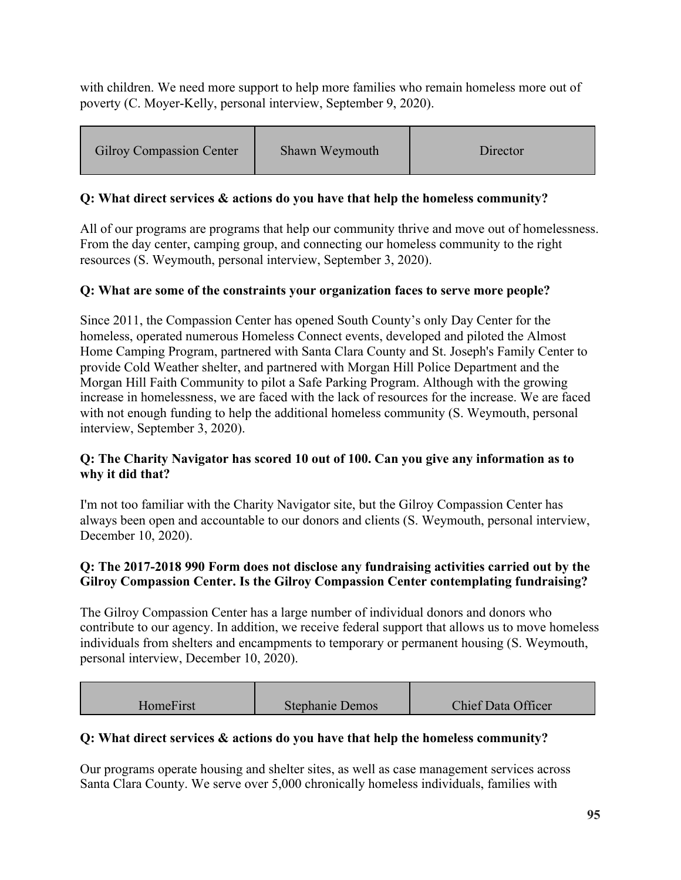with children. We need more support to help more families who remain homeless more out of poverty (C. Moyer-Kelly, personal interview, September 9, 2020).

| <b>Gilroy Compassion Center</b> | Shawn Weymouth | Director |
|---------------------------------|----------------|----------|
|---------------------------------|----------------|----------|

## **Q: What direct services & actions do you have that help the homeless community?**

All of our programs are programs that help our community thrive and move out of homelessness. From the day center, camping group, and connecting our homeless community to the right resources (S. Weymouth, personal interview, September 3, 2020).

## **Q: What are some of the constraints your organization faces to serve more people?**

Since 2011, the Compassion Center has opened South County's only Day Center for the homeless, operated numerous Homeless Connect events, developed and piloted the Almost Home Camping Program, partnered with Santa Clara County and St. Joseph's Family Center to provide Cold Weather shelter, and partnered with Morgan Hill Police Department and the Morgan Hill Faith Community to pilot a Safe Parking Program. Although with the growing increase in homelessness, we are faced with the lack of resources for the increase. We are faced with not enough funding to help the additional homeless community (S. Weymouth, personal interview, September 3, 2020).

#### **Q: The Charity Navigator has scored 10 out of 100. Can you give any information as to why it did that?**

I'm not too familiar with the Charity Navigator site, but the Gilroy Compassion Center has always been open and accountable to our donors and clients (S. Weymouth, personal interview, December 10, 2020).

### **Q: The 2017-2018 990 Form does not disclose any fundraising activities carried out by the Gilroy Compassion Center. Is the Gilroy Compassion Center contemplating fundraising?**

The Gilroy Compassion Center has a large number of individual donors and donors who contribute to our agency. In addition, we receive federal support that allows us to move homeless individuals from shelters and encampments to temporary or permanent housing (S. Weymouth, personal interview, December 10, 2020).

| HomeFirst | <b>Stephanie Demos</b> | <b>Chief Data Officer</b> |
|-----------|------------------------|---------------------------|

### **Q: What direct services & actions do you have that help the homeless community?**

Our programs operate housing and shelter sites, as well as case management services across Santa Clara County. We serve over 5,000 chronically homeless individuals, families with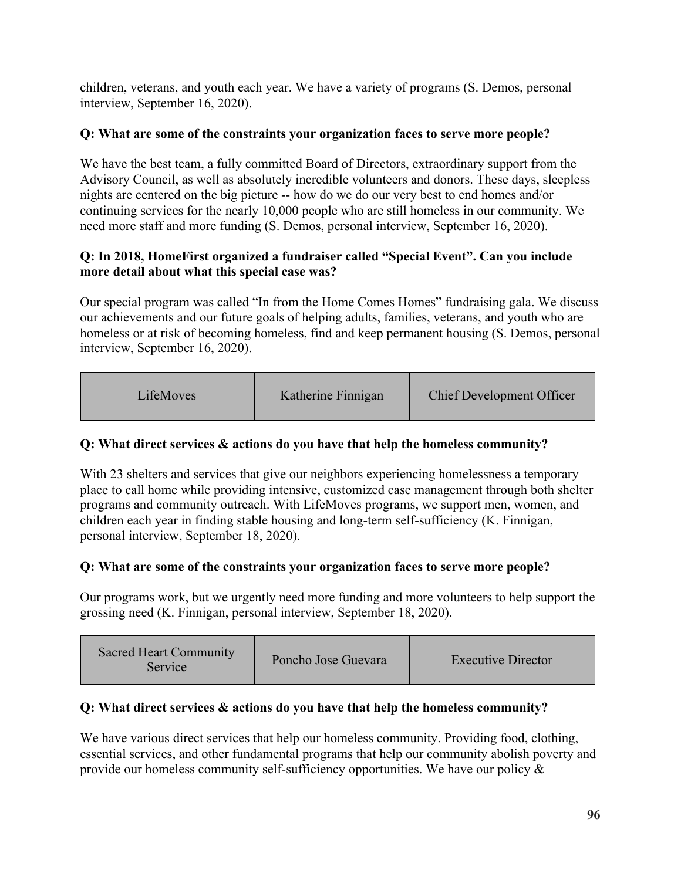children, veterans, and youth each year. We have a variety of programs (S. Demos, personal interview, September 16, 2020).

# **Q: What are some of the constraints your organization faces to serve more people?**

We have the best team, a fully committed Board of Directors, extraordinary support from the Advisory Council, as well as absolutely incredible volunteers and donors. These days, sleepless nights are centered on the big picture -- how do we do our very best to end homes and/or continuing services for the nearly 10,000 people who are still homeless in our community. We need more staff and more funding (S. Demos, personal interview, September 16, 2020).

## **Q: In 2018, HomeFirst organized a fundraiser called "Special Event". Can you include more detail about what this special case was?**

Our special program was called "In from the Home Comes Homes" fundraising gala. We discuss our achievements and our future goals of helping adults, families, veterans, and youth who are homeless or at risk of becoming homeless, find and keep permanent housing (S. Demos, personal interview, September 16, 2020).

| LifeMoves | Katherine Finnigan | <b>Chief Development Officer</b> |
|-----------|--------------------|----------------------------------|
|-----------|--------------------|----------------------------------|

# **Q: What direct services & actions do you have that help the homeless community?**

With 23 shelters and services that give our neighbors experiencing homelessness a temporary place to call home while providing intensive, customized case management through both shelter programs and community outreach. With LifeMoves programs, we support men, women, and children each year in finding stable housing and long-term self-sufficiency (K. Finnigan, personal interview, September 18, 2020).

# **Q: What are some of the constraints your organization faces to serve more people?**

Our programs work, but we urgently need more funding and more volunteers to help support the grossing need (K. Finnigan, personal interview, September 18, 2020).

| <b>Sacred Heart Community</b><br>Poncho Jose Guevara<br><b>Executive Director</b><br>Service |  |
|----------------------------------------------------------------------------------------------|--|
|----------------------------------------------------------------------------------------------|--|

# **Q: What direct services & actions do you have that help the homeless community?**

We have various direct services that help our homeless community. Providing food, clothing, essential services, and other fundamental programs that help our community abolish poverty and provide our homeless community self-sufficiency opportunities. We have our policy &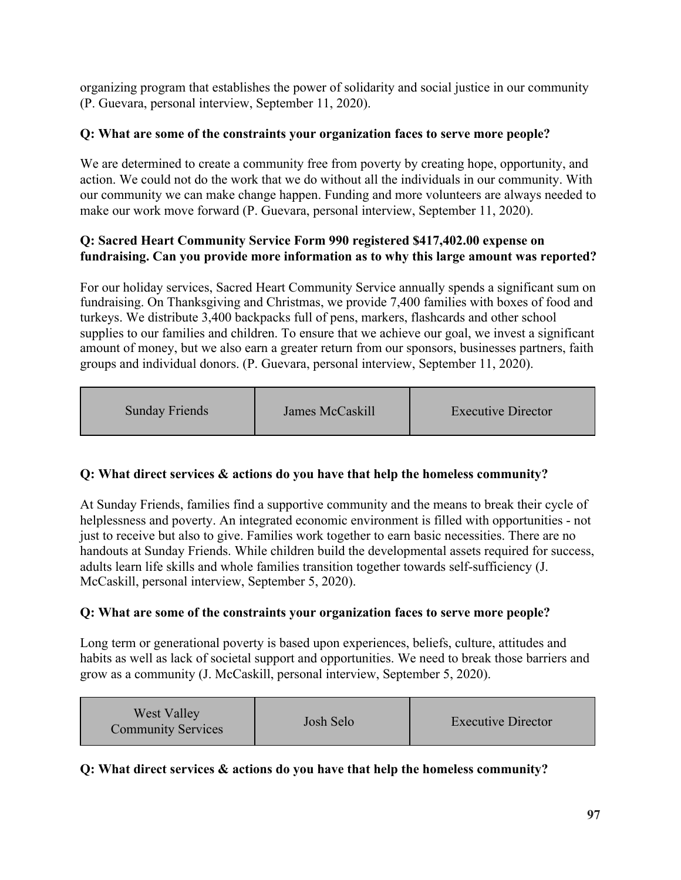organizing program that establishes the power of solidarity and social justice in our community (P. Guevara, personal interview, September 11, 2020).

# **Q: What are some of the constraints your organization faces to serve more people?**

We are determined to create a community free from poverty by creating hope, opportunity, and action. We could not do the work that we do without all the individuals in our community. With our community we can make change happen. Funding and more volunteers are always needed to make our work move forward (P. Guevara, personal interview, September 11, 2020).

## **Q: Sacred Heart Community Service Form 990 registered \$417,402.00 expense on fundraising. Can you provide more information as to why this large amount was reported?**

For our holiday services, Sacred Heart Community Service annually spends a significant sum on fundraising. On Thanksgiving and Christmas, we provide 7,400 families with boxes of food and turkeys. We distribute 3,400 backpacks full of pens, markers, flashcards and other school supplies to our families and children. To ensure that we achieve our goal, we invest a significant amount of money, but we also earn a greater return from our sponsors, businesses partners, faith groups and individual donors. (P. Guevara, personal interview, September 11, 2020).

| <b>Sunday Friends</b> | James McCaskill | <b>Executive Director</b> |
|-----------------------|-----------------|---------------------------|
|-----------------------|-----------------|---------------------------|

# **Q: What direct services & actions do you have that help the homeless community?**

At Sunday Friends, families find a supportive community and the means to break their cycle of helplessness and poverty. An integrated economic environment is filled with opportunities - not just to receive but also to give. Families work together to earn basic necessities. There are no handouts at Sunday Friends. While children build the developmental assets required for success, adults learn life skills and whole families transition together towards self-sufficiency (J. McCaskill, personal interview, September 5, 2020).

# **Q: What are some of the constraints your organization faces to serve more people?**

Long term or generational poverty is based upon experiences, beliefs, culture, attitudes and habits as well as lack of societal support and opportunities. We need to break those barriers and grow as a community (J. McCaskill, personal interview, September 5, 2020).

| <b>West Valley</b><br><b>Community Services</b> | Josh Selo | <b>Executive Director</b> |
|-------------------------------------------------|-----------|---------------------------|
|-------------------------------------------------|-----------|---------------------------|

### **Q: What direct services & actions do you have that help the homeless community?**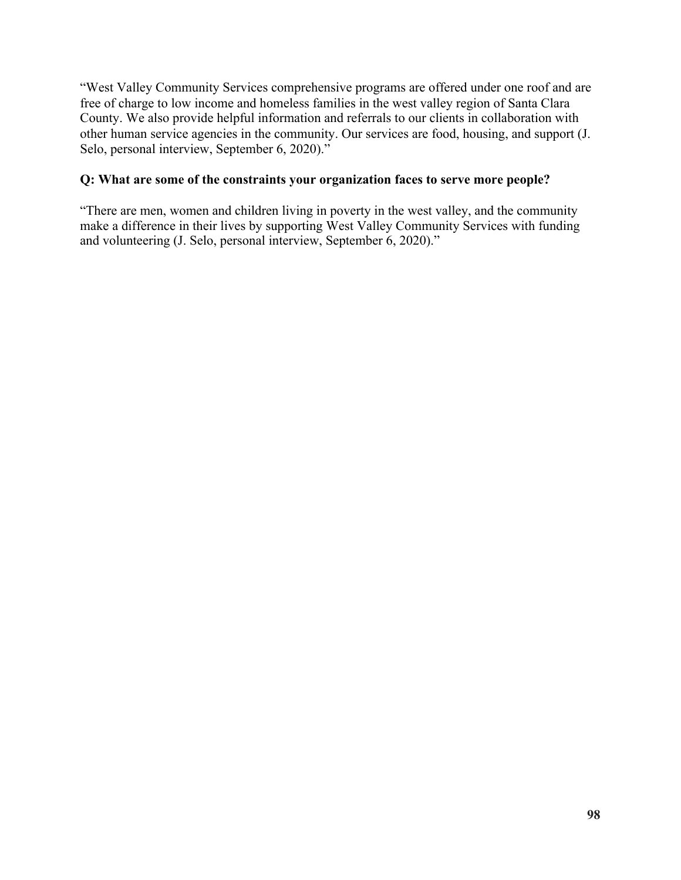"West Valley Community Services comprehensive programs are offered under one roof and are free of charge to low income and homeless families in the west valley region of Santa Clara County. We also provide helpful information and referrals to our clients in collaboration with other human service agencies in the community. Our services are food, housing, and support (J. Selo, personal interview, September 6, 2020)."

### **Q: What are some of the constraints your organization faces to serve more people?**

"There are men, women and children living in poverty in the west valley, and the community make a difference in their lives by supporting West Valley Community Services with funding and volunteering (J. Selo, personal interview, September 6, 2020)."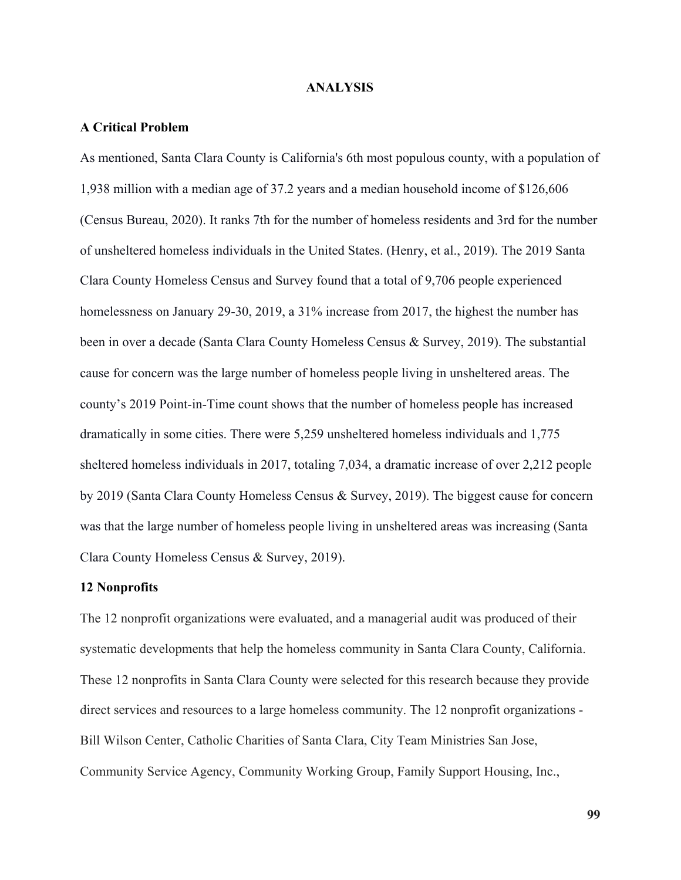#### **ANALYSIS**

#### **A Critical Problem**

As mentioned, Santa Clara County is California's 6th most populous county, with a population of 1,938 million with a median age of 37.2 years and a median household income of \$126,606 (Census Bureau, 2020). It ranks 7th for the number of homeless residents and 3rd for the number of unsheltered homeless individuals in the United States. (Henry, et al., 2019). The 2019 Santa Clara County Homeless Census and Survey found that a total of 9,706 people experienced homelessness on January 29-30, 2019, a 31% increase from 2017, the highest the number has been in over a decade (Santa Clara County Homeless Census & Survey, 2019). The substantial cause for concern was the large number of homeless people living in unsheltered areas. The county's 2019 Point-in-Time count shows that the number of homeless people has increased dramatically in some cities. There were 5,259 unsheltered homeless individuals and 1,775 sheltered homeless individuals in 2017, totaling 7,034, a dramatic increase of over 2,212 people by 2019 (Santa Clara County Homeless Census & Survey, 2019). The biggest cause for concern was that the large number of homeless people living in unsheltered areas was increasing (Santa Clara County Homeless Census & Survey, 2019).

#### **12 Nonprofits**

The 12 nonprofit organizations were evaluated, and a managerial audit was produced of their systematic developments that help the homeless community in Santa Clara County, California. These 12 nonprofits in Santa Clara County were selected for this research because they provide direct services and resources to a large homeless community. The 12 nonprofit organizations - Bill Wilson Center, Catholic Charities of Santa Clara, City Team Ministries San Jose, Community Service Agency, Community Working Group, Family Support Housing, Inc.,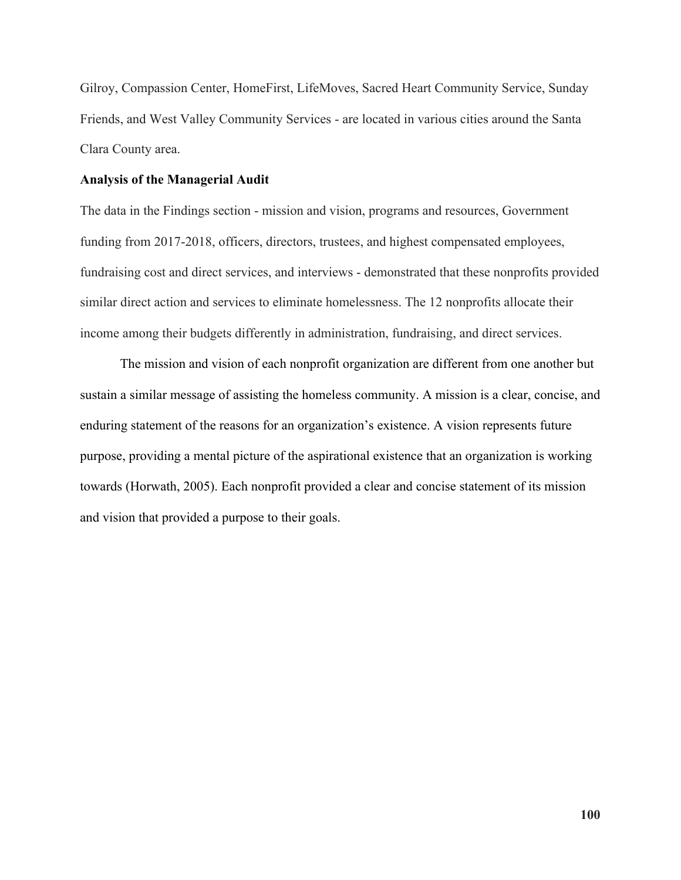Gilroy, Compassion Center, HomeFirst, LifeMoves, Sacred Heart Community Service, Sunday Friends, and West Valley Community Services - are located in various cities around the Santa Clara County area.

#### **Analysis of the Managerial Audit**

The data in the Findings section - mission and vision, programs and resources, Government funding from 2017-2018, officers, directors, trustees, and highest compensated employees, fundraising cost and direct services, and interviews - demonstrated that these nonprofits provided similar direct action and services to eliminate homelessness. The 12 nonprofits allocate their income among their budgets differently in administration, fundraising, and direct services.

 The mission and vision of each nonprofit organization are different from one another but sustain a similar message of assisting the homeless community. A mission is a clear, concise, and enduring statement of the reasons for an organization's existence. A vision represents future purpose, providing a mental picture of the aspirational existence that an organization is working towards (Horwath, 2005). Each nonprofit provided a clear and concise statement of its mission and vision that provided a purpose to their goals.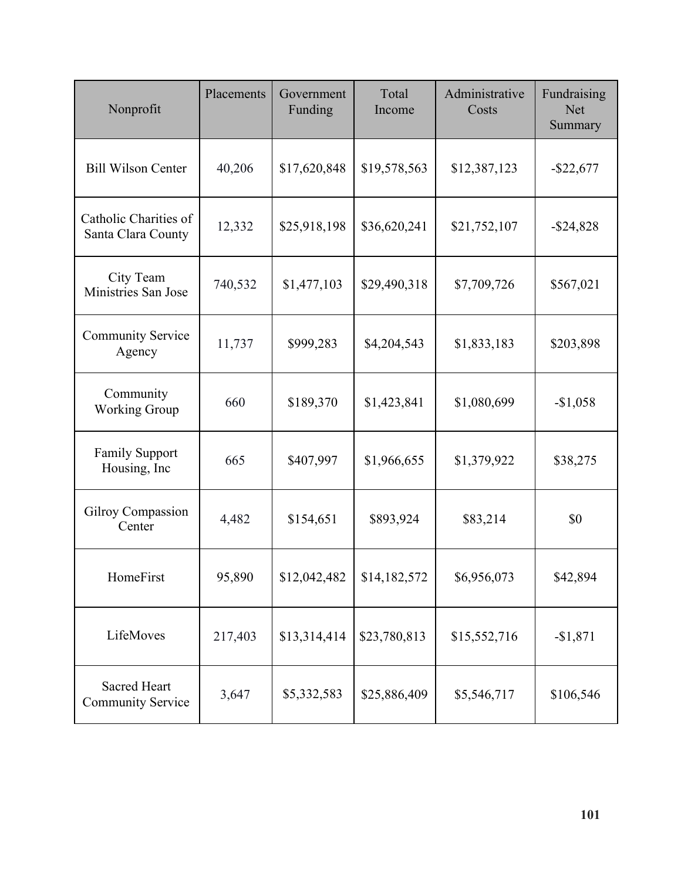| Nonprofit                                   | Placements | Government<br>Funding | Total<br>Income | Administrative<br>Costs | Fundraising<br><b>Net</b><br>Summary |
|---------------------------------------------|------------|-----------------------|-----------------|-------------------------|--------------------------------------|
| <b>Bill Wilson Center</b>                   | 40,206     | \$17,620,848          | \$19,578,563    | \$12,387,123            | $-$ \$22,677                         |
| Catholic Charities of<br>Santa Clara County | 12,332     | \$25,918,198          | \$36,620,241    | \$21,752,107            | $-$ \$24,828                         |
| City Team<br>Ministries San Jose            | 740,532    | \$1,477,103           | \$29,490,318    | \$7,709,726             | \$567,021                            |
| <b>Community Service</b><br>Agency          | 11,737     | \$999,283             | \$4,204,543     | \$1,833,183             | \$203,898                            |
| Community<br><b>Working Group</b>           | 660        | \$189,370             | \$1,423,841     | \$1,080,699             | $-$1,058$                            |
| <b>Family Support</b><br>Housing, Inc       | 665        | \$407,997             | \$1,966,655     | \$1,379,922             | \$38,275                             |
| <b>Gilroy Compassion</b><br>Center          | 4,482      | \$154,651             | \$893,924       | \$83,214                | \$0                                  |
| HomeFirst                                   | 95,890     | \$12,042,482          | \$14,182,572    | \$6,956,073             | \$42,894                             |
| LifeMoves                                   | 217,403    | \$13,314,414          | \$23,780,813    | \$15,552,716            | $-$1,871$                            |
| Sacred Heart<br>Community Service           | 3,647      | \$5,332,583           | \$25,886,409    | \$5,546,717             | \$106,546                            |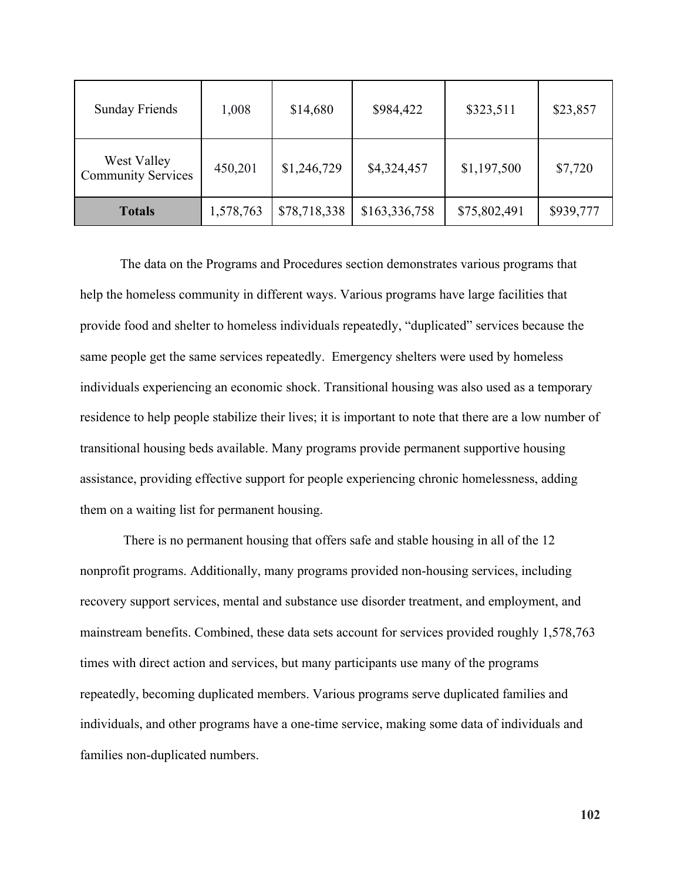| <b>Sunday Friends</b>                    | 1,008     | \$14,680     | \$984,422     | \$323,511    | \$23,857  |
|------------------------------------------|-----------|--------------|---------------|--------------|-----------|
| West Valley<br><b>Community Services</b> | 450,201   | \$1,246,729  | \$4,324,457   | \$1,197,500  | \$7,720   |
| <b>Totals</b>                            | 1,578,763 | \$78,718,338 | \$163,336,758 | \$75,802,491 | \$939,777 |

The data on the Programs and Procedures section demonstrates various programs that help the homeless community in different ways. Various programs have large facilities that provide food and shelter to homeless individuals repeatedly, "duplicated" services because the same people get the same services repeatedly. Emergency shelters were used by homeless individuals experiencing an economic shock. Transitional housing was also used as a temporary residence to help people stabilize their lives; it is important to note that there are a low number of transitional housing beds available. Many programs provide permanent supportive housing assistance, providing effective support for people experiencing chronic homelessness, adding them on a waiting list for permanent housing.

 There is no permanent housing that offers safe and stable housing in all of the 12 nonprofit programs. Additionally, many programs provided non-housing services, including recovery support services, mental and substance use disorder treatment, and employment, and mainstream benefits. Combined, these data sets account for services provided roughly 1,578,763 times with direct action and services, but many participants use many of the programs repeatedly, becoming duplicated members. Various programs serve duplicated families and individuals, and other programs have a one-time service, making some data of individuals and families non-duplicated numbers.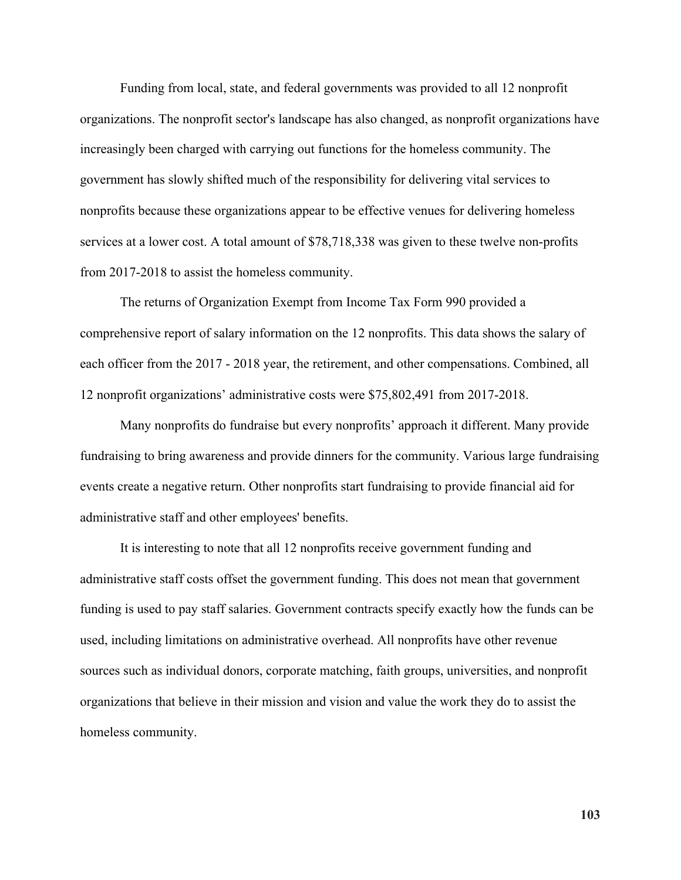Funding from local, state, and federal governments was provided to all 12 nonprofit organizations. The nonprofit sector's landscape has also changed, as nonprofit organizations have increasingly been charged with carrying out functions for the homeless community. The government has slowly shifted much of the responsibility for delivering vital services to nonprofits because these organizations appear to be effective venues for delivering homeless services at a lower cost. A total amount of \$78,718,338 was given to these twelve non-profits from 2017-2018 to assist the homeless community.

The returns of Organization Exempt from Income Tax Form 990 provided a comprehensive report of salary information on the 12 nonprofits. This data shows the salary of each officer from the 2017 - 2018 year, the retirement, and other compensations. Combined, all 12 nonprofit organizations' administrative costs were \$75,802,491 from 2017-2018.

Many nonprofits do fundraise but every nonprofits' approach it different. Many provide fundraising to bring awareness and provide dinners for the community. Various large fundraising events create a negative return. Other nonprofits start fundraising to provide financial aid for administrative staff and other employees' benefits.

It is interesting to note that all 12 nonprofits receive government funding and administrative staff costs offset the government funding. This does not mean that government funding is used to pay staff salaries. Government contracts specify exactly how the funds can be used, including limitations on administrative overhead. All nonprofits have other revenue sources such as individual donors, corporate matching, faith groups, universities, and nonprofit organizations that believe in their mission and vision and value the work they do to assist the homeless community.

**103**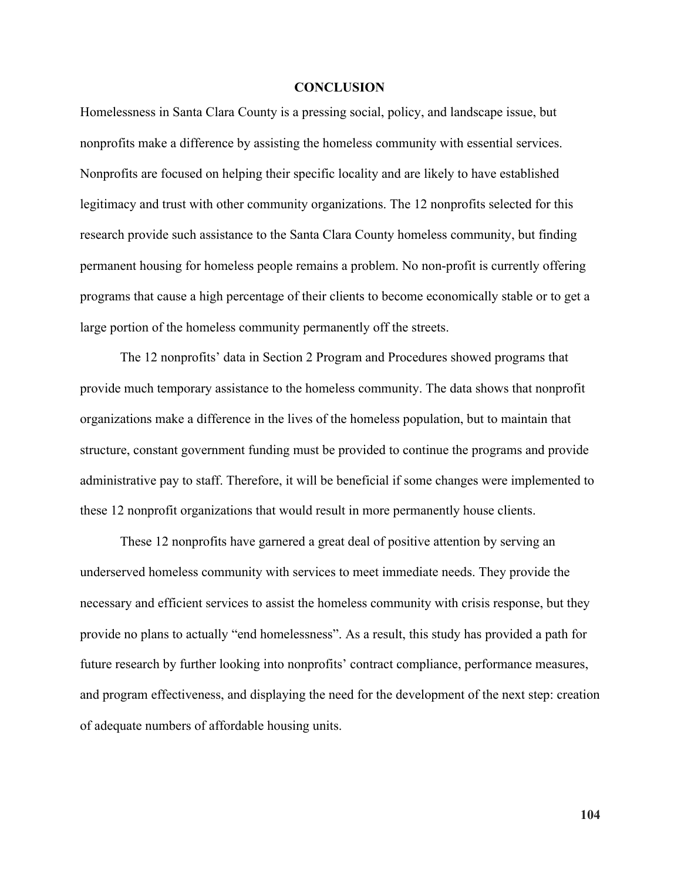#### **CONCLUSION**

Homelessness in Santa Clara County is a pressing social, policy, and landscape issue, but nonprofits make a difference by assisting the homeless community with essential services. Nonprofits are focused on helping their specific locality and are likely to have established legitimacy and trust with other community organizations. The 12 nonprofits selected for this research provide such assistance to the Santa Clara County homeless community, but finding permanent housing for homeless people remains a problem. No non-profit is currently offering programs that cause a high percentage of their clients to become economically stable or to get a large portion of the homeless community permanently off the streets.

The 12 nonprofits' data in Section 2 Program and Procedures showed programs that provide much temporary assistance to the homeless community. The data shows that nonprofit organizations make a difference in the lives of the homeless population, but to maintain that structure, constant government funding must be provided to continue the programs and provide administrative pay to staff. Therefore, it will be beneficial if some changes were implemented to these 12 nonprofit organizations that would result in more permanently house clients.

These 12 nonprofits have garnered a great deal of positive attention by serving an underserved homeless community with services to meet immediate needs. They provide the necessary and efficient services to assist the homeless community with crisis response, but they provide no plans to actually "end homelessness". As a result, this study has provided a path for future research by further looking into nonprofits' contract compliance, performance measures, and program effectiveness, and displaying the need for the development of the next step: creation of adequate numbers of affordable housing units.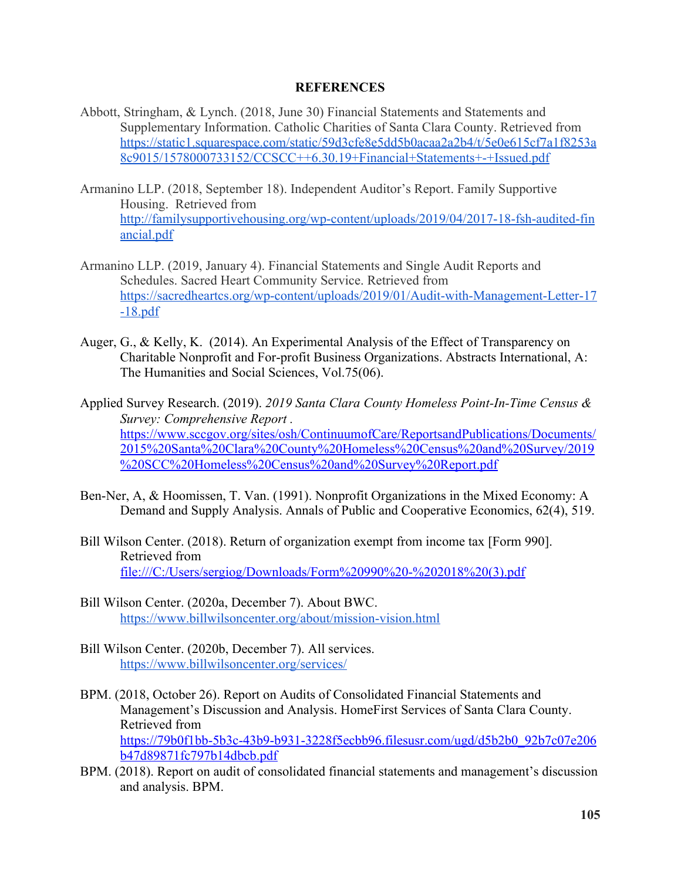#### **REFERENCES**

- Abbott, Stringham, & Lynch. (2018, June 30) Financial Statements and Statements and Supplementary Information. Catholic Charities of Santa Clara County. Retrieved from [https://static1.squarespace.com/static/59d3cfe8e5dd5b0acaa2a2b4/t/5e0e615cf7a1f8253a](https://static1.squarespace.com/static/59d3cfe8e5dd5b0acaa2a2b4/t/5e0e615cf7a1f8253a8c9015/1578000733152/CCSCC++6.30.19+Financial+Statements+-+Issued.pdf) [8c9015/1578000733152/CCSCC++6.30.19+Financial+Statements+-+Issued.pdf](https://static1.squarespace.com/static/59d3cfe8e5dd5b0acaa2a2b4/t/5e0e615cf7a1f8253a8c9015/1578000733152/CCSCC++6.30.19+Financial+Statements+-+Issued.pdf)
- Armanino LLP. (2018, September 18). Independent Auditor's Report. Family Supportive Housing. Retrieved from [http://familysupportivehousing.org/wp-content/uploads/2019/04/2017-18-fsh-audited-fin](http://familysupportivehousing.org/wp-content/uploads/2019/04/2017-18-fsh-audited-financial.pdf) [ancial.pdf](http://familysupportivehousing.org/wp-content/uploads/2019/04/2017-18-fsh-audited-financial.pdf)
- Armanino LLP. (2019, January 4). Financial Statements and Single Audit Reports and Schedules. Sacred Heart Community Service. Retrieved from [https://sacredheartcs.org/wp-content/uploads/2019/01/Audit-with-Management-Letter-17](https://sacredheartcs.org/wp-content/uploads/2019/01/Audit-with-Management-Letter-17-18.pdf) [-18.pdf](https://sacredheartcs.org/wp-content/uploads/2019/01/Audit-with-Management-Letter-17-18.pdf)
- Auger, G., & Kelly, K. (2014). An Experimental Analysis of the Effect of Transparency on Charitable Nonprofit and For-profit Business Organizations. Abstracts International, A: The Humanities and Social Sciences, Vol.75(06).
- Applied Survey Research. (2019). *2019 Santa Clara County Homeless Point-In-Time Census & Survey: Comprehensive Report .* [https://www.sccgov.org/sites/osh/ContinuumofCare/ReportsandPublications/Documents/](https://www.sccgov.org/sites/osh/ContinuumofCare/ReportsandPublications/Documents/2015%20Santa%20Clara%20County%20Homeless%20Census%20and%20Survey/2019%20SCC%20Homeless%20Census%20and%20Survey%20Report.pdf) [2015%20Santa%20Clara%20County%20Homeless%20Census%20and%20Survey/2019](https://www.sccgov.org/sites/osh/ContinuumofCare/ReportsandPublications/Documents/2015%20Santa%20Clara%20County%20Homeless%20Census%20and%20Survey/2019%20SCC%20Homeless%20Census%20and%20Survey%20Report.pdf) [%20SCC%20Homeless%20Census%20and%20Survey%20Report.pdf](https://www.sccgov.org/sites/osh/ContinuumofCare/ReportsandPublications/Documents/2015%20Santa%20Clara%20County%20Homeless%20Census%20and%20Survey/2019%20SCC%20Homeless%20Census%20and%20Survey%20Report.pdf)
- Ben-Ner, A, & Hoomissen, T. Van. (1991). Nonprofit Organizations in the Mixed Economy: A Demand and Supply Analysis. Annals of Public and Cooperative Economics, 62(4), 519.
- Bill Wilson Center. (2018). Return of organization exempt from income tax [Form 990]. Retrieved from file:///C:/Users/sergiog/Downloads/Form%20990%20-%202018%20(3).pdf
- Bill Wilson Center. (2020a, December 7). About BWC. <https://www.billwilsoncenter.org/about/mission-vision.html>
- Bill Wilson Center. (2020b, December 7). All services. <https://www.billwilsoncenter.org/services/>
- BPM. (2018, October 26). Report on Audits of Consolidated Financial Statements and Management's Discussion and Analysis. HomeFirst Services of Santa Clara County. Retrieved from [https://79b0f1bb-5b3c-43b9-b931-3228f5ecbb96.filesusr.com/ugd/d5b2b0\\_92b7c07e206](https://79b0f1bb-5b3c-43b9-b931-3228f5ecbb96.filesusr.com/ugd/d5b2b0_92b7c07e206b47d89871fc797b14dbcb.pdf) [b47d89871fc797b14dbcb.pdf](https://79b0f1bb-5b3c-43b9-b931-3228f5ecbb96.filesusr.com/ugd/d5b2b0_92b7c07e206b47d89871fc797b14dbcb.pdf)
- BPM. (2018). Report on audit of consolidated financial statements and management's discussion and analysis. BPM.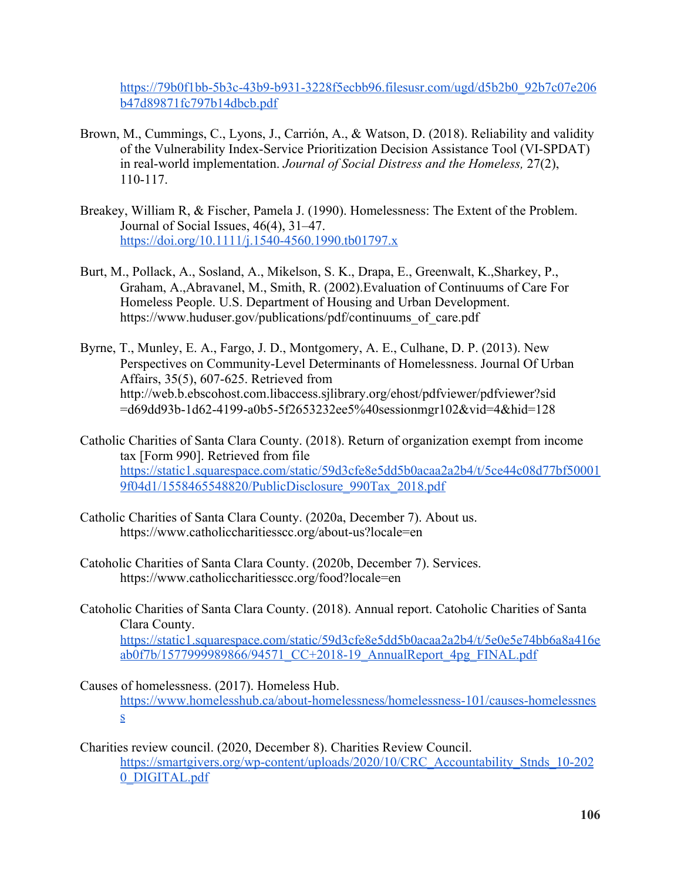[https://79b0f1bb-5b3c-43b9-b931-3228f5ecbb96.filesusr.com/ugd/d5b2b0\\_92b7c07e206](https://79b0f1bb-5b3c-43b9-b931-3228f5ecbb96.filesusr.com/ugd/d5b2b0_92b7c07e206b47d89871fc797b14dbcb.pdf) [b47d89871fc797b14dbcb.pdf](https://79b0f1bb-5b3c-43b9-b931-3228f5ecbb96.filesusr.com/ugd/d5b2b0_92b7c07e206b47d89871fc797b14dbcb.pdf)

- Brown, M., Cummings, C., Lyons, J., Carrión, A., & Watson, D. (2018). Reliability and validity of the Vulnerability Index-Service Prioritization Decision Assistance Tool (VI-SPDAT) in real-world implementation. *Journal of Social Distress and the Homeless,* 27(2), 110-117.
- Breakey, William R, & Fischer, Pamela J. (1990). Homelessness: The Extent of the Problem. Journal of Social Issues, 46(4), 31–47. <https://doi.org/10.1111/j.1540-4560.1990.tb01797.x>
- Burt, M., Pollack, A., Sosland, A., Mikelson, S. K., Drapa, E., Greenwalt, K.,Sharkey, P., Graham, A.,Abravanel, M., Smith, R. (2002).Evaluation of Continuums of Care For Homeless People. U.S. Department of Housing and Urban Development. https://www.huduser.gov/publications/pdf/continuums\_of\_care.pdf
- Byrne, T., Munley, E. A., Fargo, J. D., Montgomery, A. E., Culhane, D. P. (2013). New Perspectives on Community-Level Determinants of Homelessness. Journal Of Urban Affairs, 35(5), 607-625. Retrieved from http://web.b.ebscohost.com.libaccess.sjlibrary.org/ehost/pdfviewer/pdfviewer?sid =d69dd93b-1d62-4199-a0b5-5f2653232ee5%40sessionmgr102&vid=4&hid=128
- Catholic Charities of Santa Clara County. (2018). Return of organization exempt from income tax [Form 990]. Retrieved from file [https://static1.squarespace.com/static/59d3cfe8e5dd5b0acaa2a2b4/t/5ce44c08d77bf50001](https://static1.squarespace.com/static/59d3cfe8e5dd5b0acaa2a2b4/t/5ce44c08d77bf500019f04d1/1558465548820/PublicDisclosure_990Tax_2017.pdf) [9f04d1/1558465548820/PublicDisclosure\\_990Tax\\_2018.pdf](https://static1.squarespace.com/static/59d3cfe8e5dd5b0acaa2a2b4/t/5ce44c08d77bf500019f04d1/1558465548820/PublicDisclosure_990Tax_2017.pdf)
- Catholic Charities of Santa Clara County. (2020a, December 7). About us. https://www.catholiccharitiesscc.org/about-us?locale=en
- Catoholic Charities of Santa Clara County. (2020b, December 7). Services. https://www.catholiccharitiesscc.org/food?locale=en
- Catoholic Charities of Santa Clara County. (2018). Annual report. Catoholic Charities of Santa Clara County.

[https://static1.squarespace.com/static/59d3cfe8e5dd5b0acaa2a2b4/t/5e0e5e74bb6a8a416e](https://static1.squarespace.com/static/59d3cfe8e5dd5b0acaa2a2b4/t/5e0e5e74bb6a8a416eab0f7b/1577999989866/94571_CC+2018-19_AnnualReport_4pg_FINAL.pdf) [ab0f7b/1577999989866/94571\\_CC+2018-19\\_AnnualReport\\_4pg\\_FINAL.pdf](https://static1.squarespace.com/static/59d3cfe8e5dd5b0acaa2a2b4/t/5e0e5e74bb6a8a416eab0f7b/1577999989866/94571_CC+2018-19_AnnualReport_4pg_FINAL.pdf)

Causes of homelessness. (2017). Homeless Hub. [https://www.homelesshub.ca/about-homelessness/homelessness-101/causes-homelessnes](https://www.homelesshub.ca/about-homelessness/homelessness-101/causes-homelessness) [s](https://www.homelesshub.ca/about-homelessness/homelessness-101/causes-homelessness)

Charities review council. (2020, December 8). Charities Review Council. [https://smartgivers.org/wp-content/uploads/2020/10/CRC\\_Accountability\\_Stnds\\_10-202](https://smartgivers.org/wp-content/uploads/2020/10/CRC_Accountability_Stnds_10-2020_DIGITAL.pdf) [0\\_DIGITAL.pdf](https://smartgivers.org/wp-content/uploads/2020/10/CRC_Accountability_Stnds_10-2020_DIGITAL.pdf)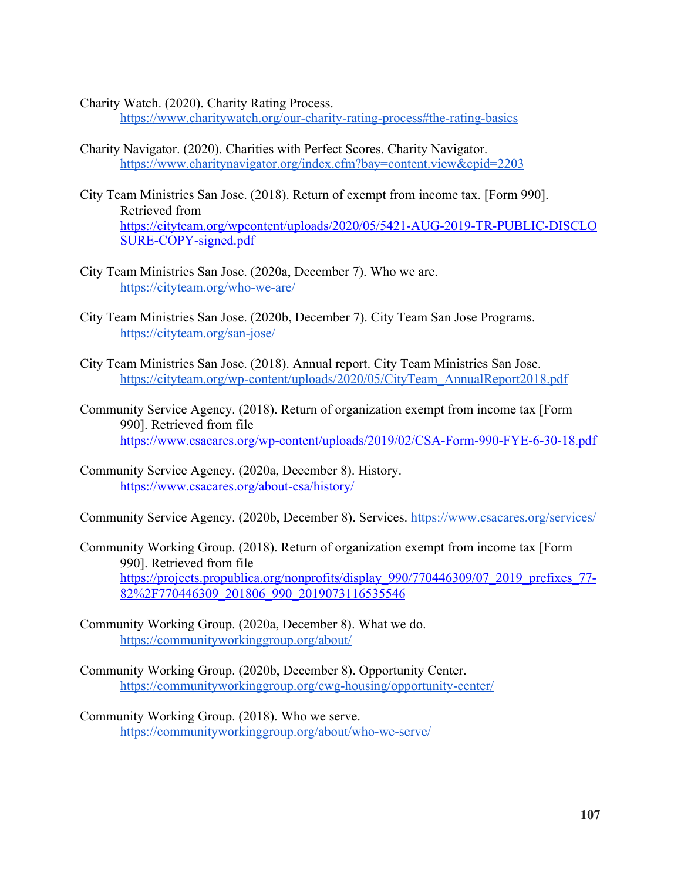Charity Watch. (2020). Charity Rating Process.

<https://www.charitywatch.org/our-charity-rating-process#the-rating-basics>

- Charity Navigator. (2020). Charities with Perfect Scores. Charity Navigator. <https://www.charitynavigator.org/index.cfm?bay=content.view&cpid=2203>
- City Team Ministries San Jose. (2018). Return of exempt from income tax. [Form 990]. Retrieved from [https://cityteam.org/wpcontent/uploads/2020/05/5421-AUG-2019-TR-PUBLIC-DISCLO](https://cityteam.org/wpcontent/uploads/2020/05/5421-AUG-2019-TR-PUBLIC-DISCLOSURE-COPY-signed.pdf) [SURE-COPY-signed.pdf](https://cityteam.org/wpcontent/uploads/2020/05/5421-AUG-2019-TR-PUBLIC-DISCLOSURE-COPY-signed.pdf)
- City Team Ministries San Jose. (2020a, December 7). Who we are. <https://cityteam.org/who-we-are/>
- City Team Ministries San Jose. (2020b, December 7). City Team San Jose Programs. <https://cityteam.org/san-jose/>
- City Team Ministries San Jose. (2018). Annual report. City Team Ministries San Jose. [https://cityteam.org/wp-content/uploads/2020/05/CityTeam\\_AnnualReport2018.pdf](https://cityteam.org/wp-content/uploads/2020/05/CityTeam_AnnualReport2018.pdf)
- Community Service Agency. (2018). Return of organization exempt from income tax [Form 990]. Retrieved from file <https://www.csacares.org/wp-content/uploads/2019/02/CSA-Form-990-FYE-6-30-18.pdf>
- Community Service Agency. (2020a, December 8). History. <https://www.csacares.org/about-csa/history/>

Community Service Agency. (2020b, December 8). Services. <https://www.csacares.org/services/>

- Community Working Group. (2018). Return of organization exempt from income tax [Form 990]. Retrieved from file https://projects.propublica.org/nonprofits/display 990/770446309/07 2019 prefixes 77-[82%2F770446309\\_201806\\_990\\_2019073116535546](https://projects.propublica.org/nonprofits/display_990/770446309/07_2019_prefixes_77-82%2F770446309_201806_990_2019073116535546)
- Community Working Group. (2020a, December 8). What we do. <https://communityworkinggroup.org/about/>
- Community Working Group. (2020b, December 8). Opportunity Center. <https://communityworkinggroup.org/cwg-housing/opportunity-center/>
- Community Working Group. (2018). Who we serve. <https://communityworkinggroup.org/about/who-we-serve/>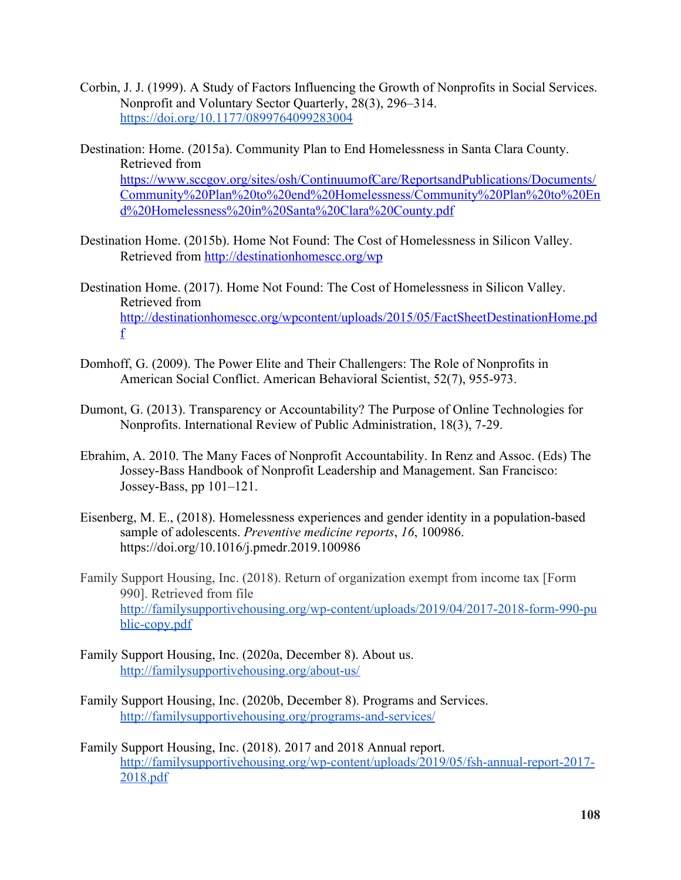- Corbin, J. J. (1999). A Study of Factors Influencing the Growth of Nonprofits in Social Services. Nonprofit and Voluntary Sector Quarterly, 28(3), 296–314. <https://doi.org/10.1177/0899764099283004>
- Destination: Home. (2015a). Community Plan to End Homelessness in Santa Clara County. Retrieved from [https://www.sccgov.org/sites/osh/ContinuumofCare/ReportsandPublications/Documents/](https://www.sccgov.org/sites/osh/ContinuumofCare/ReportsandPublications/Documents/Community%20Plan%20to%20end%20Homelessness/Community%20Plan%20to%20End%20Homelessness%20in%20Santa%20Clara%20County.pdf) [Community%20Plan%20to%20end%20Homelessness/Community%20Plan%20to%20En](https://www.sccgov.org/sites/osh/ContinuumofCare/ReportsandPublications/Documents/Community%20Plan%20to%20end%20Homelessness/Community%20Plan%20to%20End%20Homelessness%20in%20Santa%20Clara%20County.pdf) [d%20Homelessness%20in%20Santa%20Clara%20County.pdf](https://www.sccgov.org/sites/osh/ContinuumofCare/ReportsandPublications/Documents/Community%20Plan%20to%20end%20Homelessness/Community%20Plan%20to%20End%20Homelessness%20in%20Santa%20Clara%20County.pdf)
- Destination Home. (2015b). Home Not Found: The Cost of Homelessness in Silicon Valley. Retrieved from <http://destinationhomescc.org/wp>
- Destination Home. (2017). Home Not Found: The Cost of Homelessness in Silicon Valley. Retrieved from [http://destinationhomescc.org/wpcontent/uploads/2015/05/FactSheetDestinationHome.pd](http://destinationhomescc.org/wpcontent/uploads/2015/05/FactSheetDestinationHome.pdf) [f](http://destinationhomescc.org/wpcontent/uploads/2015/05/FactSheetDestinationHome.pdf)
- Domhoff, G. (2009). The Power Elite and Their Challengers: The Role of Nonprofits in American Social Conflict. American Behavioral Scientist, 52(7), 955-973.
- Dumont, G. (2013). Transparency or Accountability? The Purpose of Online Technologies for Nonprofits. International Review of Public Administration, 18(3), 7-29.
- Ebrahim, A. 2010. The Many Faces of Nonprofit Accountability. In Renz and Assoc. (Eds) The Jossey-Bass Handbook of Nonprofit Leadership and Management. San Francisco: Jossey-Bass, pp 101–121.
- Eisenberg, M. E., (2018). Homelessness experiences and gender identity in a population-based sample of adolescents. *Preventive medicine reports*, *16*, 100986. https://doi.org/10.1016/j.pmedr.2019.100986
- Family Support Housing, Inc. (2018). Return of organization exempt from income tax [Form 990]. Retrieved from file [http://familysupportivehousing.org/wp-content/uploads/2019/04/2017-2018-form-990-pu](http://familysupportivehousing.org/wp-content/uploads/2019/04/2017-2018-form-990-public-copy.pdf) [blic-copy.pdf](http://familysupportivehousing.org/wp-content/uploads/2019/04/2017-2018-form-990-public-copy.pdf)
- Family Support Housing, Inc. (2020a, December 8). About us. <http://familysupportivehousing.org/about-us/>
- Family Support Housing, Inc. (2020b, December 8). Programs and Services. <http://familysupportivehousing.org/programs-and-services/>
- Family Support Housing, Inc. (2018). 2017 and 2018 Annual report. [http://familysupportivehousing.org/wp-content/uploads/2019/05/fsh-annual-report-2017-](http://familysupportivehousing.org/wp-content/uploads/2019/05/fsh-annual-report-2017-2018.pdf) [2018.pdf](http://familysupportivehousing.org/wp-content/uploads/2019/05/fsh-annual-report-2017-2018.pdf)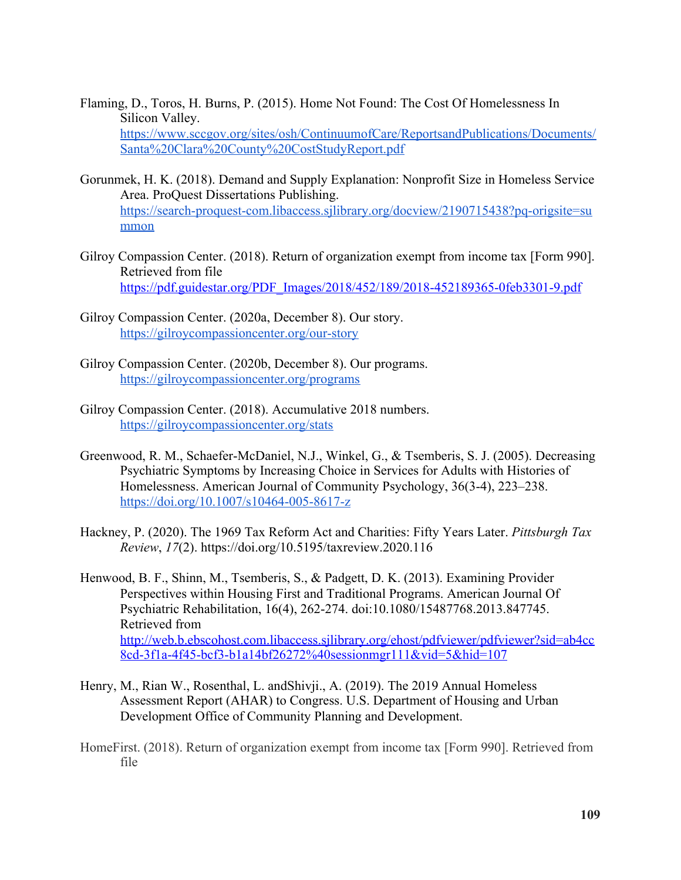- Flaming, D., Toros, H. Burns, P. (2015). Home Not Found: The Cost Of Homelessness In Silicon Valley. [https://www.sccgov.org/sites/osh/ContinuumofCare/ReportsandPublications/Documents/](https://www.sccgov.org/sites/osh/ContinuumofCare/ReportsandPublications/Documents/Santa%20Clara%20County%20CostStudyReport.pdf) [Santa%20Clara%20County%20CostStudyReport.pdf](https://www.sccgov.org/sites/osh/ContinuumofCare/ReportsandPublications/Documents/Santa%20Clara%20County%20CostStudyReport.pdf)
- Gorunmek, H. K. (2018). Demand and Supply Explanation: Nonprofit Size in Homeless Service Area. ProQuest Dissertations Publishing. [https://search-proquest-com.libaccess.sjlibrary.org/docview/2190715438?pq-origsite=su](https://search-proquest-com.libaccess.sjlibrary.org/docview/2190715438?pq-origsite=summon) [mmon](https://search-proquest-com.libaccess.sjlibrary.org/docview/2190715438?pq-origsite=summon)
- Gilroy Compassion Center. (2018). Return of organization exempt from income tax [Form 990]. Retrieved from file [https://pdf.guidestar.org/PDF\\_Images/2018/452/189/2018-452189365-0feb3301-9.pdf](https://pdf.guidestar.org/PDF_Images/2018/452/189/2018-452189365-0feb3301-9.pdf)
- Gilroy Compassion Center. (2020a, December 8). Our story. <https://gilroycompassioncenter.org/our-story>
- Gilroy Compassion Center. (2020b, December 8). Our programs. <https://gilroycompassioncenter.org/programs>
- Gilroy Compassion Center. (2018). Accumulative 2018 numbers. <https://gilroycompassioncenter.org/stats>
- Greenwood, R. M., Schaefer-McDaniel, N.J., Winkel, G., & Tsemberis, S. J. (2005). Decreasing Psychiatric Symptoms by Increasing Choice in Services for Adults with Histories of Homelessness. American Journal of Community Psychology, 36(3-4), 223–238. <https://doi.org/10.1007/s10464-005-8617-z>
- Hackney, P. (2020). The 1969 Tax Reform Act and Charities: Fifty Years Later. *Pittsburgh Tax Review*, *17*(2). https://doi.org/10.5195/taxreview.2020.116
- Henwood, B. F., Shinn, M., Tsemberis, S., & Padgett, D. K. (2013). Examining Provider Perspectives within Housing First and Traditional Programs. American Journal Of Psychiatric Rehabilitation, 16(4), 262-274. doi:10.1080/15487768.2013.847745. Retrieved from [http://web.b.ebscohost.com.libaccess.sjlibrary.org/ehost/pdfviewer/pdfviewer?sid=ab4cc](http://web.b.ebscohost.com.libaccess.sjlibrary.org/ehost/pdfviewer/pdfviewer?sid=ab4cc8cd-3f1a-4f45-bcf3-b1a14bf26272%40sessionmgr111&vid=5&hid=107) [8cd-3f1a-4f45-bcf3-b1a14bf26272%40sessionmgr111&vid=5&hid=107](http://web.b.ebscohost.com.libaccess.sjlibrary.org/ehost/pdfviewer/pdfviewer?sid=ab4cc8cd-3f1a-4f45-bcf3-b1a14bf26272%40sessionmgr111&vid=5&hid=107)
- Henry, M., Rian W., Rosenthal, L. andShivji., A. (2019). The 2019 Annual Homeless Assessment Report (AHAR) to Congress. U.S. Department of Housing and Urban Development Office of Community Planning and Development.
- HomeFirst. (2018). Return of organization exempt from income tax [Form 990]. Retrieved from file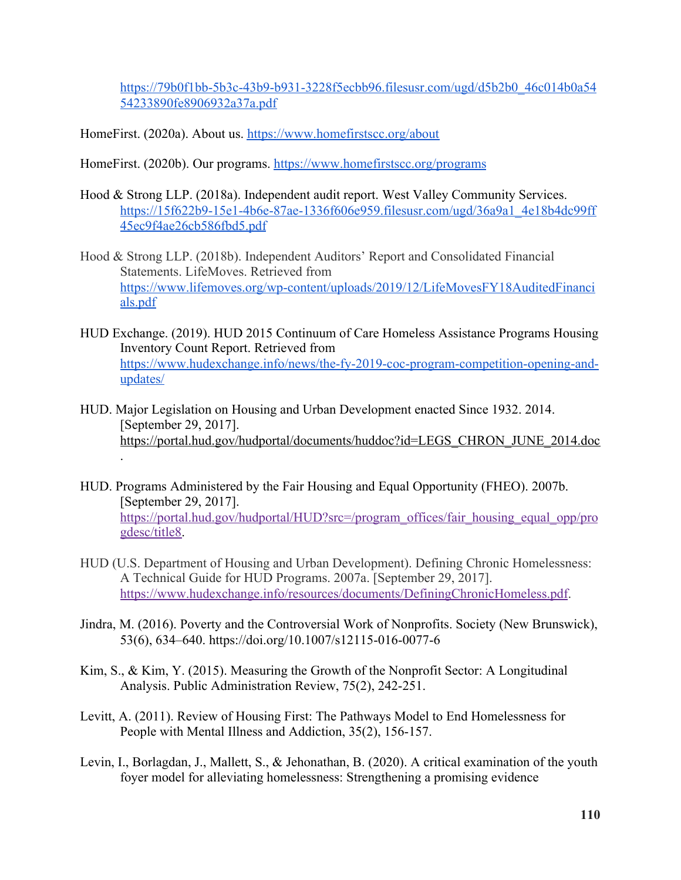[https://79b0f1bb-5b3c-43b9-b931-3228f5ecbb96.filesusr.com/ugd/d5b2b0\\_46c014b0a54](https://79b0f1bb-5b3c-43b9-b931-3228f5ecbb96.filesusr.com/ugd/d5b2b0_46c014b0a5454233890fe8906932a37a.pdf) [54233890fe8906932a37a.pdf](https://79b0f1bb-5b3c-43b9-b931-3228f5ecbb96.filesusr.com/ugd/d5b2b0_46c014b0a5454233890fe8906932a37a.pdf)

HomeFirst. (2020a). About us.<https://www.homefirstscc.org/about>

HomeFirst. (2020b). Our programs.<https://www.homefirstscc.org/programs>

- Hood & Strong LLP. (2018a). Independent audit report. West Valley Community Services. [https://15f622b9-15e1-4b6e-87ae-1336f606e959.filesusr.com/ugd/36a9a1\\_4e18b4dc99ff](https://15f622b9-15e1-4b6e-87ae-1336f606e959.filesusr.com/ugd/36a9a1_4e18b4dc99ff45ec9f4ae26cb586fbd5.pdf) [45ec9f4ae26cb586fbd5.pdf](https://15f622b9-15e1-4b6e-87ae-1336f606e959.filesusr.com/ugd/36a9a1_4e18b4dc99ff45ec9f4ae26cb586fbd5.pdf)
- Hood & Strong LLP. (2018b). Independent Auditors' Report and Consolidated Financial Statements. LifeMoves. Retrieved from [https://www.lifemoves.org/wp-content/uploads/2019/12/LifeMovesFY18AuditedFinanci](https://www.lifemoves.org/wp-content/uploads/2019/12/LifeMovesFY18AuditedFinancials.pdf) [als.pdf](https://www.lifemoves.org/wp-content/uploads/2019/12/LifeMovesFY18AuditedFinancials.pdf)
- HUD Exchange. (2019). HUD 2015 Continuum of Care Homeless Assistance Programs Housing Inventory Count Report. Retrieved from [https://www.hudexchange.info/news/the-fy-2019-coc-program-competition-opening-and](https://www.hudexchange.info/news/the-fy-2019-coc-program-competition-opening-and-updates/)[updates/](https://www.hudexchange.info/news/the-fy-2019-coc-program-competition-opening-and-updates/)
- HUD. Major Legislation on Housing and Urban Development enacted Since 1932. 2014. [September 29, 2017]. [https://portal.hud.gov/hudportal/documents/huddoc?id=LEGS\\_CHRON\\_JUNE\\_2014.doc](https://portal.hud.gov/hudportal/documents/huddoc?id=LEGS_CHRON_JUNE_2014.doc) .
- HUD. Programs Administered by the Fair Housing and Equal Opportunity (FHEO). 2007b. [September 29, 2017]. [https://portal.hud.gov/hudportal/HUD?src=/program\\_offices/fair\\_housing\\_equal\\_opp/pro](https://portal.hud.gov/hudportal/HUD?src=/program_offices/fair_housing_equal_opp/progdesc/title8) [gdesc/title8.](https://portal.hud.gov/hudportal/HUD?src=/program_offices/fair_housing_equal_opp/progdesc/title8)
- HUD (U.S. Department of Housing and Urban Development). Defining Chronic Homelessness: A Technical Guide for HUD Programs. 2007a. [September 29, 2017]. [https://www.hudexchange.info/resources/documents/DefiningChronicHomeless.pdf.](https://www.hudexchange.info/resources/documents/DefiningChronicHomeless.pdf)
- Jindra, M. (2016). Poverty and the Controversial Work of Nonprofits. Society (New Brunswick), 53(6), 634–640. https://doi.org/10.1007/s12115-016-0077-6
- Kim, S., & Kim, Y. (2015). Measuring the Growth of the Nonprofit Sector: A Longitudinal Analysis. Public Administration Review, 75(2), 242-251.
- Levitt, A. (2011). Review of Housing First: The Pathways Model to End Homelessness for People with Mental Illness and Addiction, 35(2), 156-157.
- Levin, I., Borlagdan, J., Mallett, S., & Jehonathan, B. (2020). A critical examination of the youth foyer model for alleviating homelessness: Strengthening a promising evidence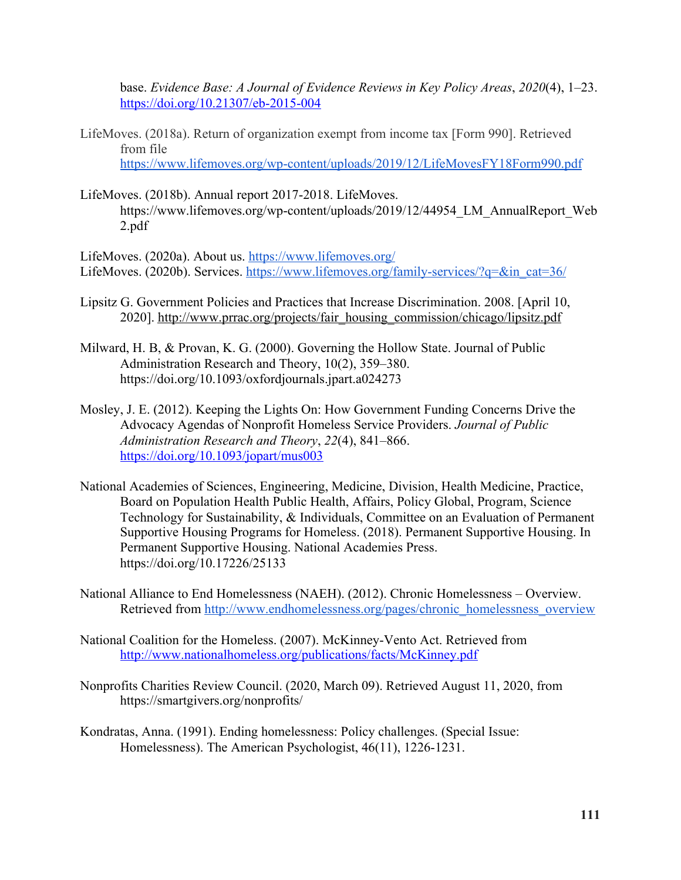base. *Evidence Base: A Journal of Evidence Reviews in Key Policy Areas*, *2020*(4), 1–23. <https://doi.org/10.21307/eb-2015-004>

- LifeMoves. (2018a). Return of organization exempt from income tax [Form 990]. Retrieved from file <https://www.lifemoves.org/wp-content/uploads/2019/12/LifeMovesFY18Form990.pdf>
- LifeMoves. (2018b). Annual report 2017-2018. LifeMoves. https://www.lifemoves.org/wp-content/uploads/2019/12/44954 LM\_AnnualReport\_Web 2.pdf

LifeMoves. (2020a). About us. <https://www.lifemoves.org/> LifeMoves. (2020b). Services. [https://www.lifemoves.org/family-services/?q=&in\\_cat=36/](https://www.lifemoves.org/family-services/?q=&in_cat=36/)

- Lipsitz G. Government Policies and Practices that Increase Discrimination. 2008. [April 10, 2020]. [http://www.prrac.org/projects/fair\\_housing\\_commission/chicago/lipsitz.pdf](http://www.prrac.org/projects/fair_housing_commission/chicago/lipsitz.pdf)
- Milward, H. B, & Provan, K. G. (2000). Governing the Hollow State. Journal of Public Administration Research and Theory, 10(2), 359–380. https://doi.org/10.1093/oxfordjournals.jpart.a024273
- Mosley, J. E. (2012). Keeping the Lights On: How Government Funding Concerns Drive the Advocacy Agendas of Nonprofit Homeless Service Providers. *Journal of Public Administration Research and Theory*, *22*(4), 841–866. <https://doi.org/10.1093/jopart/mus003>
- National Academies of Sciences, Engineering, Medicine, Division, Health Medicine, Practice, Board on Population Health Public Health, Affairs, Policy Global, Program, Science Technology for Sustainability, & Individuals, Committee on an Evaluation of Permanent Supportive Housing Programs for Homeless. (2018). Permanent Supportive Housing. In Permanent Supportive Housing. National Academies Press. https://doi.org/10.17226/25133
- National Alliance to End Homelessness (NAEH). (2012). Chronic Homelessness Overview. Retrieved from [http://www.endhomelessness.org/pages/chronic\\_homelessness\\_overview](http://www.endhomelessness.org/pages/chronic_homelessness_overview)
- National Coalition for the Homeless. (2007). McKinney-Vento Act. Retrieved from <http://www.nationalhomeless.org/publications/facts/McKinney.pdf>
- Nonprofits Charities Review Council. (2020, March 09). Retrieved August 11, 2020, from https://smartgivers.org/nonprofits/
- Kondratas, Anna. (1991). Ending homelessness: Policy challenges. (Special Issue: Homelessness). The American Psychologist, 46(11), 1226-1231.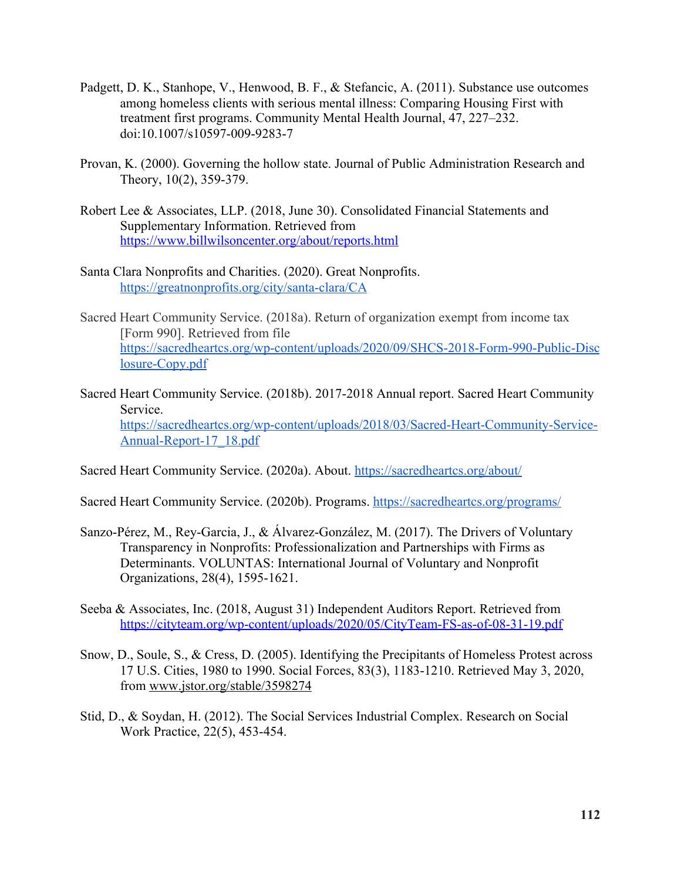- Padgett, D. K., Stanhope, V., Henwood, B. F., & Stefancic, A. (2011). Substance use outcomes among homeless clients with serious mental illness: Comparing Housing First with treatment first programs. Community Mental Health Journal, 47, 227–232. doi:10.1007/s10597-009-9283-7
- Provan, K. (2000). Governing the hollow state. Journal of Public Administration Research and Theory, 10(2), 359-379.
- Robert Lee & Associates, LLP. (2018, June 30). Consolidated Financial Statements and Supplementary Information. Retrieved from <https://www.billwilsoncenter.org/about/reports.html>
- Santa Clara Nonprofits and Charities. (2020). Great Nonprofits. <https://greatnonprofits.org/city/santa-clara/CA>
- Sacred Heart Community Service. (2018a). Return of organization exempt from income tax [Form 990]. Retrieved from file [https://sacredheartcs.org/wp-content/uploads/2020/09/SHCS-2018-Form-990-Public-Disc](https://sacredheartcs.org/wp-content/uploads/2020/09/SHCS-2018-Form-990-Public-Disclosure-Copy.pdf) [losure-Copy.pdf](https://sacredheartcs.org/wp-content/uploads/2020/09/SHCS-2018-Form-990-Public-Disclosure-Copy.pdf)
- Sacred Heart Community Service. (2018b). 2017-2018 Annual report. Sacred Heart Community Service. [https://sacredheartcs.org/wp-content/uploads/2018/03/Sacred-Heart-Community-Service-](https://sacredheartcs.org/wp-content/uploads/2018/03/Sacred-Heart-Community-Service-Annual-Report-17_18.pdf)[Annual-Report-17\\_18.pdf](https://sacredheartcs.org/wp-content/uploads/2018/03/Sacred-Heart-Community-Service-Annual-Report-17_18.pdf)

Sacred Heart Community Service. (2020a). About. <https://sacredheartcs.org/about/>

Sacred Heart Community Service. (2020b). Programs.<https://sacredheartcs.org/programs/>

- Sanzo-Pérez, M., Rey-Garcia, J., & Álvarez-González, M. (2017). The Drivers of Voluntary Transparency in Nonprofits: Professionalization and Partnerships with Firms as Determinants. VOLUNTAS: International Journal of Voluntary and Nonprofit Organizations, 28(4), 1595-1621.
- Seeba & Associates, Inc. (2018, August 31) Independent Auditors Report. Retrieved from <https://cityteam.org/wp-content/uploads/2020/05/CityTeam-FS-as-of-08-31-19.pdf>
- Snow, D., Soule, S., & Cress, D. (2005). Identifying the Precipitants of Homeless Protest across 17 U.S. Cities, 1980 to 1990. Social Forces, 83(3), 1183-1210. Retrieved May 3, 2020, from [www.jstor.org/stable/3598274](http://www.jstor.org/stable/3598274)
- Stid, D., & Soydan, H. (2012). The Social Services Industrial Complex. Research on Social Work Practice, 22(5), 453-454.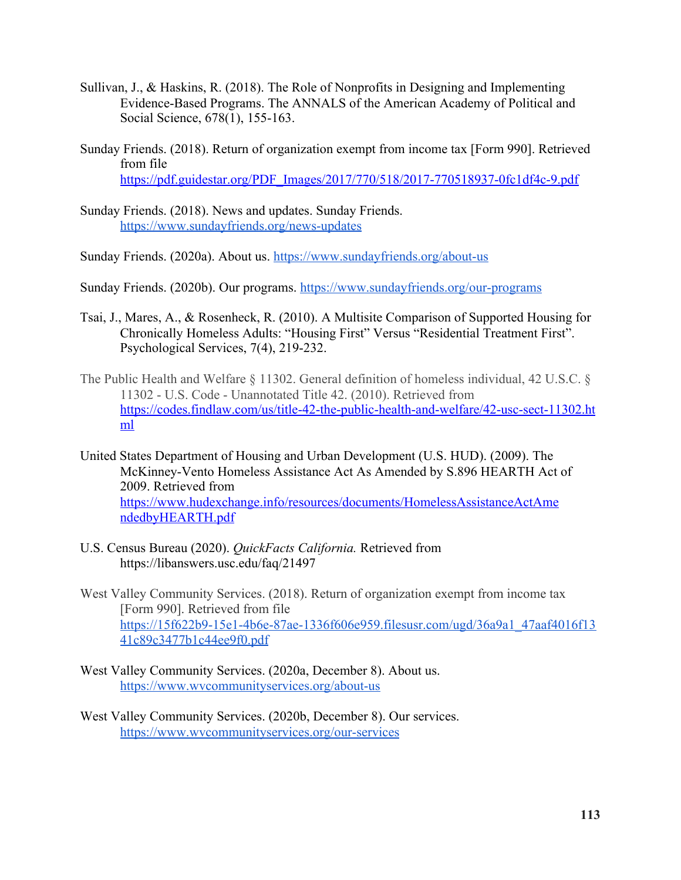- Sullivan, J., & Haskins, R. (2018). The Role of Nonprofits in Designing and Implementing Evidence-Based Programs. The ANNALS of the American Academy of Political and Social Science, 678(1), 155-163.
- Sunday Friends. (2018). Return of organization exempt from income tax [Form 990]. Retrieved from file [https://pdf.guidestar.org/PDF\\_Images/2017/770/518/2017-770518937-0fc1df4c-9.pdf](https://pdf.guidestar.org/PDF_Images/2017/770/518/2017-770518937-0fc1df4c-9.pdf)
- Sunday Friends. (2018). News and updates. Sunday Friends. <https://www.sundayfriends.org/news-updates>

Sunday Friends. (2020a). About us. <https://www.sundayfriends.org/about-us>

Sunday Friends. (2020b). Our programs. <https://www.sundayfriends.org/our-programs>

- Tsai, J., Mares, A., & Rosenheck, R. (2010). A Multisite Comparison of Supported Housing for Chronically Homeless Adults: "Housing First" Versus "Residential Treatment First". Psychological Services, 7(4), 219-232.
- The Public Health and Welfare § 11302. General definition of homeless individual, 42 U.S.C. § 11302 - U.S. Code - Unannotated Title 42. (2010). Retrieved from [https://codes.findlaw.com/us/title-42-the-public-health-and-welfare/42-usc-sect-11302.ht](https://codes.findlaw.com/us/title-42-the-public-health-and-welfare/42-usc-sect-11302.html) [ml](https://codes.findlaw.com/us/title-42-the-public-health-and-welfare/42-usc-sect-11302.html)
- United States Department of Housing and Urban Development (U.S. HUD). (2009). The McKinney-Vento Homeless Assistance Act As Amended by S.896 HEARTH Act of 2009. Retrieved from [https://www.hudexchange.info/resources/documents/HomelessAssistanceActAme](https://www.hudexchange.info/resources/documents/HomelessAssistanceActAme%20ndedbyHEARTH.pdf) [ndedbyHEARTH.pdf](https://www.hudexchange.info/resources/documents/HomelessAssistanceActAme%20ndedbyHEARTH.pdf)
- U.S. Census Bureau (2020). *QuickFacts California.* Retrieved from https://libanswers.usc.edu/faq/21497
- West Valley Community Services. (2018). Return of organization exempt from income tax [Form 990]. Retrieved from file [https://15f622b9-15e1-4b6e-87ae-1336f606e959.filesusr.com/ugd/36a9a1\\_47aaf4016f13](https://15f622b9-15e1-4b6e-87ae-1336f606e959.filesusr.com/ugd/36a9a1_47aaf4016f1341c89c3477b1c44ee9f0.pdf) [41c89c3477b1c44ee9f0.pdf](https://15f622b9-15e1-4b6e-87ae-1336f606e959.filesusr.com/ugd/36a9a1_47aaf4016f1341c89c3477b1c44ee9f0.pdf)
- West Valley Community Services. (2020a, December 8). About us. <https://www.wvcommunityservices.org/about-us>
- West Valley Community Services. (2020b, December 8). Our services. <https://www.wvcommunityservices.org/our-services>